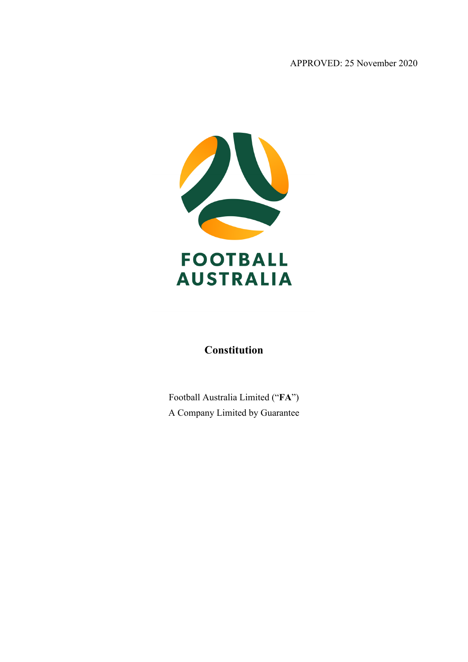APPROVED: 25 November 2020



# **Constitution**

Football Australia Limited ("**FA**") A Company Limited by Guarantee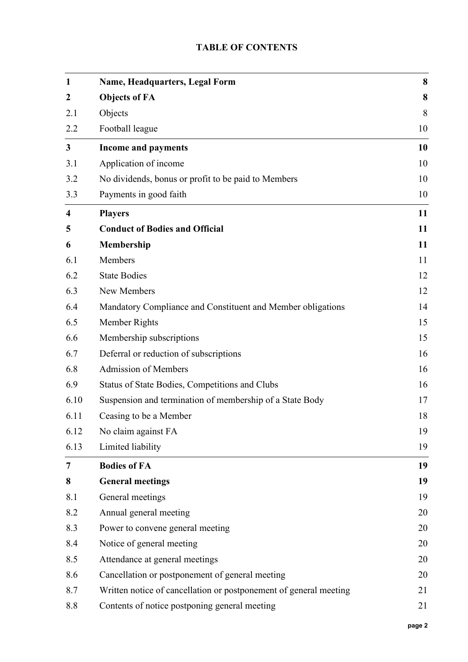# **TABLE OF CONTENTS**

| $\mathbf{1}$            | Name, Headquarters, Legal Form                                    | 8  |
|-------------------------|-------------------------------------------------------------------|----|
| $\boldsymbol{2}$        | <b>Objects of FA</b>                                              | 8  |
| 2.1                     | Objects                                                           | 8  |
| 2.2                     | Football league                                                   | 10 |
| $\mathbf{3}$            | <b>Income and payments</b>                                        | 10 |
| 3.1                     | Application of income                                             | 10 |
| 3.2                     | No dividends, bonus or profit to be paid to Members               | 10 |
| 3.3                     | Payments in good faith                                            | 10 |
| $\overline{\mathbf{4}}$ | <b>Players</b>                                                    | 11 |
| 5                       | <b>Conduct of Bodies and Official</b>                             | 11 |
| 6                       | Membership                                                        | 11 |
| 6.1                     | Members                                                           | 11 |
| 6.2                     | <b>State Bodies</b>                                               | 12 |
| 6.3                     | New Members                                                       | 12 |
| 6.4                     | Mandatory Compliance and Constituent and Member obligations       | 14 |
| 6.5                     | Member Rights                                                     | 15 |
| 6.6                     | Membership subscriptions                                          | 15 |
| 6.7                     | Deferral or reduction of subscriptions                            | 16 |
| 6.8                     | Admission of Members                                              | 16 |
| 6.9                     | Status of State Bodies, Competitions and Clubs                    | 16 |
| 6.10                    | Suspension and termination of membership of a State Body          | 17 |
| 6.11                    | Ceasing to be a Member                                            | 18 |
| 6.12                    | No claim against FA                                               | 19 |
| 6.13                    | Limited liability                                                 | 19 |
| 7                       | <b>Bodies of FA</b>                                               | 19 |
| 8                       | <b>General meetings</b>                                           | 19 |
| 8.1                     | General meetings                                                  | 19 |
| 8.2                     | Annual general meeting                                            | 20 |
| 8.3                     | Power to convene general meeting                                  | 20 |
| 8.4                     | Notice of general meeting                                         | 20 |
| 8.5                     | Attendance at general meetings                                    | 20 |
| 8.6                     | Cancellation or postponement of general meeting                   | 20 |
| 8.7                     | Written notice of cancellation or postponement of general meeting | 21 |
| 8.8                     | Contents of notice postponing general meeting                     | 21 |
|                         |                                                                   |    |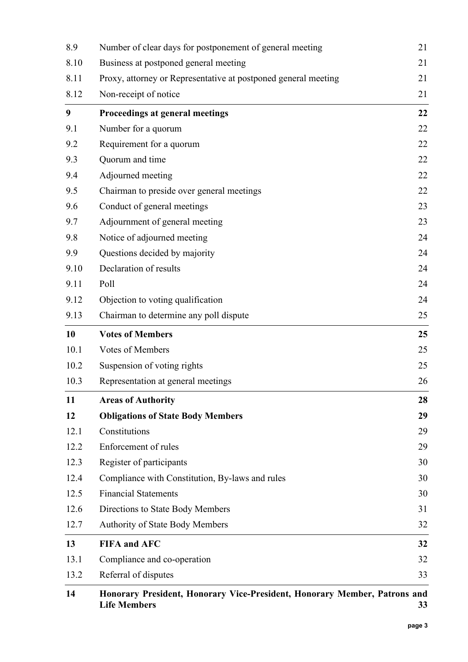| 8.9  | Number of clear days for postponement of general meeting       | 21 |
|------|----------------------------------------------------------------|----|
| 8.10 | Business at postponed general meeting                          | 21 |
| 8.11 | Proxy, attorney or Representative at postponed general meeting | 21 |
| 8.12 | Non-receipt of notice                                          | 21 |
| 9    | Proceedings at general meetings                                | 22 |
| 9.1  | Number for a quorum                                            | 22 |
| 9.2  | Requirement for a quorum                                       | 22 |
| 9.3  | Quorum and time                                                | 22 |
| 9.4  | Adjourned meeting                                              | 22 |
| 9.5  | Chairman to preside over general meetings                      | 22 |
| 9.6  | Conduct of general meetings                                    | 23 |
| 9.7  | Adjournment of general meeting                                 | 23 |
| 9.8  | Notice of adjourned meeting                                    | 24 |
| 9.9  | Questions decided by majority                                  | 24 |
| 9.10 | Declaration of results                                         | 24 |
| 9.11 | Poll                                                           | 24 |
| 9.12 | Objection to voting qualification                              | 24 |
| 9.13 | Chairman to determine any poll dispute                         | 25 |
| 10   | <b>Votes of Members</b>                                        | 25 |
| 10.1 | Votes of Members                                               | 25 |
| 10.2 | Suspension of voting rights                                    | 25 |
| 10.3 | Representation at general meetings                             | 26 |
| 11   | <b>Areas of Authority</b>                                      | 28 |
| 12   | <b>Obligations of State Body Members</b>                       | 29 |
| 12.1 | Constitutions                                                  | 29 |
| 12.2 | Enforcement of rules                                           | 29 |
| 12.3 | Register of participants                                       | 30 |
| 12.4 | Compliance with Constitution, By-laws and rules                | 30 |
| 12.5 | <b>Financial Statements</b>                                    | 30 |
| 12.6 | Directions to State Body Members                               | 31 |
| 12.7 | <b>Authority of State Body Members</b>                         | 32 |
| 13   | <b>FIFA and AFC</b>                                            | 32 |
| 13.1 | Compliance and co-operation                                    | 32 |
| 13.2 | Referral of disputes                                           | 33 |
|      |                                                                |    |

### **14 [Honorary President, Honorary Vice-President, Honorary Member, Patrons and](#page-32-1)  [Life Members](#page-32-1) 33**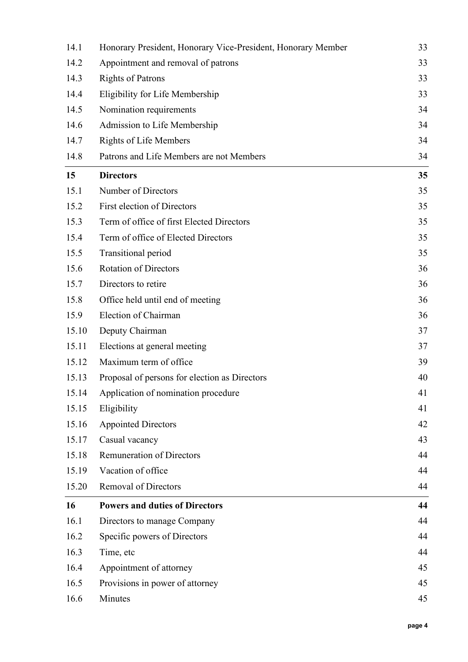| 14.1  | Honorary President, Honorary Vice-President, Honorary Member | 33 |
|-------|--------------------------------------------------------------|----|
| 14.2  | Appointment and removal of patrons                           | 33 |
| 14.3  | <b>Rights of Patrons</b>                                     | 33 |
| 14.4  | Eligibility for Life Membership                              | 33 |
| 14.5  | Nomination requirements                                      | 34 |
| 14.6  | Admission to Life Membership                                 | 34 |
| 14.7  | <b>Rights of Life Members</b>                                | 34 |
| 14.8  | Patrons and Life Members are not Members                     | 34 |
| 15    | <b>Directors</b>                                             | 35 |
| 15.1  | Number of Directors                                          | 35 |
| 15.2  | <b>First election of Directors</b>                           | 35 |
| 15.3  | Term of office of first Elected Directors                    | 35 |
| 15.4  | Term of office of Elected Directors                          | 35 |
| 15.5  | Transitional period                                          | 35 |
| 15.6  | <b>Rotation of Directors</b>                                 | 36 |
| 15.7  | Directors to retire                                          | 36 |
| 15.8  | Office held until end of meeting                             | 36 |
| 15.9  | Election of Chairman                                         | 36 |
| 15.10 | Deputy Chairman                                              | 37 |
| 15.11 | Elections at general meeting                                 | 37 |
| 15.12 | Maximum term of office                                       | 39 |
| 15.13 | Proposal of persons for election as Directors                | 40 |
| 15.14 | Application of nomination procedure                          | 41 |
| 15.15 | Eligibility                                                  | 41 |
| 15.16 | <b>Appointed Directors</b>                                   | 42 |
| 15.17 | Casual vacancy                                               | 43 |
| 15.18 | <b>Remuneration of Directors</b>                             | 44 |
| 15.19 | Vacation of office                                           | 44 |
| 15.20 | <b>Removal of Directors</b>                                  | 44 |
| 16    | <b>Powers and duties of Directors</b>                        | 44 |
| 16.1  | Directors to manage Company                                  | 44 |
| 16.2  | Specific powers of Directors                                 | 44 |
| 16.3  | Time, etc                                                    | 44 |
| 16.4  | Appointment of attorney                                      | 45 |
| 16.5  | Provisions in power of attorney                              | 45 |
| 16.6  | Minutes                                                      | 45 |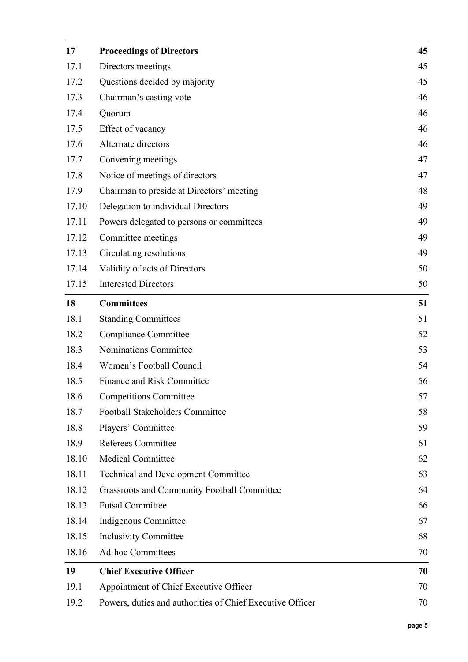| 17    | <b>Proceedings of Directors</b>                           | 45 |
|-------|-----------------------------------------------------------|----|
| 17.1  | Directors meetings                                        | 45 |
| 17.2  | Questions decided by majority                             | 45 |
| 17.3  | Chairman's casting vote                                   | 46 |
| 17.4  | Quorum                                                    | 46 |
| 17.5  | Effect of vacancy                                         | 46 |
| 17.6  | Alternate directors                                       | 46 |
| 17.7  | Convening meetings                                        | 47 |
| 17.8  | Notice of meetings of directors                           | 47 |
| 17.9  | Chairman to preside at Directors' meeting                 | 48 |
| 17.10 | Delegation to individual Directors                        | 49 |
| 17.11 | Powers delegated to persons or committees                 | 49 |
| 17.12 | Committee meetings                                        | 49 |
| 17.13 | Circulating resolutions                                   | 49 |
| 17.14 | Validity of acts of Directors                             | 50 |
| 17.15 | <b>Interested Directors</b>                               | 50 |
| 18    | <b>Committees</b>                                         | 51 |
| 18.1  | <b>Standing Committees</b>                                | 51 |
| 18.2  | Compliance Committee                                      | 52 |
| 18.3  | Nominations Committee                                     | 53 |
| 18.4  | Women's Football Council                                  | 54 |
| 18.5  | Finance and Risk Committee                                | 56 |
| 18.6  | <b>Competitions Committee</b>                             | 57 |
| 18.7  | Football Stakeholders Committee                           | 58 |
| 18.8  | Players' Committee                                        | 59 |
| 18.9  | Referees Committee                                        | 61 |
| 18.10 | <b>Medical Committee</b>                                  | 62 |
| 18.11 | <b>Technical and Development Committee</b>                | 63 |
| 18.12 | Grassroots and Community Football Committee               | 64 |
| 18.13 | <b>Futsal Committee</b>                                   | 66 |
| 18.14 | Indigenous Committee                                      | 67 |
| 18.15 | <b>Inclusivity Committee</b>                              | 68 |
| 18.16 | <b>Ad-hoc Committees</b>                                  | 70 |
| 19    | <b>Chief Executive Officer</b>                            | 70 |
| 19.1  | Appointment of Chief Executive Officer                    | 70 |
| 19.2  | Powers, duties and authorities of Chief Executive Officer | 70 |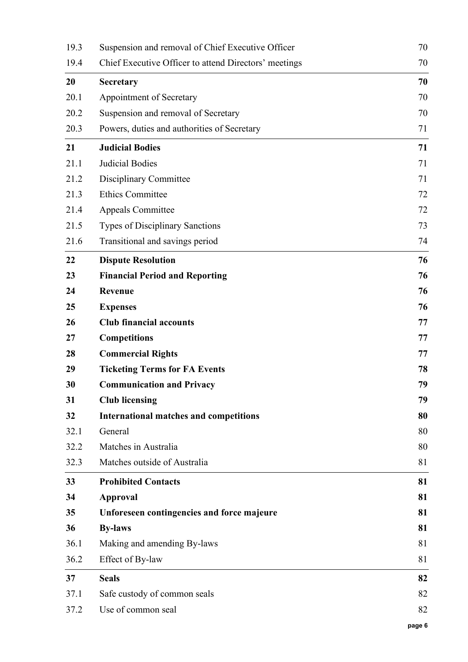| 19.3 | Suspension and removal of Chief Executive Officer     | 70 |
|------|-------------------------------------------------------|----|
| 19.4 | Chief Executive Officer to attend Directors' meetings | 70 |
| 20   | <b>Secretary</b>                                      | 70 |
| 20.1 | Appointment of Secretary                              | 70 |
| 20.2 | Suspension and removal of Secretary                   | 70 |
| 20.3 | Powers, duties and authorities of Secretary           | 71 |
| 21   | <b>Judicial Bodies</b>                                | 71 |
| 21.1 | Judicial Bodies                                       | 71 |
| 21.2 | Disciplinary Committee                                | 71 |
| 21.3 | <b>Ethics Committee</b>                               | 72 |
| 21.4 | <b>Appeals Committee</b>                              | 72 |
| 21.5 | <b>Types of Disciplinary Sanctions</b>                | 73 |
| 21.6 | Transitional and savings period                       | 74 |
| 22   | <b>Dispute Resolution</b>                             | 76 |
| 23   | <b>Financial Period and Reporting</b>                 | 76 |
| 24   | Revenue                                               | 76 |
| 25   | <b>Expenses</b>                                       | 76 |
| 26   | <b>Club financial accounts</b>                        | 77 |
| 27   | <b>Competitions</b>                                   | 77 |
| 28   | <b>Commercial Rights</b>                              | 77 |
| 29   | <b>Ticketing Terms for FA Events</b>                  | 78 |
| 30   | <b>Communication and Privacy</b>                      | 79 |
| 31   | <b>Club licensing</b>                                 | 79 |
| 32   | <b>International matches and competitions</b>         | 80 |
| 32.1 | General                                               | 80 |
| 32.2 | Matches in Australia                                  | 80 |
| 32.3 | Matches outside of Australia                          | 81 |
| 33   | <b>Prohibited Contacts</b>                            | 81 |
| 34   | <b>Approval</b>                                       | 81 |
| 35   | Unforeseen contingencies and force majeure            | 81 |
| 36   | <b>By-laws</b>                                        | 81 |
| 36.1 | Making and amending By-laws                           | 81 |
| 36.2 | Effect of By-law                                      | 81 |
| 37   | <b>Seals</b>                                          | 82 |
| 37.1 | Safe custody of common seals                          | 82 |
| 37.2 | Use of common seal                                    | 82 |
|      |                                                       |    |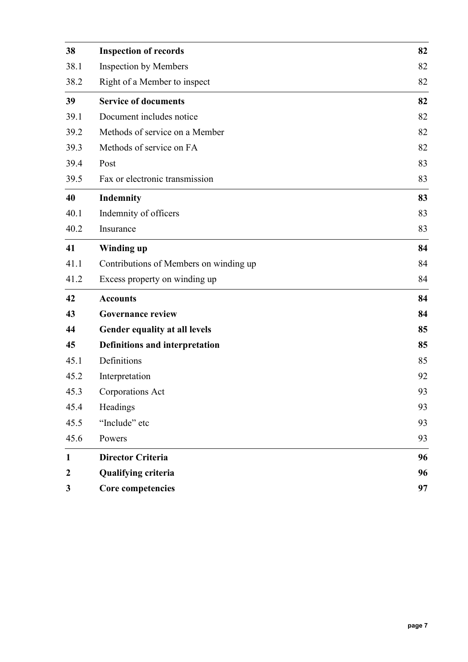| 38               | <b>Inspection of records</b>           | 82 |
|------------------|----------------------------------------|----|
| 38.1             | <b>Inspection by Members</b>           | 82 |
| 38.2             | Right of a Member to inspect           | 82 |
| 39               | <b>Service of documents</b>            | 82 |
| 39.1             | Document includes notice               | 82 |
| 39.2             | Methods of service on a Member         | 82 |
| 39.3             | Methods of service on FA               | 82 |
| 39.4             | Post                                   | 83 |
| 39.5             | Fax or electronic transmission         | 83 |
| 40               | Indemnity                              | 83 |
| 40.1             | Indemnity of officers                  | 83 |
| 40.2             | Insurance                              | 83 |
| 41               | Winding up                             | 84 |
| 41.1             | Contributions of Members on winding up | 84 |
| 41.2             | Excess property on winding up          | 84 |
| 42               | <b>Accounts</b>                        | 84 |
| 43               | <b>Governance review</b>               | 84 |
| 44               | Gender equality at all levels          | 85 |
| 45               | <b>Definitions and interpretation</b>  | 85 |
| 45.1             | Definitions                            | 85 |
| 45.2             | Interpretation                         | 92 |
| 45.3             | Corporations Act                       | 93 |
| 45.4             | Headings                               | 93 |
| 45.5             | "Include" etc                          | 93 |
| 45.6             | Powers                                 | 93 |
| $\mathbf{1}$     | <b>Director Criteria</b>               | 96 |
| $\boldsymbol{2}$ | Qualifying criteria                    | 96 |
| 3                | Core competencies                      | 97 |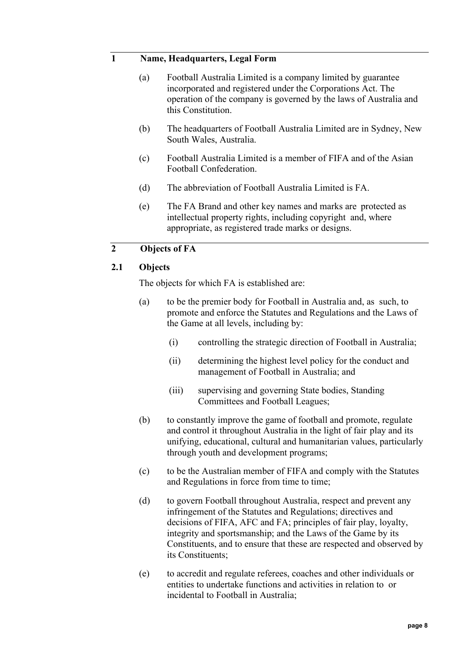## <span id="page-7-0"></span>**1 Name, Headquarters, Legal Form**

- (a) Football Australia Limited is a company limited by guarantee incorporated and registered under the Corporations Act. The operation of the company is governed by the laws of Australia and this Constitution.
- (b) The headquarters of Football Australia Limited are in Sydney, New South Wales, Australia.
- (c) Football Australia Limited is a member of FIFA and of the Asian Football Confederation.
- (d) The abbreviation of Football Australia Limited is FA.
- (e) The FA Brand and other key names and marks are protected as intellectual property rights, including copyright and, where appropriate, as registered trade marks or designs.

## <span id="page-7-1"></span>**2 Objects of FA**

#### <span id="page-7-2"></span>**2.1 Objects**

The objects for which FA is established are:

- (a) to be the premier body for Football in Australia and, as such, to promote and enforce the Statutes and Regulations and the Laws of the Game at all levels, including by:
	- (i) controlling the strategic direction of Football in Australia;
	- (ii) determining the highest level policy for the conduct and management of Football in Australia; and
	- (iii) supervising and governing State bodies, Standing Committees and Football Leagues;
- (b) to constantly improve the game of football and promote, regulate and control it throughout Australia in the light of fair play and its unifying, educational, cultural and humanitarian values, particularly through youth and development programs;
- (c) to be the Australian member of FIFA and comply with the Statutes and Regulations in force from time to time;
- (d) to govern Football throughout Australia, respect and prevent any infringement of the Statutes and Regulations; directives and decisions of FIFA, AFC and FA; principles of fair play, loyalty, integrity and sportsmanship; and the Laws of the Game by its Constituents, and to ensure that these are respected and observed by its Constituents;
- (e) to accredit and regulate referees, coaches and other individuals or entities to undertake functions and activities in relation to or incidental to Football in Australia;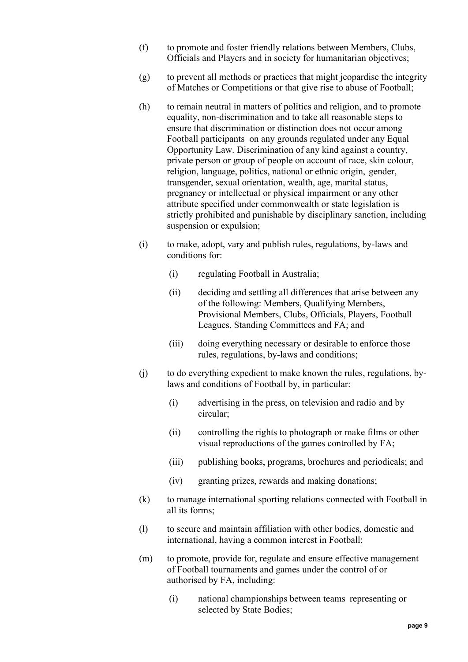- (f) to promote and foster friendly relations between Members, Clubs, Officials and Players and in society for humanitarian objectives;
- (g) to prevent all methods or practices that might jeopardise the integrity of Matches or Competitions or that give rise to abuse of Football;
- (h) to remain neutral in matters of politics and religion, and to promote equality, non-discrimination and to take all reasonable steps to ensure that discrimination or distinction does not occur among Football participants on any grounds regulated under any Equal Opportunity Law. Discrimination of any kind against a country, private person or group of people on account of race, skin colour, religion, language, politics, national or ethnic origin, gender, transgender, sexual orientation, wealth, age, marital status, pregnancy or intellectual or physical impairment or any other attribute specified under commonwealth or state legislation is strictly prohibited and punishable by disciplinary sanction, including suspension or expulsion;
- (i) to make, adopt, vary and publish rules, regulations, by-laws and conditions for:
	- (i) regulating Football in Australia;
	- (ii) deciding and settling all differences that arise between any of the following: Members, Qualifying Members, Provisional Members, Clubs, Officials, Players, Football Leagues, Standing Committees and FA; and
	- (iii) doing everything necessary or desirable to enforce those rules, regulations, by-laws and conditions;
- (j) to do everything expedient to make known the rules, regulations, bylaws and conditions of Football by, in particular:
	- (i) advertising in the press, on television and radio and by circular;
	- (ii) controlling the rights to photograph or make films or other visual reproductions of the games controlled by FA;
	- (iii) publishing books, programs, brochures and periodicals; and
	- (iv) granting prizes, rewards and making donations;
- (k) to manage international sporting relations connected with Football in all its forms;
- (l) to secure and maintain affiliation with other bodies, domestic and international, having a common interest in Football;
- (m) to promote, provide for, regulate and ensure effective management of Football tournaments and games under the control of or authorised by FA, including:
	- (i) national championships between teams representing or selected by State Bodies;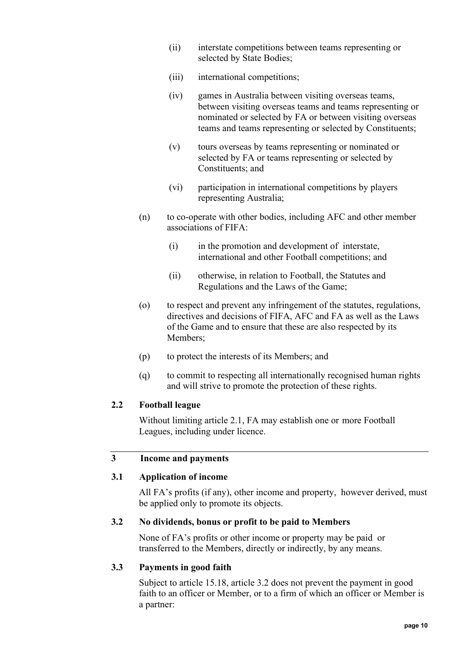- (ii) interstate competitions between teams representing or selected by State Bodies;
- (iii) international competitions;
- (iv) games in Australia between visiting overseas teams, between visiting overseas teams and teams representing or nominated or selected by FA or between visiting overseas teams and teams representing or selected by Constituents;
- (v) tours overseas by teams representing or nominated or selected by FA or teams representing or selected by Constituents; and
- (vi) participation in international competitions by players representing Australia;
- (n) to co-operate with other bodies, including AFC and other member associations of FIFA:
	- (i) in the promotion and development of interstate, international and other Football competitions; and
	- (ii) otherwise, in relation to Football, the Statutes and Regulations and the Laws of the Game;
- (o) to respect and prevent any infringement of the statutes, regulations, directives and decisions of FIFA, AFC and FA as well as the Laws of the Game and to ensure that these are also respected by its Members;
- (p) to protect the interests of its Members; and
- (q) to commit to respecting all internationally recognised human rights and will strive to promote the protection of these rights.

### <span id="page-9-0"></span>**2.2 Football league**

Without limiting article [2.1,](#page-7-2) FA may establish one or more Football Leagues, including under licence.

### <span id="page-9-1"></span>**3 Income and payments**

### <span id="page-9-2"></span>**3.1 Application of income**

All FA's profits (if any), other income and property, however derived, must be applied only to promote its objects.

#### <span id="page-9-3"></span>**3.2 No dividends, bonus or profit to be paid to Members**

None of FA's profits or other income or property may be paid or transferred to the Members, directly or indirectly, by any means.

#### <span id="page-9-4"></span>**3.3 Payments in good faith**

Subject to article 15.18, article 3.2 does not prevent the payment in good faith to an officer or Member, or to a firm of which an officer or Member is a partner: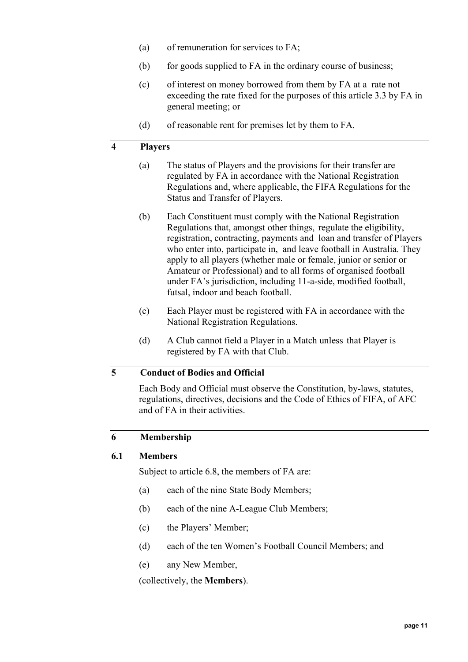- (a) of remuneration for services to FA;
- $(b)$  for goods supplied to FA in the ordinary course of business;
- (c) of interest on money borrowed from them by FA at a rate not exceeding the rate fixed for the purposes of this article 3.3 by FA in general meeting; or
- (d) of reasonable rent for premises let by them to FA.

### <span id="page-10-0"></span>**4 Players**

- (a) The status of Players and the provisions for their transfer are regulated by FA in accordance with the National Registration Regulations and, where applicable, the FIFA Regulations for the Status and Transfer of Players.
- (b) Each Constituent must comply with the National Registration Regulations that, amongst other things, regulate the eligibility, registration, contracting, payments and loan and transfer of Players who enter into, participate in, and leave football in Australia. They apply to all players (whether male or female, junior or senior or Amateur or Professional) and to all forms of organised football under FA's jurisdiction, including 11-a-side, modified football, futsal, indoor and beach football.
- (c) Each Player must be registered with FA in accordance with the National Registration Regulations.
- (d) A Club cannot field a Player in a Match unless that Player is registered by FA with that Club.

### <span id="page-10-1"></span>**5 Conduct of Bodies and Official**

Each Body and Official must observe the Constitution, by-laws, statutes, regulations, directives, decisions and the Code of Ethics of FIFA, of AFC and of FA in their activities.

### <span id="page-10-3"></span><span id="page-10-2"></span>**6 Membership**

#### **6.1 Members**

Subject to article [6.8,](#page-15-1) the members of FA are:

- (a) each of the nine State Body Members;
- (b) each of the nine A-League Club Members;
- (c) the Players' Member;
- (d) each of the ten Women's Football Council Members; and
- (e) any New Member,

(collectively, the **Members**).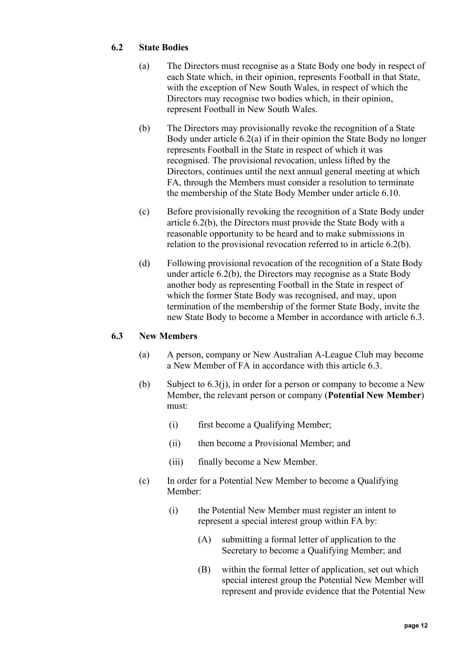# <span id="page-11-2"></span><span id="page-11-0"></span>**6.2 State Bodies**

- (a) The Directors must recognise as a State Body one body in respect of each State which, in their opinion, represents Football in that State, with the exception of New South Wales, in respect of which the Directors may recognise two bodies which, in their opinion, represent Football in New South Wales.
- <span id="page-11-3"></span>(b) The Directors may provisionally revoke the recognition of a State Body under article [6.2\(a\)](#page-11-2) if in their opinion the State Body no longer represents Football in the State in respect of which it was recognised. The provisional revocation, unless lifted by the Directors, continues until the next annual general meeting at which FA, through the Members must consider a resolution to terminate the membership of the State Body Member under article [6.10.](#page-16-0)
- (c) Before provisionally revoking the recognition of a State Body under article [6.2\(b\),](#page-11-3) the Directors must provide the State Body with a reasonable opportunity to be heard and to make submissions in relation to the provisional revocation referred to in article [6.2\(b\).](#page-11-3)
- (d) Following provisional revocation of the recognition of a State Body under article [6.2\(b\),](#page-11-3) the Directors may recognise as a State Body another body as representing Football in the State in respect of which the former State Body was recognised, and may, upon termination of the membership of the former State Body, invite the new State Body to become a Member in accordance with article [6.3.](#page-11-1)

### <span id="page-11-1"></span>**6.3 New Members**

- (a) A person, company or New Australian A-League Club may become a New Member of FA in accordance with this article [6.3.](#page-11-1)
- (b) Subject to [6.3\(j\),](#page-13-1) in order for a person or company to become a New Member, the relevant person or company (**Potential New Member**) must:
	- (i) first become a Qualifying Member;
	- (ii) then become a Provisional Member; and
	- (iii) finally become a New Member.
- (c) In order for a Potential New Member to become a Qualifying Member:
	- (i) the Potential New Member must register an intent to represent a special interest group within FA by:
		- (A) submitting a formal letter of application to the Secretary to become a Qualifying Member; and
		- (B) within the formal letter of application, set out which special interest group the Potential New Member will represent and provide evidence that the Potential New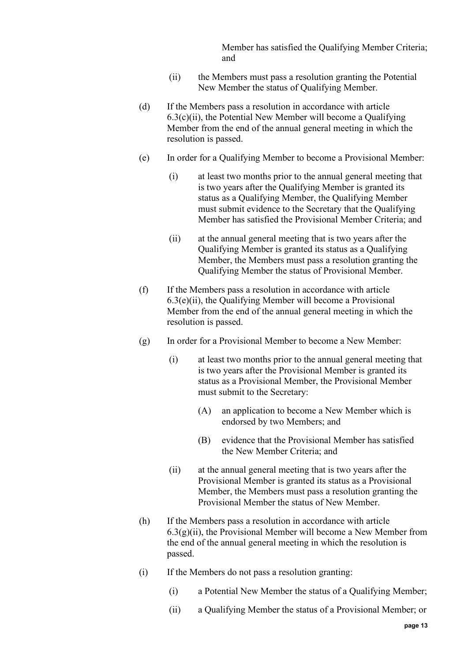Member has satisfied the Qualifying Member Criteria; and

- (ii) the Members must pass a resolution granting the Potential New Member the status of Qualifying Member.
- <span id="page-12-0"></span>(d) If the Members pass a resolution in accordance with article  $6.3(c)$ (ii), the Potential New Member will become a Qualifying Member from the end of the annual general meeting in which the resolution is passed.
- (e) In order for a Qualifying Member to become a Provisional Member:
	- (i) at least two months prior to the annual general meeting that is two years after the Qualifying Member is granted its status as a Qualifying Member, the Qualifying Member must submit evidence to the Secretary that the Qualifying Member has satisfied the Provisional Member Criteria; and
	- (ii) at the annual general meeting that is two years after the Qualifying Member is granted its status as a Qualifying Member, the Members must pass a resolution granting the Qualifying Member the status of Provisional Member.
- <span id="page-12-1"></span>(f) If the Members pass a resolution in accordance with article  $6.3(e)$ (ii), the Qualifying Member will become a Provisional Member from the end of the annual general meeting in which the resolution is passed.
- (g) In order for a Provisional Member to become a New Member:
	- (i) at least two months prior to the annual general meeting that is two years after the Provisional Member is granted its status as a Provisional Member, the Provisional Member must submit to the Secretary:
		- (A) an application to become a New Member which is endorsed by two Members; and
		- (B) evidence that the Provisional Member has satisfied the New Member Criteria; and
	- (ii) at the annual general meeting that is two years after the Provisional Member is granted its status as a Provisional Member, the Members must pass a resolution granting the Provisional Member the status of New Member.
- <span id="page-12-2"></span>(h) If the Members pass a resolution in accordance with article  $6.3(g)(ii)$ , the Provisional Member will become a New Member from the end of the annual general meeting in which the resolution is passed.
- (i) If the Members do not pass a resolution granting:
	- (i) a Potential New Member the status of a Qualifying Member;
	- (ii) a Qualifying Member the status of a Provisional Member; or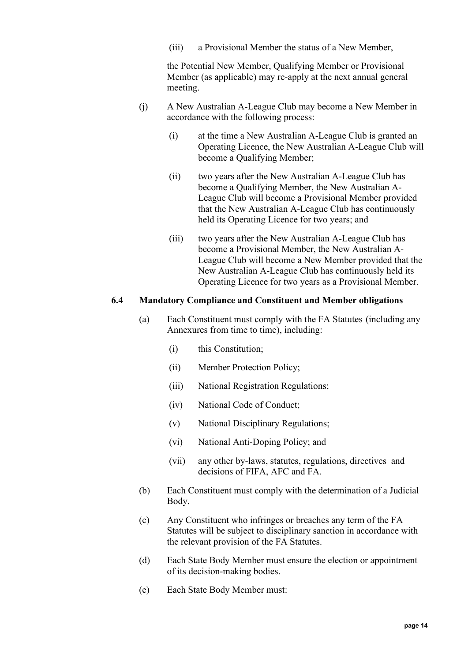(iii) a Provisional Member the status of a New Member,

the Potential New Member, Qualifying Member or Provisional Member (as applicable) may re-apply at the next annual general meeting.

- <span id="page-13-1"></span>(j) A New Australian A-League Club may become a New Member in accordance with the following process:
	- (i) at the time a New Australian A-League Club is granted an Operating Licence, the New Australian A-League Club will become a Qualifying Member;
	- (ii) two years after the New Australian A-League Club has become a Qualifying Member, the New Australian A-League Club will become a Provisional Member provided that the New Australian A-League Club has continuously held its Operating Licence for two years; and
	- (iii) two years after the New Australian A-League Club has become a Provisional Member, the New Australian A-League Club will become a New Member provided that the New Australian A-League Club has continuously held its Operating Licence for two years as a Provisional Member.

### <span id="page-13-0"></span>**6.4 Mandatory Compliance and Constituent and Member obligations**

- (a) Each Constituent must comply with the FA Statutes (including any Annexures from time to time), including:
	- (i) this Constitution;
	- (ii) Member Protection Policy;
	- (iii) National Registration Regulations;
	- (iv) National Code of Conduct;
	- (v) National Disciplinary Regulations;
	- (vi) National Anti-Doping Policy; and
	- (vii) any other by-laws, statutes, regulations, directives and decisions of FIFA, AFC and FA.
- (b) Each Constituent must comply with the determination of a Judicial Body.
- (c) Any Constituent who infringes or breaches any term of the FA Statutes will be subject to disciplinary sanction in accordance with the relevant provision of the FA Statutes.
- (d) Each State Body Member must ensure the election or appointment of its decision-making bodies.
- (e) Each State Body Member must: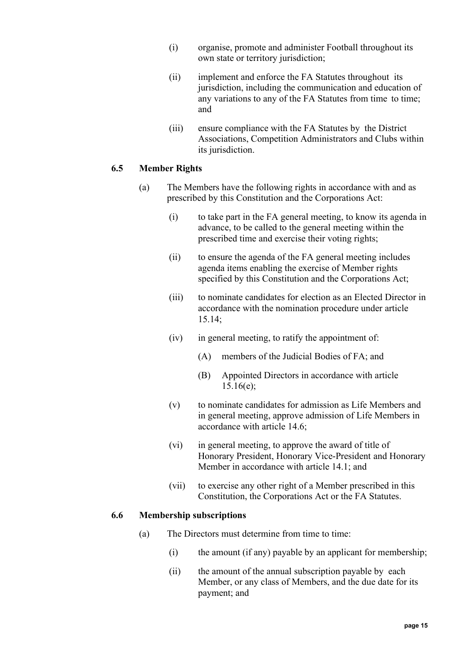- (i) organise, promote and administer Football throughout its own state or territory jurisdiction:
- (ii) implement and enforce the FA Statutes throughout its jurisdiction, including the communication and education of any variations to any of the FA Statutes from time to time; and
- (iii) ensure compliance with the FA Statutes by the District Associations, Competition Administrators and Clubs within its jurisdiction.

### <span id="page-14-0"></span>**6.5 Member Rights**

- (a) The Members have the following rights in accordance with and as prescribed by this Constitution and the Corporations Act:
	- (i) to take part in the FA general meeting, to know its agenda in advance, to be called to the general meeting within the prescribed time and exercise their voting rights;
	- (ii) to ensure the agenda of the FA general meeting includes agenda items enabling the exercise of Member rights specified by this Constitution and the Corporations Act;
	- (iii) to nominate candidates for election as an Elected Director in accordance with the nomination procedure under article [15.14;](#page-40-0)
	- (iv) in general meeting, to ratify the appointment of:
		- (A) members of the Judicial Bodies of FA; and
		- (B) Appointed Directors in accordance with article [15.16\(e\);](#page-41-1)
	- (v) to nominate candidates for admission as Life Members and in general meeting, approve admission of Life Members in accordance with article [14.6;](#page-33-1)
	- (vi) in general meeting, to approve the award of title of Honorary President, Honorary Vice-President and Honorary Member in accordance with article [14.1;](#page-32-2) and
	- (vii) to exercise any other right of a Member prescribed in this Constitution, the Corporations Act or the FA Statutes.

#### <span id="page-14-2"></span><span id="page-14-1"></span>**6.6 Membership subscriptions**

- (a) The Directors must determine from time to time:
	- (i) the amount (if any) payable by an applicant for membership;
	- (ii) the amount of the annual subscription payable by each Member, or any class of Members, and the due date for its payment; and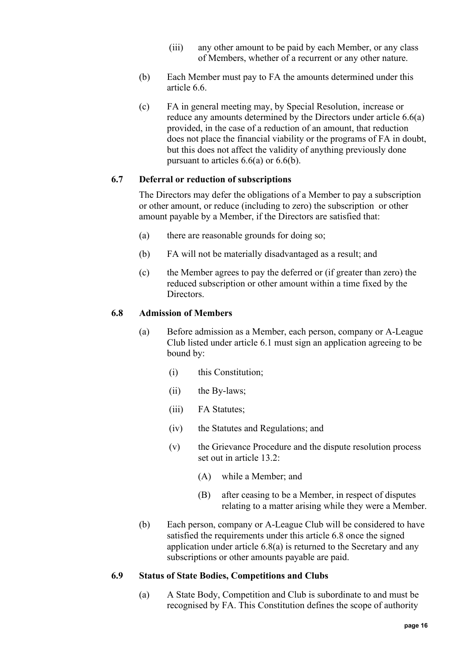- (iii) any other amount to be paid by each Member, or any class of Members, whether of a recurrent or any other nature.
- <span id="page-15-3"></span>(b) Each Member must pay to FA the amounts determined under this article [6.6.](#page-14-1)
- (c) FA in general meeting may, by Special Resolution, increase or reduce any amounts determined by the Directors under article [6.6\(a\)](#page-14-2) provided, in the case of a reduction of an amount, that reduction does not place the financial viability or the programs of FA in doubt, but this does not affect the validity of anything previously done pursuant to articles [6.6\(a\)](#page-14-2) or [6.6\(b\).](#page-15-3)

#### <span id="page-15-0"></span>**6.7 Deferral or reduction of subscriptions**

The Directors may defer the obligations of a Member to pay a subscription or other amount, or reduce (including to zero) the subscription or other amount payable by a Member, if the Directors are satisfied that:

- (a) there are reasonable grounds for doing so;
- (b) FA will not be materially disadvantaged as a result; and
- (c) the Member agrees to pay the deferred or (if greater than zero) the reduced subscription or other amount within a time fixed by the Directors.

#### <span id="page-15-4"></span><span id="page-15-1"></span>**6.8 Admission of Members**

- (a) Before admission as a Member, each person, company or A-League Club listed under article [6.1](#page-10-3) must sign an application agreeing to be bound by:
	- (i) this Constitution;
	- (ii) the By-laws;
	- (iii) FA Statutes;
	- (iv) the Statutes and Regulations; and
	- (v) the Grievance Procedure and the dispute resolution process set out in article [13.2:](#page-32-0)
		- (A) while a Member; and
		- (B) after ceasing to be a Member, in respect of disputes relating to a matter arising while they were a Member.
- (b) Each person, company or A-League Club will be considered to have satisfied the requirements under this article [6.8](#page-15-1) once the signed application under article [6.8\(a\)](#page-15-4) is returned to the Secretary and any subscriptions or other amounts payable are paid.

#### <span id="page-15-2"></span>**6.9 Status of State Bodies, Competitions and Clubs**

(a) A State Body, Competition and Club is subordinate to and must be recognised by FA. This Constitution defines the scope of authority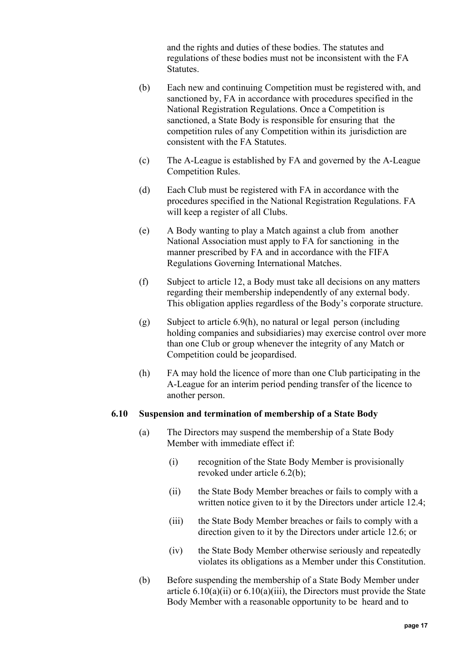and the rights and duties of these bodies. The statutes and regulations of these bodies must not be inconsistent with the FA **Statutes** 

- (b) Each new and continuing Competition must be registered with, and sanctioned by, FA in accordance with procedures specified in the National Registration Regulations. Once a Competition is sanctioned, a State Body is responsible for ensuring that the competition rules of any Competition within its jurisdiction are consistent with the FA Statutes.
- (c) The A-League is established by FA and governed by the A-League Competition Rules.
- (d) Each Club must be registered with FA in accordance with the procedures specified in the National Registration Regulations. FA will keep a register of all Clubs.
- (e) A Body wanting to play a Match against a club from another National Association must apply to FA for sanctioning in the manner prescribed by FA and in accordance with the FIFA Regulations Governing International Matches.
- (f) Subject to article [12,](#page-28-0) a Body must take all decisions on any matters regarding their membership independently of any external body. This obligation applies regardless of the Body's corporate structure.
- (g) Subject to article [6.9\(h\),](#page-16-1) no natural or legal person (including holding companies and subsidiaries) may exercise control over more than one Club or group whenever the integrity of any Match or Competition could be jeopardised.
- (h) FA may hold the licence of more than one Club participating in the A-League for an interim period pending transfer of the licence to another person.

#### <span id="page-16-2"></span><span id="page-16-1"></span><span id="page-16-0"></span>**6.10 Suspension and termination of membership of a State Body**

- (a) The Directors may suspend the membership of a State Body Member with immediate effect if:
	- (i) recognition of the State Body Member is provisionally revoked under article [6.2\(b\);](#page-11-3)
	- (ii) the State Body Member breaches or fails to comply with a written notice given to it by the Directors under article [12.4;](#page-29-1)
	- (iii) the State Body Member breaches or fails to comply with a direction given to it by the Directors under article [12.6;](#page-30-0) or
	- (iv) the State Body Member otherwise seriously and repeatedly violates its obligations as a Member under this Constitution.
- <span id="page-16-4"></span><span id="page-16-3"></span>(b) Before suspending the membership of a State Body Member under article  $6.10(a)(ii)$  or  $6.10(a)(iii)$ , the Directors must provide the State Body Member with a reasonable opportunity to be heard and to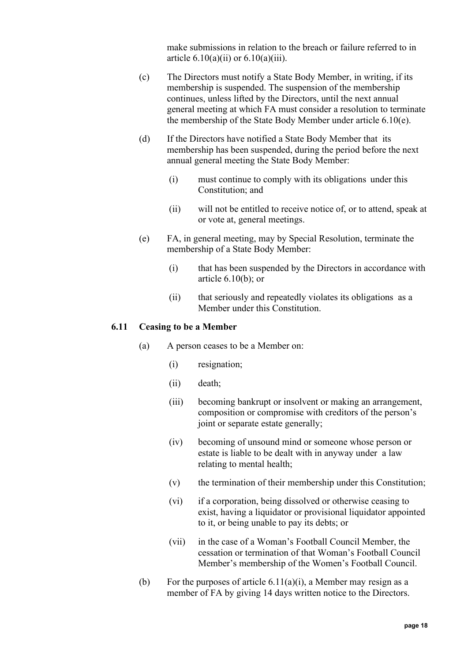make submissions in relation to the breach or failure referred to in article  $6.10(a)(ii)$  or  $6.10(a)(iii)$ .

- (c) The Directors must notify a State Body Member, in writing, if its membership is suspended. The suspension of the membership continues, unless lifted by the Directors, until the next annual general meeting at which FA must consider a resolution to terminate the membership of the State Body Member under article [6.10\(e\).](#page-17-1)
- (d) If the Directors have notified a State Body Member that its membership has been suspended, during the period before the next annual general meeting the State Body Member:
	- (i) must continue to comply with its obligations under this Constitution; and
	- (ii) will not be entitled to receive notice of, or to attend, speak at or vote at, general meetings.
- <span id="page-17-1"></span>(e) FA, in general meeting, may by Special Resolution, terminate the membership of a State Body Member:
	- (i) that has been suspended by the Directors in accordance with article  $6.10(b)$ ; or
	- (ii) that seriously and repeatedly violates its obligations as a Member under this Constitution.

### <span id="page-17-2"></span><span id="page-17-0"></span>**6.11 Ceasing to be a Member**

- (a) A person ceases to be a Member on:
	- (i) resignation;
	- (ii) death;
	- (iii) becoming bankrupt or insolvent or making an arrangement, composition or compromise with creditors of the person's joint or separate estate generally;
	- (iv) becoming of unsound mind or someone whose person or estate is liable to be dealt with in anyway under a law relating to mental health;
	- (v) the termination of their membership under this Constitution;
	- (vi) if a corporation, being dissolved or otherwise ceasing to exist, having a liquidator or provisional liquidator appointed to it, or being unable to pay its debts; or
	- (vii) in the case of a Woman's Football Council Member, the cessation or termination of that Woman's Football Council Member's membership of the Women's Football Council.
- (b) For the purposes of article  $6.11(a)(i)$ , a Member may resign as a member of FA by giving 14 days written notice to the Directors.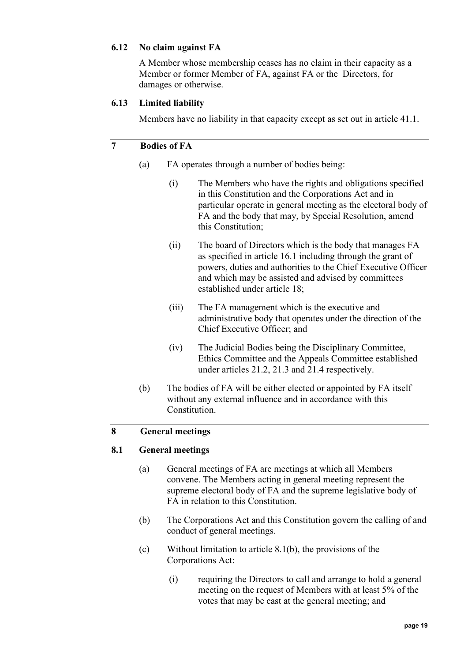### <span id="page-18-0"></span>**6.12 No claim against FA**

A Member whose membership ceases has no claim in their capacity as a Member or former Member of FA, against FA or the Directors, for damages or otherwise.

### <span id="page-18-1"></span>**6.13 Limited liability**

Members have no liability in that capacity except as set out in article [41.1.](#page-83-1)

### <span id="page-18-2"></span>**7 Bodies of FA**

- (a) FA operates through a number of bodies being:
	- (i) The Members who have the rights and obligations specified in this Constitution and the Corporations Act and in particular operate in general meeting as the electoral body of FA and the body that may, by Special Resolution, amend this Constitution;
	- (ii) The board of Directors which is the body that manages FA as specified in article [16.1](#page-43-4) including through the grant of powers, duties and authorities to the Chief Executive Officer and which may be assisted and advised by committees established under article [18;](#page-50-0)
	- (iii) The FA management which is the executive and administrative body that operates under the direction of the Chief Executive Officer; and
	- (iv) The Judicial Bodies being the Disciplinary Committee, Ethics Committee and the Appeals Committee established under articles [21.2,](#page-70-3) [21.3](#page-71-0) and [21.4](#page-71-1) respectively.
- (b) The bodies of FA will be either elected or appointed by FA itself without any external influence and in accordance with this Constitution.

# <span id="page-18-4"></span><span id="page-18-3"></span>**8 General meetings**

#### **8.1 General meetings**

- (a) General meetings of FA are meetings at which all Members convene. The Members acting in general meeting represent the supreme electoral body of FA and the supreme legislative body of FA in relation to this Constitution.
- <span id="page-18-5"></span>(b) The Corporations Act and this Constitution govern the calling of and conduct of general meetings.
- (c) Without limitation to article [8.1\(b\),](#page-18-5) the provisions of the Corporations Act:
	- (i) requiring the Directors to call and arrange to hold a general meeting on the request of Members with at least 5% of the votes that may be cast at the general meeting; and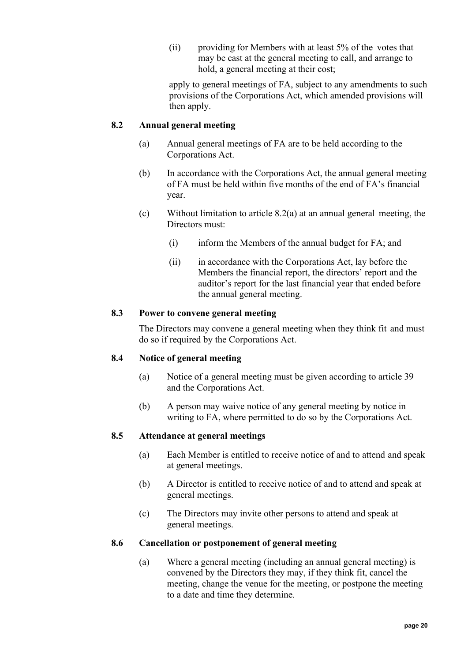(ii) providing for Members with at least 5% of the votes that may be cast at the general meeting to call, and arrange to hold, a general meeting at their cost;

apply to general meetings of FA, subject to any amendments to such provisions of the Corporations Act, which amended provisions will then apply.

### <span id="page-19-5"></span><span id="page-19-0"></span>**8.2 Annual general meeting**

- (a) Annual general meetings of FA are to be held according to the Corporations Act.
- (b) In accordance with the Corporations Act, the annual general meeting of FA must be held within five months of the end of FA's financial year.
- (c) Without limitation to article [8.2\(a\)](#page-19-5) at an annual general meeting, the Directors must:
	- (i) inform the Members of the annual budget for FA; and
	- (ii) in accordance with the Corporations Act, lay before the Members the financial report, the directors' report and the auditor's report for the last financial year that ended before the annual general meeting.

### <span id="page-19-1"></span>**8.3 Power to convene general meeting**

The Directors may convene a general meeting when they think fit and must do so if required by the Corporations Act.

### <span id="page-19-2"></span>**8.4 Notice of general meeting**

- (a) Notice of a general meeting must be given according to article [39](#page-81-6) and the Corporations Act.
- (b) A person may waive notice of any general meeting by notice in writing to FA, where permitted to do so by the Corporations Act.

### <span id="page-19-6"></span><span id="page-19-3"></span>**8.5 Attendance at general meetings**

- (a) Each Member is entitled to receive notice of and to attend and speak at general meetings.
- (b) A Director is entitled to receive notice of and to attend and speak at general meetings.
- (c) The Directors may invite other persons to attend and speak at general meetings.

#### <span id="page-19-4"></span>**8.6 Cancellation or postponement of general meeting**

(a) Where a general meeting (including an annual general meeting) is convened by the Directors they may, if they think fit, cancel the meeting, change the venue for the meeting, or postpone the meeting to a date and time they determine.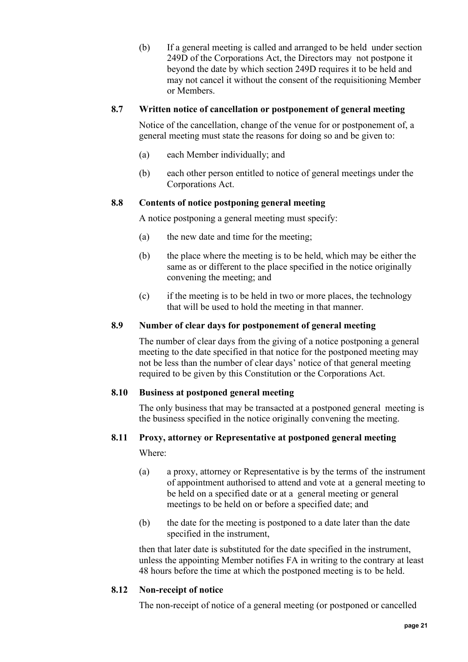(b) If a general meeting is called and arranged to be held under section 249D of the Corporations Act, the Directors may not postpone it beyond the date by which section 249D requires it to be held and may not cancel it without the consent of the requisitioning Member or Members.

### <span id="page-20-0"></span>**8.7 Written notice of cancellation or postponement of general meeting**

Notice of the cancellation, change of the venue for or postponement of, a general meeting must state the reasons for doing so and be given to:

- (a) each Member individually; and
- (b) each other person entitled to notice of general meetings under the Corporations Act.

### <span id="page-20-1"></span>**8.8 Contents of notice postponing general meeting**

A notice postponing a general meeting must specify:

- (a) the new date and time for the meeting;
- (b) the place where the meeting is to be held, which may be either the same as or different to the place specified in the notice originally convening the meeting; and
- (c) if the meeting is to be held in two or more places, the technology that will be used to hold the meeting in that manner.

## <span id="page-20-2"></span>**8.9 Number of clear days for postponement of general meeting**

The number of clear days from the giving of a notice postponing a general meeting to the date specified in that notice for the postponed meeting may not be less than the number of clear days' notice of that general meeting required to be given by this Constitution or the Corporations Act.

### <span id="page-20-3"></span>**8.10 Business at postponed general meeting**

The only business that may be transacted at a postponed general meeting is the business specified in the notice originally convening the meeting.

### <span id="page-20-4"></span>**8.11 Proxy, attorney or Representative at postponed general meeting**

Where:

- (a) a proxy, attorney or Representative is by the terms of the instrument of appointment authorised to attend and vote at a general meeting to be held on a specified date or at a general meeting or general meetings to be held on or before a specified date; and
- (b) the date for the meeting is postponed to a date later than the date specified in the instrument,

then that later date is substituted for the date specified in the instrument, unless the appointing Member notifies FA in writing to the contrary at least 48 hours before the time at which the postponed meeting is to be held.

### <span id="page-20-5"></span>**8.12 Non-receipt of notice**

The non-receipt of notice of a general meeting (or postponed or cancelled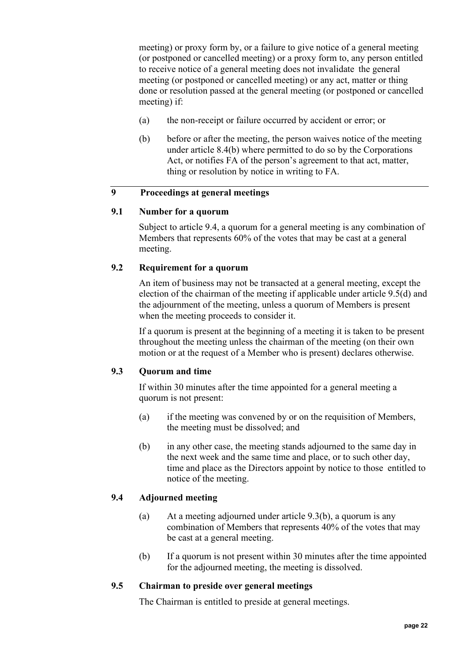meeting) or proxy form by, or a failure to give notice of a general meeting (or postponed or cancelled meeting) or a proxy form to, any person entitled to receive notice of a general meeting does not invalidate the general meeting (or postponed or cancelled meeting) or any act, matter or thing done or resolution passed at the general meeting (or postponed or cancelled meeting) if:

- (a) the non-receipt or failure occurred by accident or error; or
- (b) before or after the meeting, the person waives notice of the meeting under article [8.4\(b\)](#page-19-6) where permitted to do so by the Corporations Act, or notifies FA of the person's agreement to that act, matter, thing or resolution by notice in writing to FA.

### <span id="page-21-1"></span><span id="page-21-0"></span>**9 Proceedings at general meetings**

### **9.1 Number for a quorum**

Subject to article [9.4,](#page-21-4) a quorum for a general meeting is any combination of Members that represents 60% of the votes that may be cast at a general meeting.

### <span id="page-21-2"></span>**9.2 Requirement for a quorum**

An item of business may not be transacted at a general meeting, except the election of the chairman of the meeting if applicable under article [9.5\(d\)](#page-22-2) and the adjournment of the meeting, unless a quorum of Members is present when the meeting proceeds to consider it.

If a quorum is present at the beginning of a meeting it is taken to be present throughout the meeting unless the chairman of the meeting (on their own motion or at the request of a Member who is present) declares otherwise.

### <span id="page-21-3"></span>**9.3 Quorum and time**

If within 30 minutes after the time appointed for a general meeting a quorum is not present:

- (a) if the meeting was convened by or on the requisition of Members, the meeting must be dissolved; and
- <span id="page-21-6"></span>(b) in any other case, the meeting stands adjourned to the same day in the next week and the same time and place, or to such other day, time and place as the Directors appoint by notice to those entitled to notice of the meeting.

### <span id="page-21-4"></span>**9.4 Adjourned meeting**

- (a) At a meeting adjourned under article [9.3\(b\),](#page-21-6) a quorum is any combination of Members that represents 40% of the votes that may be cast at a general meeting.
- (b) If a quorum is not present within 30 minutes after the time appointed for the adjourned meeting, the meeting is dissolved.

#### <span id="page-21-5"></span>**9.5 Chairman to preside over general meetings**

The Chairman is entitled to preside at general meetings.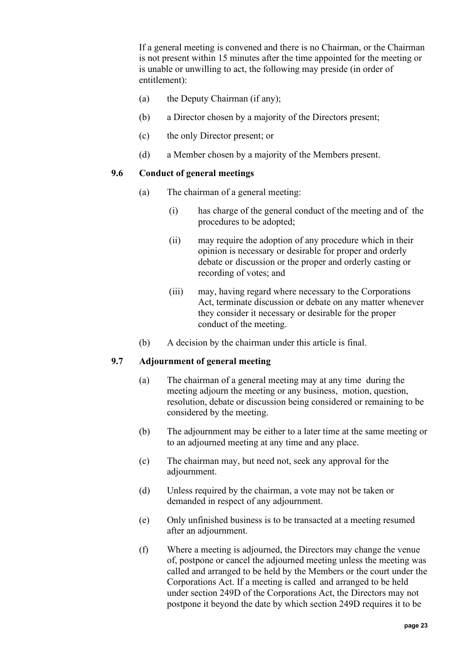If a general meeting is convened and there is no Chairman, or the Chairman is not present within 15 minutes after the time appointed for the meeting or is unable or unwilling to act, the following may preside (in order of entitlement):

- (a) the Deputy Chairman (if any);
- (b) a Director chosen by a majority of the Directors present;
- (c) the only Director present; or
- (d) a Member chosen by a majority of the Members present.

#### <span id="page-22-2"></span><span id="page-22-0"></span>**9.6 Conduct of general meetings**

- (a) The chairman of a general meeting:
	- (i) has charge of the general conduct of the meeting and of the procedures to be adopted;
	- (ii) may require the adoption of any procedure which in their opinion is necessary or desirable for proper and orderly debate or discussion or the proper and orderly casting or recording of votes; and
	- (iii) may, having regard where necessary to the Corporations Act, terminate discussion or debate on any matter whenever they consider it necessary or desirable for the proper conduct of the meeting.
- (b) A decision by the chairman under this article is final.

### <span id="page-22-1"></span>**9.7 Adjournment of general meeting**

- (a) The chairman of a general meeting may at any time during the meeting adjourn the meeting or any business, motion, question, resolution, debate or discussion being considered or remaining to be considered by the meeting.
- (b) The adjournment may be either to a later time at the same meeting or to an adjourned meeting at any time and any place.
- (c) The chairman may, but need not, seek any approval for the adjournment.
- (d) Unless required by the chairman, a vote may not be taken or demanded in respect of any adjournment.
- (e) Only unfinished business is to be transacted at a meeting resumed after an adjournment.
- (f) Where a meeting is adjourned, the Directors may change the venue of, postpone or cancel the adjourned meeting unless the meeting was called and arranged to be held by the Members or the court under the Corporations Act. If a meeting is called and arranged to be held under section 249D of the Corporations Act, the Directors may not postpone it beyond the date by which section 249D requires it to be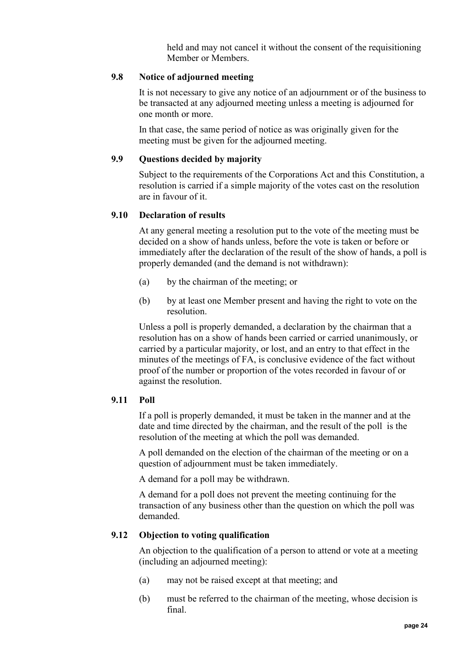held and may not cancel it without the consent of the requisitioning Member or Members.

### <span id="page-23-0"></span>**9.8 Notice of adjourned meeting**

It is not necessary to give any notice of an adjournment or of the business to be transacted at any adjourned meeting unless a meeting is adjourned for one month or more.

In that case, the same period of notice as was originally given for the meeting must be given for the adjourned meeting.

### <span id="page-23-1"></span>**9.9 Questions decided by majority**

Subject to the requirements of the Corporations Act and this Constitution, a resolution is carried if a simple majority of the votes cast on the resolution are in favour of it.

#### <span id="page-23-2"></span>**9.10 Declaration of results**

At any general meeting a resolution put to the vote of the meeting must be decided on a show of hands unless, before the vote is taken or before or immediately after the declaration of the result of the show of hands, a poll is properly demanded (and the demand is not withdrawn):

- (a) by the chairman of the meeting; or
- (b) by at least one Member present and having the right to vote on the resolution.

Unless a poll is properly demanded, a declaration by the chairman that a resolution has on a show of hands been carried or carried unanimously, or carried by a particular majority, or lost, and an entry to that effect in the minutes of the meetings of FA, is conclusive evidence of the fact without proof of the number or proportion of the votes recorded in favour of or against the resolution.

#### <span id="page-23-3"></span>**9.11 Poll**

If a poll is properly demanded, it must be taken in the manner and at the date and time directed by the chairman, and the result of the poll is the resolution of the meeting at which the poll was demanded.

A poll demanded on the election of the chairman of the meeting or on a question of adjournment must be taken immediately.

A demand for a poll may be withdrawn.

A demand for a poll does not prevent the meeting continuing for the transaction of any business other than the question on which the poll was demanded.

#### <span id="page-23-4"></span>**9.12 Objection to voting qualification**

An objection to the qualification of a person to attend or vote at a meeting (including an adjourned meeting):

- (a) may not be raised except at that meeting; and
- (b) must be referred to the chairman of the meeting, whose decision is final.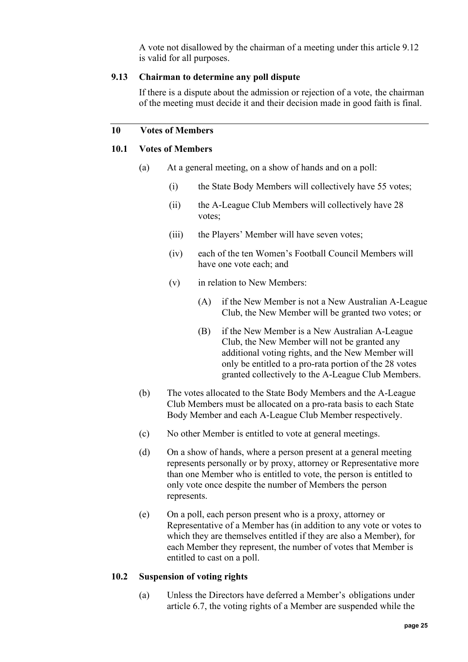A vote not disallowed by the chairman of a meeting under this article 9.12 is valid for all purposes.

#### <span id="page-24-0"></span>**9.13 Chairman to determine any poll dispute**

If there is a dispute about the admission or rejection of a vote, the chairman of the meeting must decide it and their decision made in good faith is final.

### <span id="page-24-2"></span><span id="page-24-1"></span>**10 Votes of Members**

### **10.1 Votes of Members**

- (a) At a general meeting, on a show of hands and on a poll:
	- (i) the State Body Members will collectively have 55 votes;
	- (ii) the A-League Club Members will collectively have 28 votes;
	- (iii) the Players' Member will have seven votes;
	- (iv) each of the ten Women's Football Council Members will have one vote each; and
	- (v) in relation to New Members:
		- (A) if the New Member is not a New Australian A-League Club, the New Member will be granted two votes; or
		- (B) if the New Member is a New Australian A-League Club, the New Member will not be granted any additional voting rights, and the New Member will only be entitled to a pro-rata portion of the 28 votes granted collectively to the A-League Club Members.
- (b) The votes allocated to the State Body Members and the A-League Club Members must be allocated on a pro-rata basis to each State Body Member and each A-League Club Member respectively.
- (c) No other Member is entitled to vote at general meetings.
- (d) On a show of hands, where a person present at a general meeting represents personally or by proxy, attorney or Representative more than one Member who is entitled to vote, the person is entitled to only vote once despite the number of Members the person represents.
- (e) On a poll, each person present who is a proxy, attorney or Representative of a Member has (in addition to any vote or votes to which they are themselves entitled if they are also a Member), for each Member they represent, the number of votes that Member is entitled to cast on a poll.

#### <span id="page-24-3"></span>**10.2 Suspension of voting rights**

(a) Unless the Directors have deferred a Member's obligations under article [6.7,](#page-15-0) the voting rights of a Member are suspended while the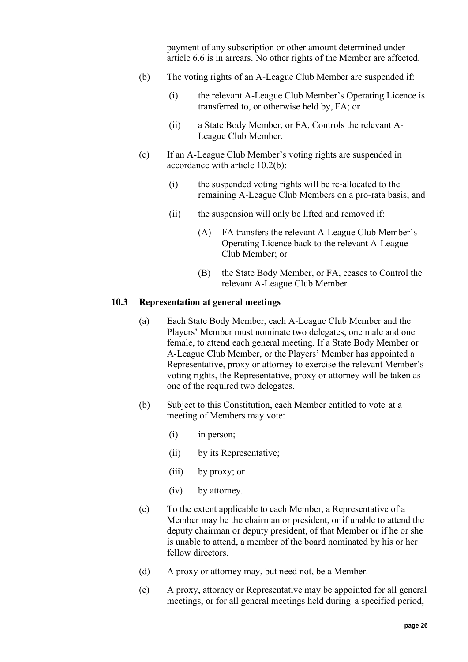payment of any subscription or other amount determined under article [6.6](#page-14-1) is in arrears. No other rights of the Member are affected.

- <span id="page-25-1"></span>(b) The voting rights of an A-League Club Member are suspended if:
	- (i) the relevant A-League Club Member's Operating Licence is transferred to, or otherwise held by, FA; or
	- (ii) a State Body Member, or FA, Controls the relevant A-League Club Member.
- (c) If an A-League Club Member's voting rights are suspended in accordance with article [10.2\(b\):](#page-25-1)
	- (i) the suspended voting rights will be re-allocated to the remaining A-League Club Members on a pro-rata basis; and
	- (ii) the suspension will only be lifted and removed if:
		- (A) FA transfers the relevant A-League Club Member's Operating Licence back to the relevant A-League Club Member; or
		- (B) the State Body Member, or FA, ceases to Control the relevant A-League Club Member.

#### <span id="page-25-0"></span>**10.3 Representation at general meetings**

- (a) Each State Body Member, each A-League Club Member and the Players' Member must nominate two delegates, one male and one female, to attend each general meeting. If a State Body Member or A-League Club Member, or the Players' Member has appointed a Representative, proxy or attorney to exercise the relevant Member's voting rights, the Representative, proxy or attorney will be taken as one of the required two delegates.
- (b) Subject to this Constitution, each Member entitled to vote at a meeting of Members may vote:
	- (i) in person;
	- (ii) by its Representative;
	- (iii) by proxy; or
	- (iv) by attorney.
- (c) To the extent applicable to each Member, a Representative of a Member may be the chairman or president, or if unable to attend the deputy chairman or deputy president, of that Member or if he or she is unable to attend, a member of the board nominated by his or her fellow directors.
- (d) A proxy or attorney may, but need not, be a Member.
- (e) A proxy, attorney or Representative may be appointed for all general meetings, or for all general meetings held during a specified period,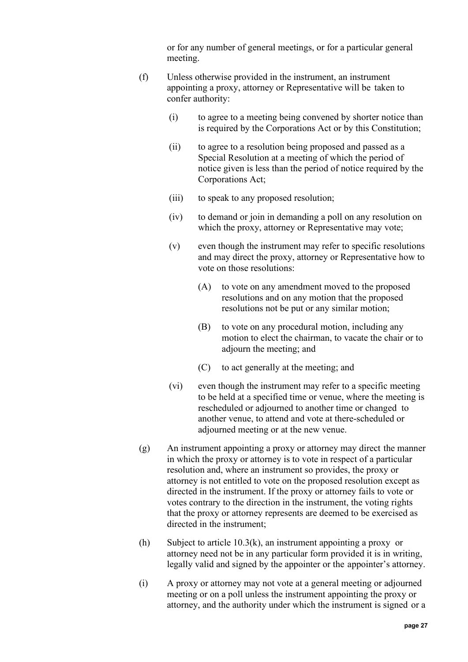or for any number of general meetings, or for a particular general meeting.

- (f) Unless otherwise provided in the instrument, an instrument appointing a proxy, attorney or Representative will be taken to confer authority:
	- (i) to agree to a meeting being convened by shorter notice than is required by the Corporations Act or by this Constitution;
	- (ii) to agree to a resolution being proposed and passed as a Special Resolution at a meeting of which the period of notice given is less than the period of notice required by the Corporations Act;
	- (iii) to speak to any proposed resolution;
	- (iv) to demand or join in demanding a poll on any resolution on which the proxy, attorney or Representative may vote;
	- (v) even though the instrument may refer to specific resolutions and may direct the proxy, attorney or Representative how to vote on those resolutions:
		- (A) to vote on any amendment moved to the proposed resolutions and on any motion that the proposed resolutions not be put or any similar motion;
		- (B) to vote on any procedural motion, including any motion to elect the chairman, to vacate the chair or to adjourn the meeting; and
		- (C) to act generally at the meeting; and
	- (vi) even though the instrument may refer to a specific meeting to be held at a specified time or venue, where the meeting is rescheduled or adjourned to another time or changed to another venue, to attend and vote at there-scheduled or adjourned meeting or at the new venue.
- (g) An instrument appointing a proxy or attorney may direct the manner in which the proxy or attorney is to vote in respect of a particular resolution and, where an instrument so provides, the proxy or attorney is not entitled to vote on the proposed resolution except as directed in the instrument. If the proxy or attorney fails to vote or votes contrary to the direction in the instrument, the voting rights that the proxy or attorney represents are deemed to be exercised as directed in the instrument;
- <span id="page-26-0"></span>(h) Subject to article [10.3\(k\),](#page-27-1) an instrument appointing a proxy or attorney need not be in any particular form provided it is in writing, legally valid and signed by the appointer or the appointer's attorney.
- <span id="page-26-1"></span>(i) A proxy or attorney may not vote at a general meeting or adjourned meeting or on a poll unless the instrument appointing the proxy or attorney, and the authority under which the instrument is signed or a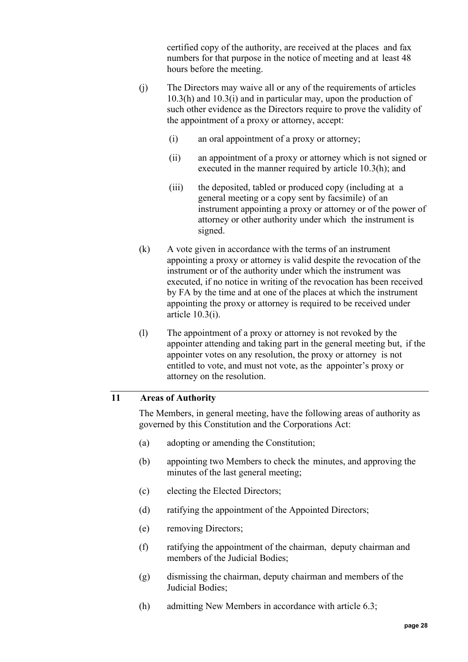certified copy of the authority, are received at the places and fax numbers for that purpose in the notice of meeting and at least 48 hours before the meeting.

- (j) The Directors may waive all or any of the requirements of articles [10.3\(h\)](#page-26-0) and [10.3\(i\)](#page-26-1) and in particular may, upon the production of such other evidence as the Directors require to prove the validity of the appointment of a proxy or attorney, accept:
	- (i) an oral appointment of a proxy or attorney;
	- (ii) an appointment of a proxy or attorney which is not signed or executed in the manner required by article [10.3\(h\);](#page-26-0) and
	- (iii) the deposited, tabled or produced copy (including at a general meeting or a copy sent by facsimile) of an instrument appointing a proxy or attorney or of the power of attorney or other authority under which the instrument is signed.
- <span id="page-27-1"></span>(k) A vote given in accordance with the terms of an instrument appointing a proxy or attorney is valid despite the revocation of the instrument or of the authority under which the instrument was executed, if no notice in writing of the revocation has been received by FA by the time and at one of the places at which the instrument appointing the proxy or attorney is required to be received under article [10.3\(i\).](#page-26-1)
- (l) The appointment of a proxy or attorney is not revoked by the appointer attending and taking part in the general meeting but, if the appointer votes on any resolution, the proxy or attorney is not entitled to vote, and must not vote, as the appointer's proxy or attorney on the resolution.

### <span id="page-27-0"></span>**11 Areas of Authority**

The Members, in general meeting, have the following areas of authority as governed by this Constitution and the Corporations Act:

- (a) adopting or amending the Constitution;
- (b) appointing two Members to check the minutes, and approving the minutes of the last general meeting;
- (c) electing the Elected Directors;
- (d) ratifying the appointment of the Appointed Directors;
- (e) removing Directors;
- (f) ratifying the appointment of the chairman, deputy chairman and members of the Judicial Bodies;
- (g) dismissing the chairman, deputy chairman and members of the Judicial Bodies;
- (h) admitting New Members in accordance with article [6.3;](#page-11-1)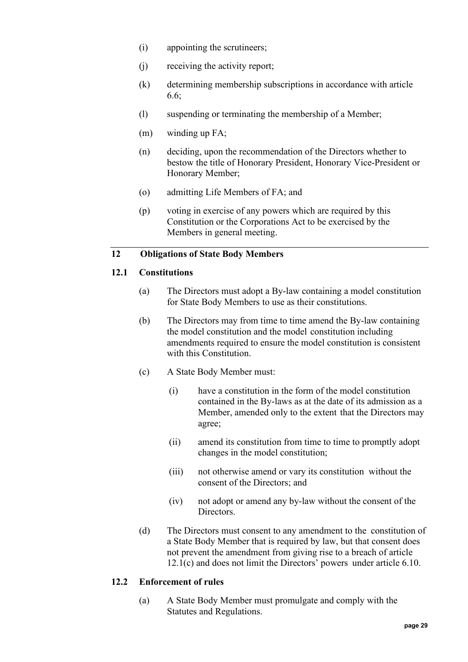- (i) appointing the scrutineers;
- (j) receiving the activity report;
- (k) determining membership subscriptions in accordance with article [6.6;](#page-14-1)
- (l) suspending or terminating the membership of a Member;
- (m) winding up FA;
- (n) deciding, upon the recommendation of the Directors whether to bestow the title of Honorary President, Honorary Vice-President or Honorary Member;
- (o) admitting Life Members of FA; and
- (p) voting in exercise of any powers which are required by this Constitution or the Corporations Act to be exercised by the Members in general meeting.

### <span id="page-28-1"></span><span id="page-28-0"></span>**12 Obligations of State Body Members**

### **12.1 Constitutions**

- (a) The Directors must adopt a By-law containing a model constitution for State Body Members to use as their constitutions.
- (b) The Directors may from time to time amend the By-law containing the model constitution and the model constitution including amendments required to ensure the model constitution is consistent with this Constitution.
- <span id="page-28-3"></span>(c) A State Body Member must:
	- (i) have a constitution in the form of the model constitution contained in the By-laws as at the date of its admission as a Member, amended only to the extent that the Directors may agree;
	- (ii) amend its constitution from time to time to promptly adopt changes in the model constitution;
	- (iii) not otherwise amend or vary its constitution without the consent of the Directors; and
	- (iv) not adopt or amend any by-law without the consent of the Directors.
- (d) The Directors must consent to any amendment to the constitution of a State Body Member that is required by law, but that consent does not prevent the amendment from giving rise to a breach of article [12.1\(c\)](#page-28-3) and does not limit the Directors' powers under article [6.10.](#page-16-0)

### <span id="page-28-2"></span>**12.2 Enforcement of rules**

(a) A State Body Member must promulgate and comply with the Statutes and Regulations.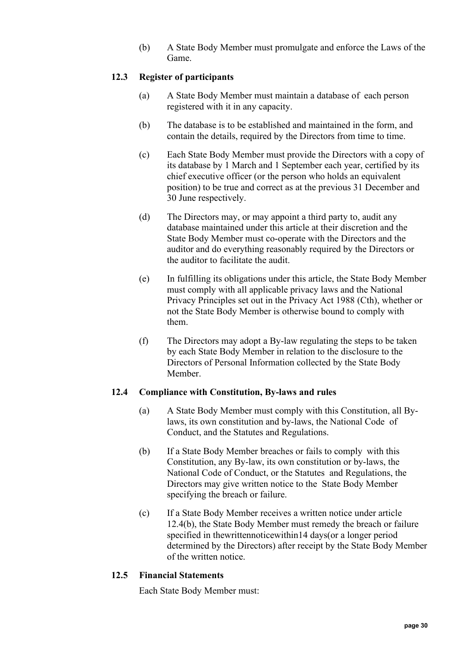(b) A State Body Member must promulgate and enforce the Laws of the Game.

### <span id="page-29-0"></span>**12.3 Register of participants**

- (a) A State Body Member must maintain a database of each person registered with it in any capacity.
- (b) The database is to be established and maintained in the form, and contain the details, required by the Directors from time to time.
- (c) Each State Body Member must provide the Directors with a copy of its database by 1 March and 1 September each year, certified by its chief executive officer (or the person who holds an equivalent position) to be true and correct as at the previous 31 December and 30 June respectively.
- (d) The Directors may, or may appoint a third party to, audit any database maintained under this article at their discretion and the State Body Member must co-operate with the Directors and the auditor and do everything reasonably required by the Directors or the auditor to facilitate the audit.
- (e) In fulfilling its obligations under this article, the State Body Member must comply with all applicable privacy laws and the National Privacy Principles set out in the Privacy Act 1988 (Cth), whether or not the State Body Member is otherwise bound to comply with them.
- (f) The Directors may adopt a By-law regulating the steps to be taken by each State Body Member in relation to the disclosure to the Directors of Personal Information collected by the State Body Member.

#### <span id="page-29-3"></span><span id="page-29-1"></span>**12.4 Compliance with Constitution, By-laws and rules**

- (a) A State Body Member must comply with this Constitution, all Bylaws, its own constitution and by-laws, the National Code of Conduct, and the Statutes and Regulations.
- (b) If a State Body Member breaches or fails to comply with this Constitution, any By-law, its own constitution or by-laws, the National Code of Conduct, or the Statutes and Regulations, the Directors may give written notice to the State Body Member specifying the breach or failure.
- (c) If a State Body Member receives a written notice under article [12.4\(b\),](#page-29-3) the State Body Member must remedy the breach or failure specified in thewrittennoticewithin14 days(or a longer period determined by the Directors) after receipt by the State Body Member of the written notice.

#### <span id="page-29-2"></span>**12.5 Financial Statements**

Each State Body Member must: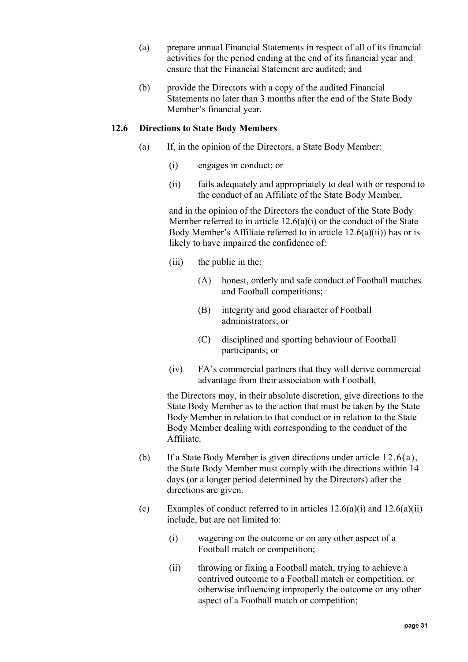- (a) prepare annual Financial Statements in respect of all of its financial activities for the period ending at the end of its financial year and ensure that the Financial Statement are audited; and
- (b) provide the Directors with a copy of the audited Financial Statements no later than 3 months after the end of the State Body Member's financial year.

### <span id="page-30-3"></span><span id="page-30-2"></span><span id="page-30-1"></span><span id="page-30-0"></span>**12.6 Directions to State Body Members**

- (a) If, in the opinion of the Directors, a State Body Member:
	- (i) engages in conduct; or
	- (ii) fails adequately and appropriately to deal with or respond to the conduct of an Affiliate of the State Body Member,

and in the opinion of the Directors the conduct of the State Body Member referred to in article [12.6\(a\)\(i\)](#page-30-1) or the conduct of the State Body Member's Affiliate referred to in article  $12.6(a)(ii)$ ) has or is likely to have impaired the confidence of:

- (iii) the public in the:
	- (A) honest, orderly and safe conduct of Football matches and Football competitions;
	- (B) integrity and good character of Football administrators; or
	- (C) disciplined and sporting behaviour of Football participants; or
- (iv) FA's commercial partners that they will derive commercial advantage from their association with Football,

the Directors may, in their absolute discretion, give directions to the State Body Member as to the action that must be taken by the State Body Member in relation to that conduct or in relation to the State Body Member dealing with corresponding to the conduct of the Affiliate.

- (b) If a State Body Member is given directions under article [12.6\(a\),](#page-30-3) the State Body Member must comply with the directions within 14 days (or a longer period determined by the Directors) after the directions are given.
- <span id="page-30-5"></span><span id="page-30-4"></span>(c) Examples of conduct referred to in articles  $12.6(a)(i)$  and  $12.6(a)(ii)$ include, but are not limited to:
	- (i) wagering on the outcome or on any other aspect of a Football match or competition;
	- (ii) throwing or fixing a Football match, trying to achieve a contrived outcome to a Football match or competition, or otherwise influencing improperly the outcome or any other aspect of a Football match or competition;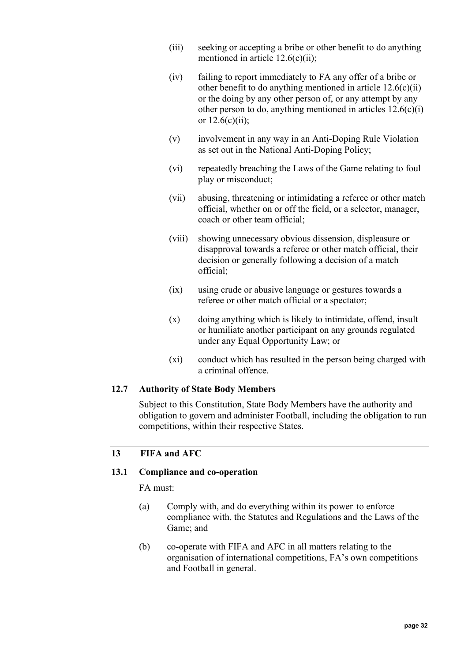- (iii) seeking or accepting a bribe or other benefit to do anything mentioned in article [12.6\(c\)\(ii\);](#page-30-4)
- (iv) failing to report immediately to FA any offer of a bribe or other benefit to do anything mentioned in article  $12.6(c)(ii)$ or the doing by any other person of, or any attempt by any other person to do, anything mentioned in articles  $12.6(c)(i)$ or  $12.6(c)(ii)$ ;
- (v) involvement in any way in an Anti-Doping Rule Violation as set out in the National Anti-Doping Policy;
- (vi) repeatedly breaching the Laws of the Game relating to foul play or misconduct;
- (vii) abusing, threatening or intimidating a referee or other match official, whether on or off the field, or a selector, manager, coach or other team official;
- (viii) showing unnecessary obvious dissension, displeasure or disapproval towards a referee or other match official, their decision or generally following a decision of a match official;
- (ix) using crude or abusive language or gestures towards a referee or other match official or a spectator;
- (x) doing anything which is likely to intimidate, offend, insult or humiliate another participant on any grounds regulated under any Equal Opportunity Law; or
- (xi) conduct which has resulted in the person being charged with a criminal offence.

### <span id="page-31-0"></span>**12.7 Authority of State Body Members**

Subject to this Constitution, State Body Members have the authority and obligation to govern and administer Football, including the obligation to run competitions, within their respective States.

### <span id="page-31-2"></span><span id="page-31-1"></span>**13 FIFA and AFC**

#### **13.1 Compliance and co-operation**

FA must:

- (a) Comply with, and do everything within its power to enforce compliance with, the Statutes and Regulations and the Laws of the Game; and
- (b) co-operate with FIFA and AFC in all matters relating to the organisation of international competitions, FA's own competitions and Football in general.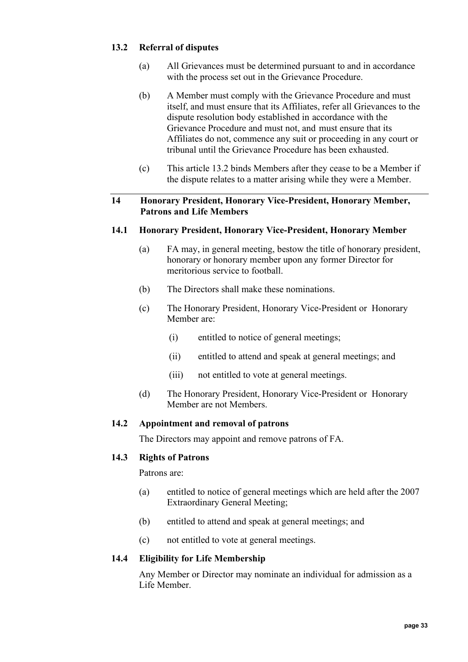## <span id="page-32-0"></span>**13.2 Referral of disputes**

- (a) All Grievances must be determined pursuant to and in accordance with the process set out in the Grievance Procedure.
- (b) A Member must comply with the Grievance Procedure and must itself, and must ensure that its Affiliates, refer all Grievances to the dispute resolution body established in accordance with the Grievance Procedure and must not, and must ensure that its Affiliates do not, commence any suit or proceeding in any court or tribunal until the Grievance Procedure has been exhausted.
- (c) This article [13.2](#page-32-0) binds Members after they cease to be a Member if the dispute relates to a matter arising while they were a Member.

### <span id="page-32-1"></span>**14 Honorary President, Honorary Vice-President, Honorary Member, Patrons and Life Members**

### <span id="page-32-2"></span>**14.1 Honorary President, Honorary Vice-President, Honorary Member**

- (a) FA may, in general meeting, bestow the title of honorary president, honorary or honorary member upon any former Director for meritorious service to football.
- (b) The Directors shall make these nominations.
- (c) The Honorary President, Honorary Vice-President or Honorary Member are:
	- (i) entitled to notice of general meetings;
	- (ii) entitled to attend and speak at general meetings; and
	- (iii) not entitled to vote at general meetings.
- (d) The Honorary President, Honorary Vice-President or Honorary Member are not Members.

### <span id="page-32-3"></span>**14.2 Appointment and removal of patrons**

The Directors may appoint and remove patrons of FA.

#### <span id="page-32-4"></span>**14.3 Rights of Patrons**

Patrons are:

- (a) entitled to notice of general meetings which are held after the 2007 Extraordinary General Meeting;
- (b) entitled to attend and speak at general meetings; and
- (c) not entitled to vote at general meetings.

#### <span id="page-32-5"></span>**14.4 Eligibility for Life Membership**

Any Member or Director may nominate an individual for admission as a Life Member.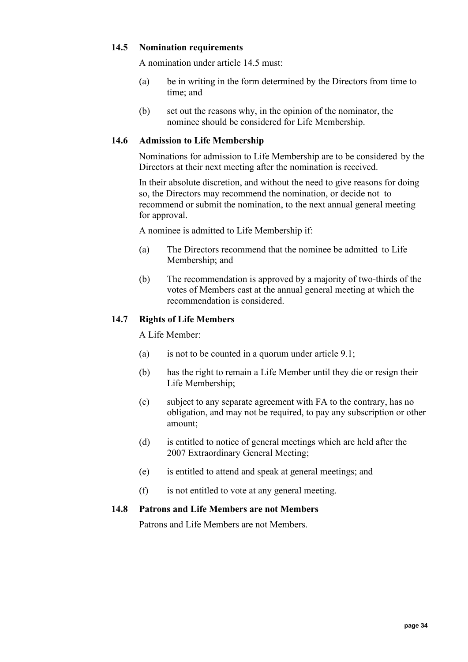### <span id="page-33-0"></span>**14.5 Nomination requirements**

A nomination under article [14.5](#page-33-0) must:

- (a) be in writing in the form determined by the Directors from time to time; and
- (b) set out the reasons why, in the opinion of the nominator, the nominee should be considered for Life Membership.

### <span id="page-33-1"></span>**14.6 Admission to Life Membership**

Nominations for admission to Life Membership are to be considered by the Directors at their next meeting after the nomination is received.

In their absolute discretion, and without the need to give reasons for doing so, the Directors may recommend the nomination, or decide not to recommend or submit the nomination, to the next annual general meeting for approval.

A nominee is admitted to Life Membership if:

- (a) The Directors recommend that the nominee be admitted to Life Membership; and
- (b) The recommendation is approved by a majority of two-thirds of the votes of Members cast at the annual general meeting at which the recommendation is considered.

#### <span id="page-33-2"></span>**14.7 Rights of Life Members**

A Life Member:

- (a) is not to be counted in a quorum under article  $9.1$ ;
- (b) has the right to remain a Life Member until they die or resign their Life Membership;
- (c) subject to any separate agreement with FA to the contrary, has no obligation, and may not be required, to pay any subscription or other amount;
- (d) is entitled to notice of general meetings which are held after the 2007 Extraordinary General Meeting;
- (e) is entitled to attend and speak at general meetings; and
- (f) is not entitled to vote at any general meeting.

#### <span id="page-33-4"></span><span id="page-33-3"></span>**14.8 Patrons and Life Members are not Members**

Patrons and Life Members are not Members.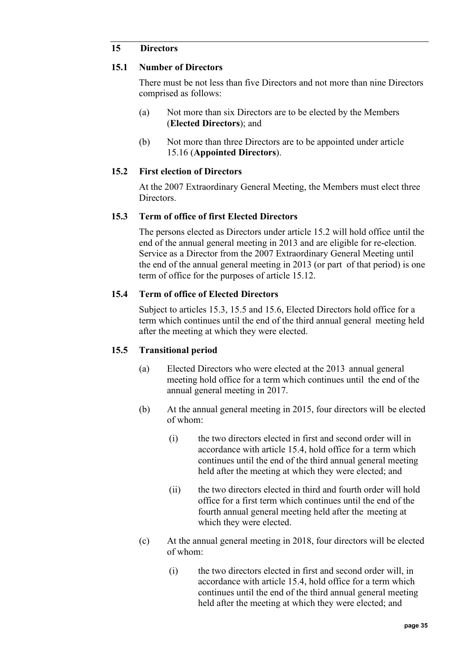### **15 Directors**

#### <span id="page-34-0"></span>**15.1 Number of Directors**

There must be not less than five Directors and not more than nine Directors comprised as follows:

- (a) Not more than six Directors are to be elected by the Members (**Elected Directors**); and
- (b) Not more than three Directors are to be appointed under article [15.16](#page-41-0) (**Appointed Directors**).

### <span id="page-34-1"></span>**15.2 First election of Directors**

At the 2007 Extraordinary General Meeting, the Members must elect three Directors.

### <span id="page-34-2"></span>**15.3 Term of office of first Elected Directors**

The persons elected as Directors under article [15.2](#page-34-1) will hold office until the end of the annual general meeting in 2013 and are eligible for re-election. Service as a Director from the 2007 Extraordinary General Meeting until the end of the annual general meeting in 2013 (or part of that period) is one term of office for the purposes of article [15.12.](#page-38-0)

### <span id="page-34-3"></span>**15.4 Term of office of Elected Directors**

Subject to articles [15.3,](#page-34-2) [15.5](#page-34-4) and [15.6,](#page-35-0) Elected Directors hold office for a term which continues until the end of the third annual general meeting held after the meeting at which they were elected.

### <span id="page-34-4"></span>**15.5 Transitional period**

- (a) Elected Directors who were elected at the 2013 annual general meeting hold office for a term which continues until the end of the annual general meeting in 2017.
- (b) At the annual general meeting in 2015, four directors will be elected of whom:
	- (i) the two directors elected in first and second order will in accordance with article [15.4,](#page-34-3) hold office for a term which continues until the end of the third annual general meeting held after the meeting at which they were elected; and
	- (ii) the two directors elected in third and fourth order will hold office for a first term which continues until the end of the fourth annual general meeting held after the meeting at which they were elected.
- (c) At the annual general meeting in 2018, four directors will be elected of whom:
	- (i) the two directors elected in first and second order will, in accordance with article [15.4,](#page-34-3) hold office for a term which continues until the end of the third annual general meeting held after the meeting at which they were elected; and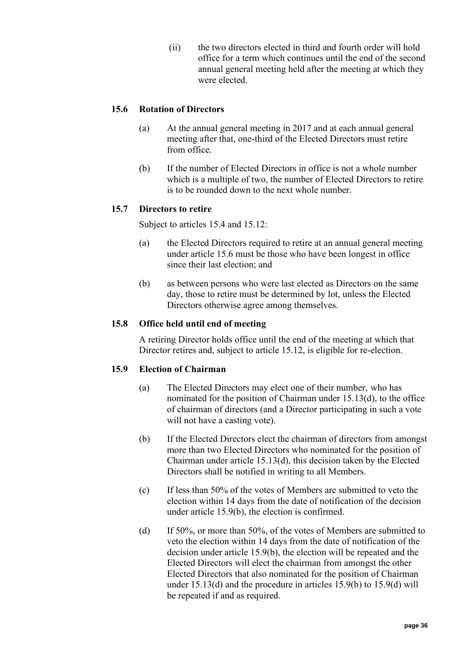(ii) the two directors elected in third and fourth order will hold office for a term which continues until the end of the second annual general meeting held after the meeting at which they were elected.

## <span id="page-35-0"></span>**15.6 Rotation of Directors**

- (a) At the annual general meeting in 2017 and at each annual general meeting after that, one-third of the Elected Directors must retire from office.
- (b) If the number of Elected Directors in office is not a whole number which is a multiple of two, the number of Elected Directors to retire is to be rounded down to the next whole number.

### <span id="page-35-1"></span>**15.7 Directors to retire**

Subject to articles [15.4](#page-34-3) and [15.12:](#page-38-0)

- (a) the Elected Directors required to retire at an annual general meeting under article [15.6](#page-35-0) must be those who have been longest in office since their last election; and
- (b) as between persons who were last elected as Directors on the same day, those to retire must be determined by lot, unless the Elected Directors otherwise agree among themselves.

### <span id="page-35-2"></span>**15.8 Office held until end of meeting**

A retiring Director holds office until the end of the meeting at which that Director retires and, subject to article [15.12,](#page-38-0) is eligible for re-election.

### <span id="page-35-3"></span>**15.9 Election of Chairman**

- (a) The Elected Directors may elect one of their number, who has nominated for the position of Chairman under [15.13\(d\),](#page-40-2) to the office of chairman of directors (and a Director participating in such a vote will not have a casting vote).
- <span id="page-35-4"></span>(b) If the Elected Directors elect the chairman of directors from amongst more than two Elected Directors who nominated for the position of Chairman under article [15.13\(d\),](#page-40-2) this decision taken by the Elected Directors shall be notified in writing to all Members.
- (c) If less than 50% of the votes of Members are submitted to veto the election within 14 days from the date of notification of the decision under article [15.9\(b\),](#page-35-4) the election is confirmed.
- <span id="page-35-5"></span>(d) If 50%, or more than 50%, of the votes of Members are submitted to veto the election within 14 days from the date of notification of the decision under article [15.9\(b\),](#page-35-4) the election will be repeated and the Elected Directors will elect the chairman from amongst the other Elected Directors that also nominated for the position of Chairman under [15.13\(d\)](#page-40-2) and the procedure in articles [15.9\(b\)](#page-35-4) to [15.9\(d\)](#page-35-5) will be repeated if and as required.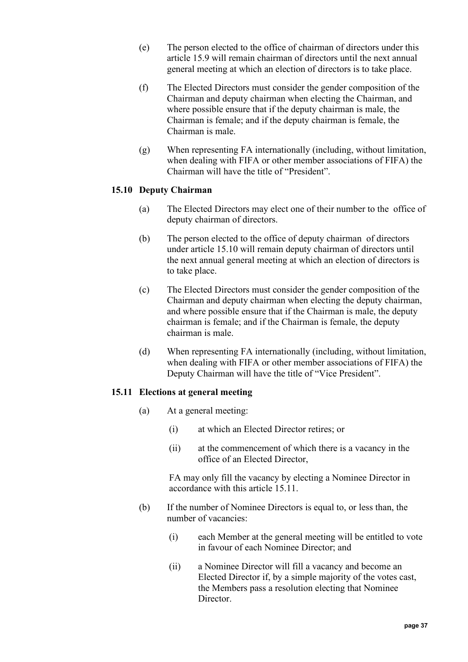- (e) The person elected to the office of chairman of directors under this article [15.9](#page-35-0) will remain chairman of directors until the next annual general meeting at which an election of directors is to take place.
- (f) The Elected Directors must consider the gender composition of the Chairman and deputy chairman when electing the Chairman, and where possible ensure that if the deputy chairman is male, the Chairman is female; and if the deputy chairman is female, the Chairman is male.
- (g) When representing FA internationally (including, without limitation, when dealing with FIFA or other member associations of FIFA) the Chairman will have the title of "President".

# <span id="page-36-0"></span>**15.10 Deputy Chairman**

- (a) The Elected Directors may elect one of their number to the office of deputy chairman of directors.
- (b) The person elected to the office of deputy chairman of directors under article [15.10](#page-36-0) will remain deputy chairman of directors until the next annual general meeting at which an election of directors is to take place.
- (c) The Elected Directors must consider the gender composition of the Chairman and deputy chairman when electing the deputy chairman, and where possible ensure that if the Chairman is male, the deputy chairman is female; and if the Chairman is female, the deputy chairman is male.
- (d) When representing FA internationally (including, without limitation, when dealing with FIFA or other member associations of FIFA) the Deputy Chairman will have the title of "Vice President".

# <span id="page-36-1"></span>**15.11 Elections at general meeting**

- (a) At a general meeting:
	- (i) at which an Elected Director retires; or
	- (ii) at the commencement of which there is a vacancy in the office of an Elected Director,

FA may only fill the vacancy by electing a Nominee Director in accordance with this article [15.11.](#page-36-1)

- <span id="page-36-2"></span>(b) If the number of Nominee Directors is equal to, or less than, the number of vacancies:
	- (i) each Member at the general meeting will be entitled to vote in favour of each Nominee Director; and
	- (ii) a Nominee Director will fill a vacancy and become an Elected Director if, by a simple majority of the votes cast, the Members pass a resolution electing that Nominee Director.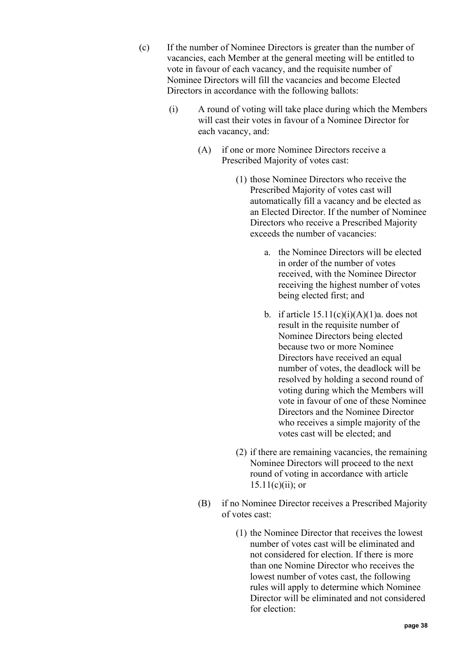- <span id="page-37-1"></span><span id="page-37-0"></span>(c) If the number of Nominee Directors is greater than the number of vacancies, each Member at the general meeting will be entitled to vote in favour of each vacancy, and the requisite number of Nominee Directors will fill the vacancies and become Elected Directors in accordance with the following ballots:
	- (i) A round of voting will take place during which the Members will cast their votes in favour of a Nominee Director for each vacancy, and:
		- (A) if one or more Nominee Directors receive a Prescribed Majority of votes cast:
			- (1) those Nominee Directors who receive the Prescribed Majority of votes cast will automatically fill a vacancy and be elected as an Elected Director. If the number of Nominee Directors who receive a Prescribed Majority exceeds the number of vacancies:
				- a. the Nominee Directors will be elected in order of the number of votes received, with the Nominee Director receiving the highest number of votes being elected first; and
				- b. if article  $15.11(c)(i)(A)(1)a$ . does not result in the requisite number of Nominee Directors being elected because two or more Nominee Directors have received an equal number of votes, the deadlock will be resolved by holding a second round of voting during which the Members will vote in favour of one of these Nominee Directors and the Nominee Director who receives a simple majority of the votes cast will be elected; and
			- (2) if there are remaining vacancies, the remaining Nominee Directors will proceed to the next round of voting in accordance with article  $15.11(c)(ii)$ ; or
		- (B) if no Nominee Director receives a Prescribed Majority of votes cast:
			- (1) the Nominee Director that receives the lowest number of votes cast will be eliminated and not considered for election. If there is more than one Nomine Director who receives the lowest number of votes cast, the following rules will apply to determine which Nominee Director will be eliminated and not considered for election: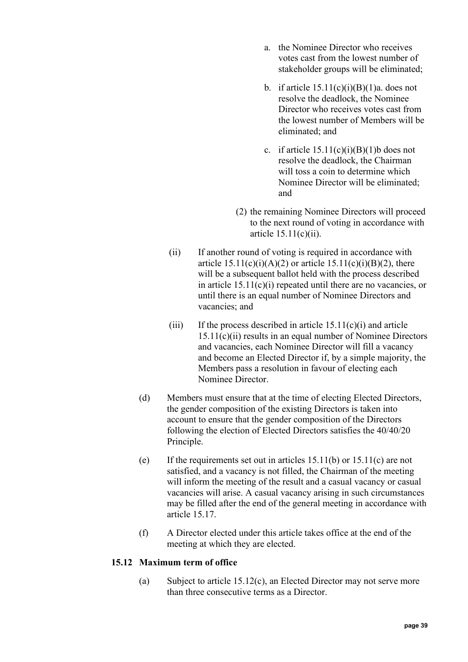- a. the Nominee Director who receives votes cast from the lowest number of stakeholder groups will be eliminated;
- b. if article  $15.11(c)(i)(B)(1)a$ . does not resolve the deadlock, the Nominee Director who receives votes cast from the lowest number of Members will be eliminated; and
- c. if article  $15.11(c)(i)(B)(1)b$  does not resolve the deadlock, the Chairman will toss a coin to determine which Nominee Director will be eliminated; and
- (2) the remaining Nominee Directors will proceed to the next round of voting in accordance with article [15.11\(c\)\(ii\).](#page-38-0)
- <span id="page-38-0"></span>(ii) If another round of voting is required in accordance with article  $15.11(c)(i)(A)(2)$  or article  $15.11(c)(i)(B)(2)$ , there will be a subsequent ballot held with the process described in article [15.11\(c\)\(i\)](#page-37-0) repeated until there are no vacancies, or until there is an equal number of Nominee Directors and vacancies; and
- (iii) If the process described in article  $15.11(c)(i)$  and article [15.11\(c\)\(ii\)](#page-38-0) results in an equal number of Nominee Directors and vacancies, each Nominee Director will fill a vacancy and become an Elected Director if, by a simple majority, the Members pass a resolution in favour of electing each Nominee Director.
- (d) Members must ensure that at the time of electing Elected Directors, the gender composition of the existing Directors is taken into account to ensure that the gender composition of the Directors following the election of Elected Directors satisfies the 40/40/20 Principle.
- <span id="page-38-2"></span>(e) If the requirements set out in articles  $15.11(b)$  or  $15.11(c)$  are not satisfied, and a vacancy is not filled, the Chairman of the meeting will inform the meeting of the result and a casual vacancy or casual vacancies will arise. A casual vacancy arising in such circumstances may be filled after the end of the general meeting in accordance with article [15.17.](#page-42-0)
- (f) A Director elected under this article takes office at the end of the meeting at which they are elected.

# <span id="page-38-1"></span>**15.12 Maximum term of office**

(a) Subject to article [15.12\(c\),](#page-39-0) an Elected Director may not serve more than three consecutive terms as a Director.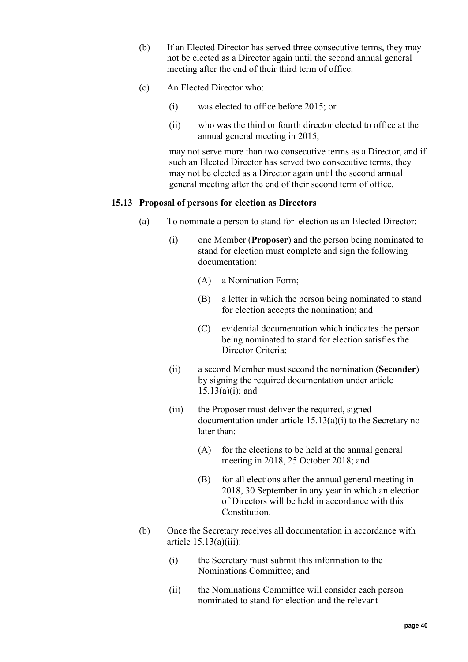- (b) If an Elected Director has served three consecutive terms, they may not be elected as a Director again until the second annual general meeting after the end of their third term of office.
- <span id="page-39-0"></span>(c) An Elected Director who:
	- (i) was elected to office before 2015; or
	- (ii) who was the third or fourth director elected to office at the annual general meeting in 2015,

may not serve more than two consecutive terms as a Director, and if such an Elected Director has served two consecutive terms, they may not be elected as a Director again until the second annual general meeting after the end of their second term of office.

## <span id="page-39-3"></span><span id="page-39-1"></span>**15.13 Proposal of persons for election as Directors**

- (a) To nominate a person to stand for election as an Elected Director:
	- (i) one Member (**Proposer**) and the person being nominated to stand for election must complete and sign the following documentation:
		- (A) a Nomination Form;
		- (B) a letter in which the person being nominated to stand for election accepts the nomination; and
		- (C) evidential documentation which indicates the person being nominated to stand for election satisfies the Director Criteria;
	- (ii) a second Member must second the nomination (**Seconder**) by signing the required documentation under article  $15.13(a)(i)$ ; and
	- (iii) the Proposer must deliver the required, signed documentation under article [15.13\(a\)\(i\)](#page-39-1) to the Secretary no later than:
		- (A) for the elections to be held at the annual general meeting in 2018, 25 October 2018; and
		- (B) for all elections after the annual general meeting in 2018, 30 September in any year in which an election of Directors will be held in accordance with this Constitution.
- <span id="page-39-2"></span>(b) Once the Secretary receives all documentation in accordance with article  $15.13(a)(iii)$ :
	- (i) the Secretary must submit this information to the Nominations Committee; and
	- (ii) the Nominations Committee will consider each person nominated to stand for election and the relevant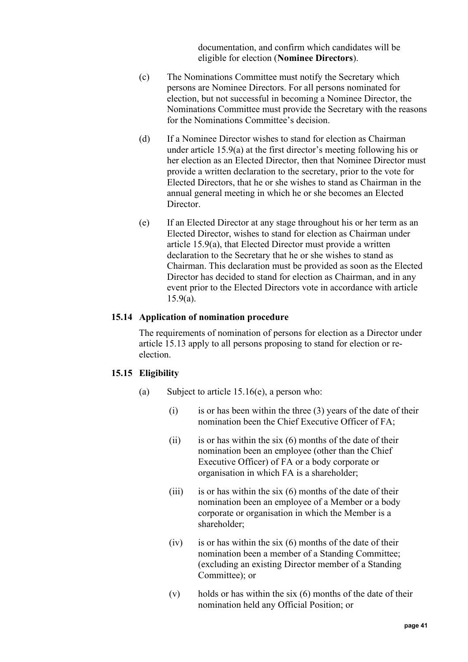documentation, and confirm which candidates will be eligible for election (**Nominee Directors**).

- (c) The Nominations Committee must notify the Secretary which persons are Nominee Directors. For all persons nominated for election, but not successful in becoming a Nominee Director, the Nominations Committee must provide the Secretary with the reasons for the Nominations Committee's decision.
- (d) If a Nominee Director wishes to stand for election as Chairman under article [15.9\(a\)](#page-35-1) at the first director's meeting following his or her election as an Elected Director, then that Nominee Director must provide a written declaration to the secretary, prior to the vote for Elected Directors, that he or she wishes to stand as Chairman in the annual general meeting in which he or she becomes an Elected Director.
- (e) If an Elected Director at any stage throughout his or her term as an Elected Director, wishes to stand for election as Chairman under article [15.9\(a\),](#page-35-1) that Elected Director must provide a written declaration to the Secretary that he or she wishes to stand as Chairman. This declaration must be provided as soon as the Elected Director has decided to stand for election as Chairman, and in any event prior to the Elected Directors vote in accordance with article [15.9\(a\).](#page-35-1)

#### **15.14 Application of nomination procedure**

The requirements of nomination of persons for election as a Director under article [15.13](#page-39-3) apply to all persons proposing to stand for election or reelection.

### <span id="page-40-1"></span><span id="page-40-0"></span>**15.15 Eligibility**

- (a) Subject to article [15.16\(e\),](#page-41-0) a person who:
	- $(i)$  is or has been within the three  $(3)$  years of the date of their nomination been the Chief Executive Officer of FA;
	- (ii) is or has within the six  $(6)$  months of the date of their nomination been an employee (other than the Chief Executive Officer) of FA or a body corporate or organisation in which FA is a shareholder;
	- (iii) is or has within the six  $(6)$  months of the date of their nomination been an employee of a Member or a body corporate or organisation in which the Member is a shareholder;
	- $(iv)$  is or has within the six  $(6)$  months of the date of their nomination been a member of a Standing Committee; (excluding an existing Director member of a Standing Committee); or
	- $(v)$  holds or has within the six  $(6)$  months of the date of their nomination held any Official Position; or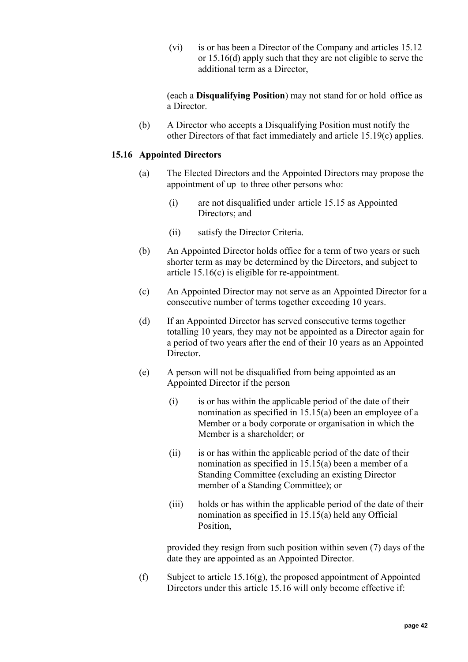(vi) is or has been a Director of the Company and articles [15.12](#page-38-1) or [15.16\(d\)](#page-41-1) apply such that they are not eligible to serve the additional term as a Director,

(each a **Disqualifying Position**) may not stand for or hold office as a Director.

(b) A Director who accepts a Disqualifying Position must notify the other Directors of that fact immediately and article 15.19(c) applies.

## <span id="page-41-4"></span><span id="page-41-3"></span>**15.16 Appointed Directors**

- (a) The Elected Directors and the Appointed Directors may propose the appointment of up to three other persons who:
	- (i) are not disqualified under article [15.15](#page-40-0) as Appointed Directors; and
	- (ii) satisfy the Director Criteria.
- (b) An Appointed Director holds office for a term of two years or such shorter term as may be determined by the Directors, and subject to article [15.16\(c\)](#page-41-2) is eligible for re-appointment.
- <span id="page-41-2"></span>(c) An Appointed Director may not serve as an Appointed Director for a consecutive number of terms together exceeding 10 years.
- <span id="page-41-1"></span>(d) If an Appointed Director has served consecutive terms together totalling 10 years, they may not be appointed as a Director again for a period of two years after the end of their 10 years as an Appointed Director.
- <span id="page-41-0"></span>(e) A person will not be disqualified from being appointed as an Appointed Director if the person
	- (i) is or has within the applicable period of the date of their nomination as specified in [15.15\(a\)](#page-40-1) been an employee of a Member or a body corporate or organisation in which the Member is a shareholder; or
	- (ii) is or has within the applicable period of the date of their nomination as specified in [15.15\(a\)](#page-40-1) been a member of a Standing Committee (excluding an existing Director member of a Standing Committee); or
	- (iii) holds or has within the applicable period of the date of their nomination as specified in [15.15\(a\)](#page-40-1) held any Official Position,

provided they resign from such position within seven (7) days of the date they are appointed as an Appointed Director.

(f) Subject to article [15.16\(g\),](#page-42-1) the proposed appointment of Appointed Directors under this article [15.16](#page-41-3) will only become effective if: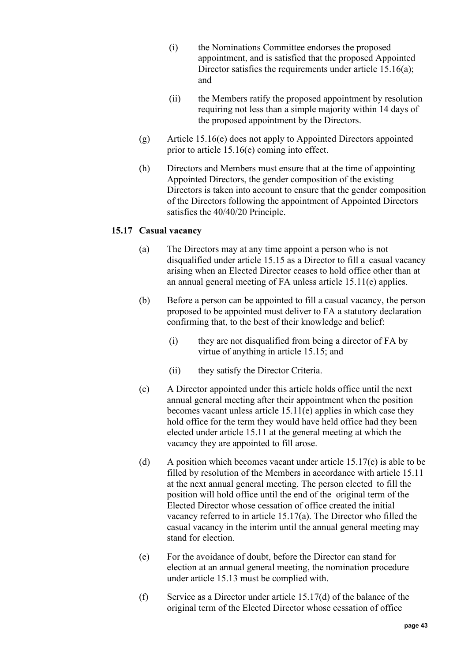- (i) the Nominations Committee endorses the proposed appointment, and is satisfied that the proposed Appointed Director satisfies the requirements under article [15.16\(a\);](#page-41-4) and
- (ii) the Members ratify the proposed appointment by resolution requiring not less than a simple majority within 14 days of the proposed appointment by the Directors.
- <span id="page-42-1"></span>(g) Article [15.16\(e\)](#page-41-0) does not apply to Appointed Directors appointed prior to article [15.16\(e\)](#page-41-0) coming into effect.
- (h) Directors and Members must ensure that at the time of appointing Appointed Directors, the gender composition of the existing Directors is taken into account to ensure that the gender composition of the Directors following the appointment of Appointed Directors satisfies the 40/40/20 Principle.

## <span id="page-42-3"></span><span id="page-42-0"></span>**15.17 Casual vacancy**

- (a) The Directors may at any time appoint a person who is not disqualified under article [15.15](#page-40-0) as a Director to fill a casual vacancy arising when an Elected Director ceases to hold office other than at an annual general meeting of FA unless article [15.11\(e\)](#page-38-2) applies.
- (b) Before a person can be appointed to fill a casual vacancy, the person proposed to be appointed must deliver to FA a statutory declaration confirming that, to the best of their knowledge and belief:
	- (i) they are not disqualified from being a director of FA by virtue of anything in article [15.15;](#page-40-0) and
	- (ii) they satisfy the Director Criteria.
- <span id="page-42-2"></span>(c) A Director appointed under this article holds office until the next annual general meeting after their appointment when the position becomes vacant unless article [15.11\(e\)](#page-38-2) applies in which case they hold office for the term they would have held office had they been elected under article [15.11](#page-36-1) at the general meeting at which the vacancy they are appointed to fill arose.
- <span id="page-42-4"></span>(d) A position which becomes vacant under article  $15.17(c)$  is able to be filled by resolution of the Members in accordance with article [15.11](#page-36-1) at the next annual general meeting. The person elected to fill the position will hold office until the end of the original term of the Elected Director whose cessation of office created the initial vacancy referred to in article [15.17\(a\).](#page-42-3) The Director who filled the casual vacancy in the interim until the annual general meeting may stand for election.
- (e) For the avoidance of doubt, before the Director can stand for election at an annual general meeting, the nomination procedure under article [15.13](#page-39-3) must be complied with.
- (f) Service as a Director under article  $15.17(d)$  of the balance of the original term of the Elected Director whose cessation of office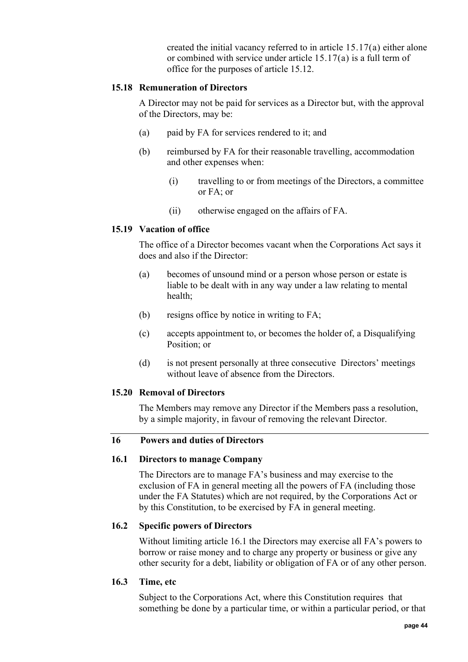created the initial vacancy referred to in article [15.17\(a\)](#page-42-3) either alone or combined with service under article [15.17\(a\)](#page-42-3) is a full term of office for the purposes of article [15.12.](#page-38-1)

## **15.18 Remuneration of Directors**

A Director may not be paid for services as a Director but, with the approval of the Directors, may be:

- (a) paid by FA for services rendered to it; and
- (b) reimbursed by FA for their reasonable travelling, accommodation and other expenses when:
	- (i) travelling to or from meetings of the Directors, a committee or FA; or
	- (ii) otherwise engaged on the affairs of FA.

# **15.19 Vacation of office**

The office of a Director becomes vacant when the Corporations Act says it does and also if the Director:

- (a) becomes of unsound mind or a person whose person or estate is liable to be dealt with in any way under a law relating to mental health;
- (b) resigns office by notice in writing to FA;
- (c) accepts appointment to, or becomes the holder of, a Disqualifying Position; or
- (d) is not present personally at three consecutive Directors' meetings without leave of absence from the Directors.

# **15.20 Removal of Directors**

The Members may remove any Director if the Members pass a resolution, by a simple majority, in favour of removing the relevant Director.

# <span id="page-43-0"></span>**16 Powers and duties of Directors**

### **16.1 Directors to manage Company**

The Directors are to manage FA's business and may exercise to the exclusion of FA in general meeting all the powers of FA (including those under the FA Statutes) which are not required, by the Corporations Act or by this Constitution, to be exercised by FA in general meeting.

# **16.2 Specific powers of Directors**

Without limiting article [16.1](#page-43-0) the Directors may exercise all FA's powers to borrow or raise money and to charge any property or business or give any other security for a debt, liability or obligation of FA or of any other person.

### **16.3 Time, etc**

Subject to the Corporations Act, where this Constitution requires that something be done by a particular time, or within a particular period, or that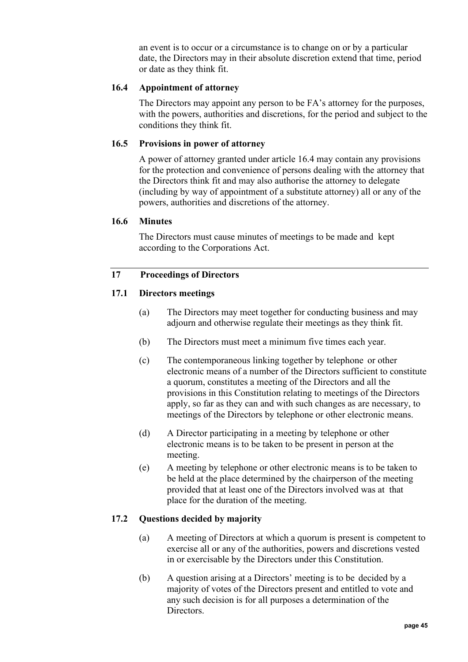an event is to occur or a circumstance is to change on or by a particular date, the Directors may in their absolute discretion extend that time, period or date as they think fit.

# <span id="page-44-0"></span>**16.4 Appointment of attorney**

The Directors may appoint any person to be FA's attorney for the purposes, with the powers, authorities and discretions, for the period and subject to the conditions they think fit.

## **16.5 Provisions in power of attorney**

A power of attorney granted under article [16.4](#page-44-0) may contain any provisions for the protection and convenience of persons dealing with the attorney that the Directors think fit and may also authorise the attorney to delegate (including by way of appointment of a substitute attorney) all or any of the powers, authorities and discretions of the attorney.

### **16.6 Minutes**

The Directors must cause minutes of meetings to be made and kept according to the Corporations Act.

## **17 Proceedings of Directors**

## **17.1 Directors meetings**

- (a) The Directors may meet together for conducting business and may adjourn and otherwise regulate their meetings as they think fit.
- (b) The Directors must meet a minimum five times each year.
- (c) The contemporaneous linking together by telephone or other electronic means of a number of the Directors sufficient to constitute a quorum, constitutes a meeting of the Directors and all the provisions in this Constitution relating to meetings of the Directors apply, so far as they can and with such changes as are necessary, to meetings of the Directors by telephone or other electronic means.
- (d) A Director participating in a meeting by telephone or other electronic means is to be taken to be present in person at the meeting.
- (e) A meeting by telephone or other electronic means is to be taken to be held at the place determined by the chairperson of the meeting provided that at least one of the Directors involved was at that place for the duration of the meeting.

# **17.2 Questions decided by majority**

- (a) A meeting of Directors at which a quorum is present is competent to exercise all or any of the authorities, powers and discretions vested in or exercisable by the Directors under this Constitution.
- (b) A question arising at a Directors' meeting is to be decided by a majority of votes of the Directors present and entitled to vote and any such decision is for all purposes a determination of the Directors.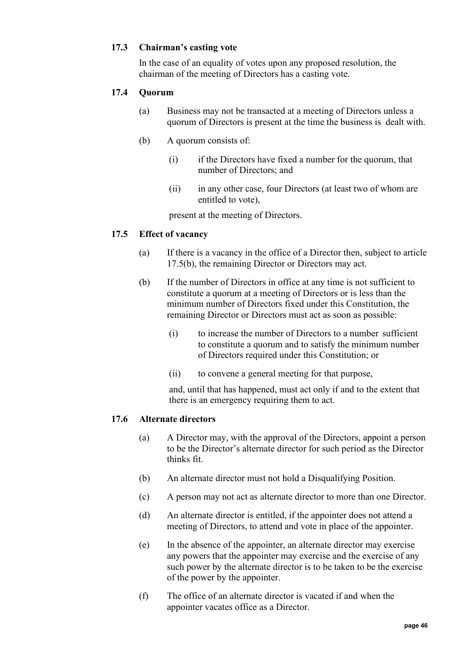## **17.3 Chairman's casting vote**

In the case of an equality of votes upon any proposed resolution, the chairman of the meeting of Directors has a casting vote.

## **17.4 Quorum**

- (a) Business may not be transacted at a meeting of Directors unless a quorum of Directors is present at the time the business is dealt with.
- (b) A quorum consists of:
	- (i) if the Directors have fixed a number for the quorum, that number of Directors; and
	- (ii) in any other case, four Directors (at least two of whom are entitled to vote),

present at the meeting of Directors.

### <span id="page-45-0"></span>**17.5 Effect of vacancy**

- (a) If there is a vacancy in the office of a Director then, subject to article [17.5\(b\),](#page-45-0) the remaining Director or Directors may act.
- (b) If the number of Directors in office at any time is not sufficient to constitute a quorum at a meeting of Directors or is less than the minimum number of Directors fixed under this Constitution, the remaining Director or Directors must act as soon as possible:
	- (i) to increase the number of Directors to a number sufficient to constitute a quorum and to satisfy the minimum number of Directors required under this Constitution; or
	- (ii) to convene a general meeting for that purpose,

and, until that has happened, must act only if and to the extent that there is an emergency requiring them to act.

### <span id="page-45-1"></span>**17.6 Alternate directors**

- (a) A Director may, with the approval of the Directors, appoint a person to be the Director's alternate director for such period as the Director thinks fit.
- (b) An alternate director must not hold a Disqualifying Position.
- (c) A person may not act as alternate director to more than one Director.
- (d) An alternate director is entitled, if the appointer does not attend a meeting of Directors, to attend and vote in place of the appointer.
- (e) In the absence of the appointer, an alternate director may exercise any powers that the appointer may exercise and the exercise of any such power by the alternate director is to be taken to be the exercise of the power by the appointer.
- (f) The office of an alternate director is vacated if and when the appointer vacates office as a Director.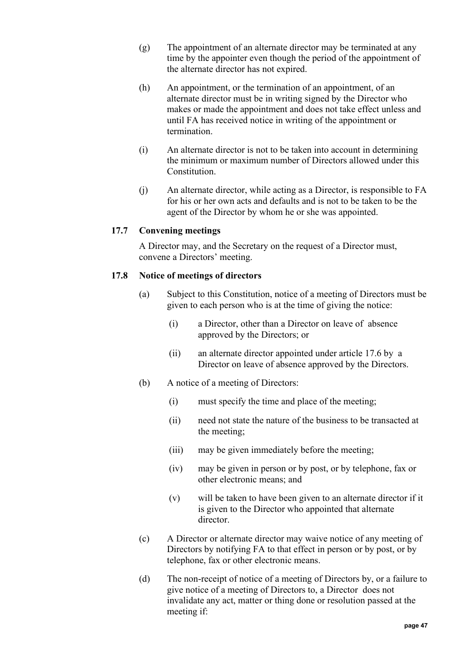- (g) The appointment of an alternate director may be terminated at any time by the appointer even though the period of the appointment of the alternate director has not expired.
- (h) An appointment, or the termination of an appointment, of an alternate director must be in writing signed by the Director who makes or made the appointment and does not take effect unless and until FA has received notice in writing of the appointment or termination.
- (i) An alternate director is not to be taken into account in determining the minimum or maximum number of Directors allowed under this Constitution.
- (j) An alternate director, while acting as a Director, is responsible to FA for his or her own acts and defaults and is not to be taken to be the agent of the Director by whom he or she was appointed.

# **17.7 Convening meetings**

A Director may, and the Secretary on the request of a Director must, convene a Directors' meeting.

## **17.8 Notice of meetings of directors**

- (a) Subject to this Constitution, notice of a meeting of Directors must be given to each person who is at the time of giving the notice:
	- (i) a Director, other than a Director on leave of absence approved by the Directors; or
	- (ii) an alternate director appointed under article [17.6](#page-45-1) by a Director on leave of absence approved by the Directors.
- (b) A notice of a meeting of Directors:
	- (i) must specify the time and place of the meeting;
	- (ii) need not state the nature of the business to be transacted at the meeting;
	- (iii) may be given immediately before the meeting;
	- (iv) may be given in person or by post, or by telephone, fax or other electronic means; and
	- (v) will be taken to have been given to an alternate director if it is given to the Director who appointed that alternate director.
- <span id="page-46-0"></span>(c) A Director or alternate director may waive notice of any meeting of Directors by notifying FA to that effect in person or by post, or by telephone, fax or other electronic means.
- (d) The non-receipt of notice of a meeting of Directors by, or a failure to give notice of a meeting of Directors to, a Director does not invalidate any act, matter or thing done or resolution passed at the meeting if: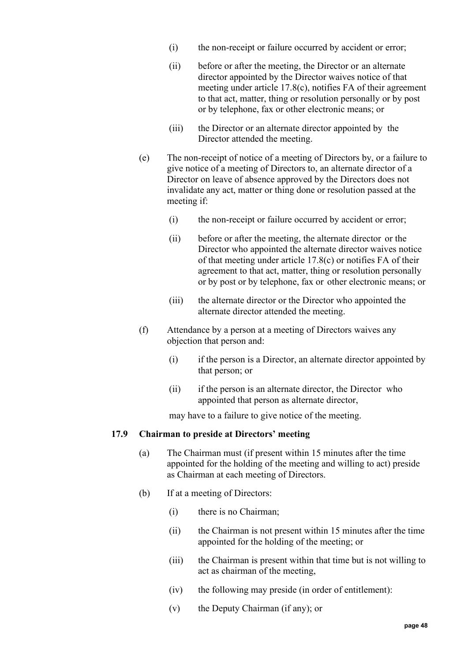- (i) the non-receipt or failure occurred by accident or error;
- (ii) before or after the meeting, the Director or an alternate director appointed by the Director waives notice of that meeting under article [17.8\(c\),](#page-46-0) notifies FA of their agreement to that act, matter, thing or resolution personally or by post or by telephone, fax or other electronic means; or
- (iii) the Director or an alternate director appointed by the Director attended the meeting.
- (e) The non-receipt of notice of a meeting of Directors by, or a failure to give notice of a meeting of Directors to, an alternate director of a Director on leave of absence approved by the Directors does not invalidate any act, matter or thing done or resolution passed at the meeting if:
	- (i) the non-receipt or failure occurred by accident or error;
	- (ii) before or after the meeting, the alternate director or the Director who appointed the alternate director waives notice of that meeting under article [17.8\(c\)](#page-46-0) or notifies FA of their agreement to that act, matter, thing or resolution personally or by post or by telephone, fax or other electronic means; or
	- (iii) the alternate director or the Director who appointed the alternate director attended the meeting.
- (f) Attendance by a person at a meeting of Directors waives any objection that person and:
	- (i) if the person is a Director, an alternate director appointed by that person; or
	- (ii) if the person is an alternate director, the Director who appointed that person as alternate director,

may have to a failure to give notice of the meeting.

## **17.9 Chairman to preside at Directors' meeting**

- (a) The Chairman must (if present within 15 minutes after the time appointed for the holding of the meeting and willing to act) preside as Chairman at each meeting of Directors.
- (b) If at a meeting of Directors:
	- (i) there is no Chairman;
	- (ii) the Chairman is not present within 15 minutes after the time appointed for the holding of the meeting; or
	- (iii) the Chairman is present within that time but is not willing to act as chairman of the meeting,
	- (iv) the following may preside (in order of entitlement):
	- (v) the Deputy Chairman (if any); or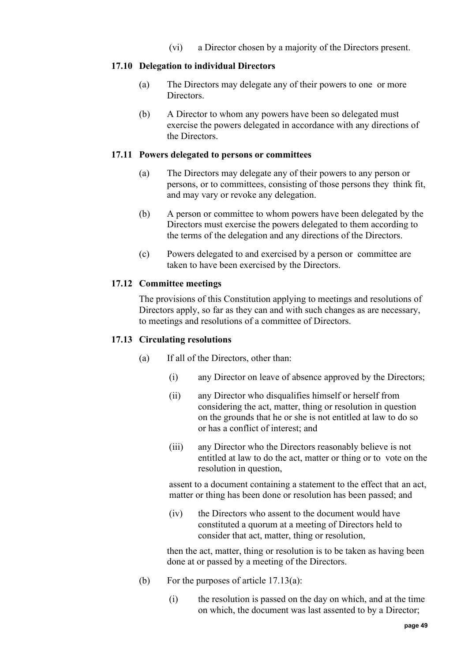(vi) a Director chosen by a majority of the Directors present.

## **17.10 Delegation to individual Directors**

- (a) The Directors may delegate any of their powers to one or more **Directors**
- (b) A Director to whom any powers have been so delegated must exercise the powers delegated in accordance with any directions of the Directors.

### <span id="page-48-1"></span>**17.11 Powers delegated to persons or committees**

- (a) The Directors may delegate any of their powers to any person or persons, or to committees, consisting of those persons they think fit, and may vary or revoke any delegation.
- (b) A person or committee to whom powers have been delegated by the Directors must exercise the powers delegated to them according to the terms of the delegation and any directions of the Directors.
- (c) Powers delegated to and exercised by a person or committee are taken to have been exercised by the Directors.

## **17.12 Committee meetings**

The provisions of this Constitution applying to meetings and resolutions of Directors apply, so far as they can and with such changes as are necessary, to meetings and resolutions of a committee of Directors.

### <span id="page-48-0"></span>**17.13 Circulating resolutions**

- (a) If all of the Directors, other than:
	- (i) any Director on leave of absence approved by the Directors;
	- (ii) any Director who disqualifies himself or herself from considering the act, matter, thing or resolution in question on the grounds that he or she is not entitled at law to do so or has a conflict of interest; and
	- (iii) any Director who the Directors reasonably believe is not entitled at law to do the act, matter or thing or to vote on the resolution in question,

assent to a document containing a statement to the effect that an act, matter or thing has been done or resolution has been passed; and

(iv) the Directors who assent to the document would have constituted a quorum at a meeting of Directors held to consider that act, matter, thing or resolution,

then the act, matter, thing or resolution is to be taken as having been done at or passed by a meeting of the Directors.

- (b) For the purposes of article [17.13\(a\):](#page-48-0)
	- (i) the resolution is passed on the day on which, and at the time on which, the document was last assented to by a Director;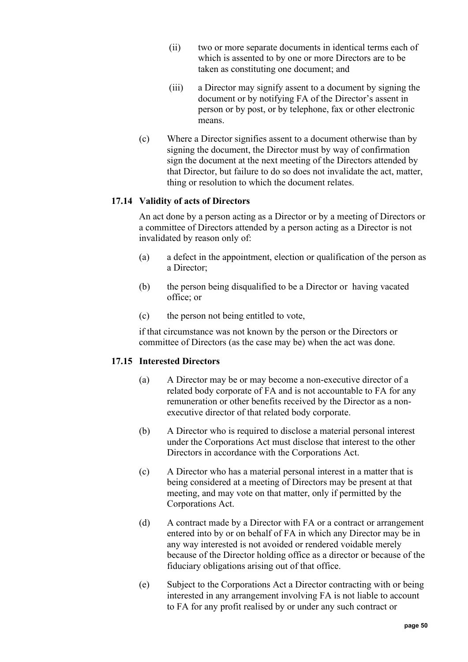- (ii) two or more separate documents in identical terms each of which is assented to by one or more Directors are to be taken as constituting one document; and
- (iii) a Director may signify assent to a document by signing the document or by notifying FA of the Director's assent in person or by post, or by telephone, fax or other electronic means.
- (c) Where a Director signifies assent to a document otherwise than by signing the document, the Director must by way of confirmation sign the document at the next meeting of the Directors attended by that Director, but failure to do so does not invalidate the act, matter, thing or resolution to which the document relates.

## **17.14 Validity of acts of Directors**

An act done by a person acting as a Director or by a meeting of Directors or a committee of Directors attended by a person acting as a Director is not invalidated by reason only of:

- (a) a defect in the appointment, election or qualification of the person as a Director;
- (b) the person being disqualified to be a Director or having vacated office; or
- (c) the person not being entitled to vote,

if that circumstance was not known by the person or the Directors or committee of Directors (as the case may be) when the act was done.

### **17.15 Interested Directors**

- (a) A Director may be or may become a non-executive director of a related body corporate of FA and is not accountable to FA for any remuneration or other benefits received by the Director as a nonexecutive director of that related body corporate.
- (b) A Director who is required to disclose a material personal interest under the Corporations Act must disclose that interest to the other Directors in accordance with the Corporations Act.
- (c) A Director who has a material personal interest in a matter that is being considered at a meeting of Directors may be present at that meeting, and may vote on that matter, only if permitted by the Corporations Act.
- (d) A contract made by a Director with FA or a contract or arrangement entered into by or on behalf of FA in which any Director may be in any way interested is not avoided or rendered voidable merely because of the Director holding office as a director or because of the fiduciary obligations arising out of that office.
- (e) Subject to the Corporations Act a Director contracting with or being interested in any arrangement involving FA is not liable to account to FA for any profit realised by or under any such contract or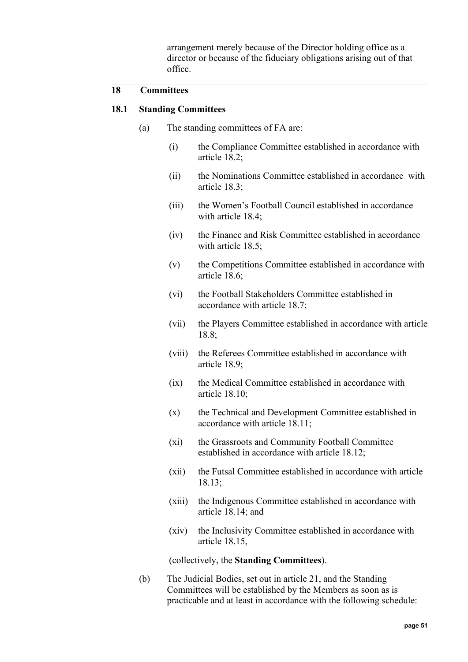arrangement merely because of the Director holding office as a director or because of the fiduciary obligations arising out of that office.

## <span id="page-50-1"></span>**18 Committees**

### <span id="page-50-0"></span>**18.1 Standing Committees**

- (a) The standing committees of FA are:
	- (i) the Compliance Committee established in accordance with article [18.2;](#page-51-0)
	- (ii) the Nominations Committee established in accordance with article [18.3;](#page-52-0)
	- (iii) the Women's Football Council established in accordance with article [18.4;](#page-53-0)
	- (iv) the Finance and Risk Committee established in accordance with article [18.5;](#page-55-0)
	- (v) the Competitions Committee established in accordance with article [18.6;](#page-56-0)
	- (vi) the Football Stakeholders Committee established in accordance with article [18.7;](#page-57-0)
	- (vii) the Players Committee established in accordance with article [18.8;](#page-58-0)
	- (viii) the Referees Committee established in accordance with article [18.9;](#page-60-0)
	- (ix) the Medical Committee established in accordance with article [18.10;](#page-61-0)
	- (x) the Technical and Development Committee established in accordance with article [18.11;](#page-62-0)
	- (xi) the Grassroots and Community Football Committee established in accordance with article [18.12;](#page-63-0)
	- (xii) the Futsal Committee established in accordance with article [18.13;](#page-65-0)
	- (xiii) the Indigenous Committee established in accordance with article [18.14;](#page-66-0) and
	- (xiv) the Inclusivity Committee established in accordance with article [18.15,](#page-67-0)

(collectively, the **Standing Committees**).

<span id="page-50-2"></span>(b) The Judicial Bodies, set out in article [21,](#page-70-0) and the Standing Committees will be established by the Members as soon as is practicable and at least in accordance with the following schedule: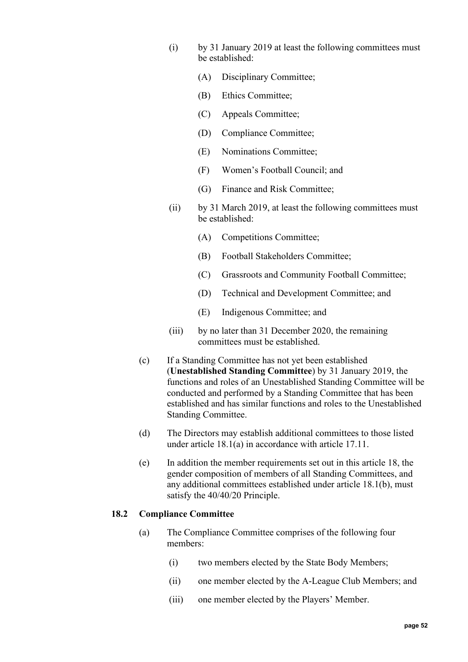- (i) by 31 January 2019 at least the following committees must be established:
	- (A) Disciplinary Committee;
	- (B) Ethics Committee;
	- (C) Appeals Committee;
	- (D) Compliance Committee;
	- (E) Nominations Committee;
	- (F) Women's Football Council; and
	- (G) Finance and Risk Committee;
- (ii) by 31 March 2019, at least the following committees must be established:
	- (A) Competitions Committee;
	- (B) Football Stakeholders Committee;
	- (C) Grassroots and Community Football Committee;
	- (D) Technical and Development Committee; and
	- (E) Indigenous Committee; and
- (iii) by no later than 31 December 2020, the remaining committees must be established.
- (c) If a Standing Committee has not yet been established (**Unestablished Standing Committee**) by 31 January 2019, the functions and roles of an Unestablished Standing Committee will be conducted and performed by a Standing Committee that has been established and has similar functions and roles to the Unestablished Standing Committee.
- (d) The Directors may establish additional committees to those listed under article [18.1\(a\)](#page-50-0) in accordance with article [17.11.](#page-48-1)
- (e) In addition the member requirements set out in this article [18,](#page-50-1) the gender composition of members of all Standing Committees, and any additional committees established under article [18.1\(b\),](#page-50-2) must satisfy the 40/40/20 Principle.

### <span id="page-51-0"></span>**18.2 Compliance Committee**

- (a) The Compliance Committee comprises of the following four members:
	- (i) two members elected by the State Body Members;
	- (ii) one member elected by the A-League Club Members; and
	- (iii) one member elected by the Players' Member.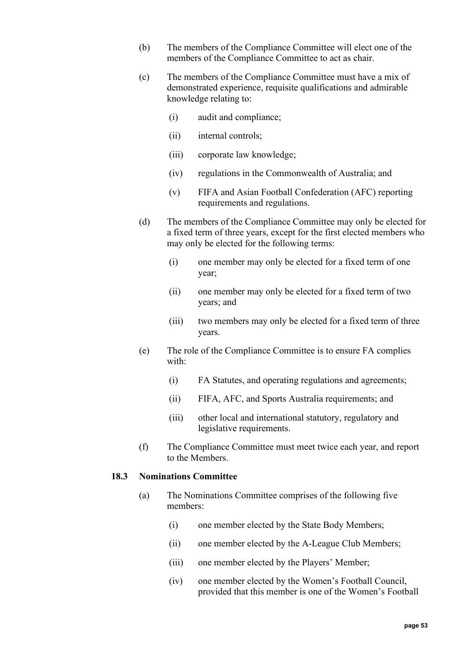- (b) The members of the Compliance Committee will elect one of the members of the Compliance Committee to act as chair.
- (c) The members of the Compliance Committee must have a mix of demonstrated experience, requisite qualifications and admirable knowledge relating to:
	- (i) audit and compliance;
	- (ii) internal controls;
	- (iii) corporate law knowledge;
	- (iv) regulations in the Commonwealth of Australia; and
	- (v) FIFA and Asian Football Confederation (AFC) reporting requirements and regulations.
- (d) The members of the Compliance Committee may only be elected for a fixed term of three years, except for the first elected members who may only be elected for the following terms:
	- (i) one member may only be elected for a fixed term of one year;
	- (ii) one member may only be elected for a fixed term of two years; and
	- (iii) two members may only be elected for a fixed term of three years.
- (e) The role of the Compliance Committee is to ensure FA complies with:
	- (i) FA Statutes, and operating regulations and agreements;
	- (ii) FIFA, AFC, and Sports Australia requirements; and
	- (iii) other local and international statutory, regulatory and legislative requirements.
- (f) The Compliance Committee must meet twice each year, and report to the Members.

### <span id="page-52-0"></span>**18.3 Nominations Committee**

- (a) The Nominations Committee comprises of the following five members:
	- (i) one member elected by the State Body Members;
	- (ii) one member elected by the A-League Club Members;
	- (iii) one member elected by the Players' Member;
	- (iv) one member elected by the Women's Football Council, provided that this member is one of the Women's Football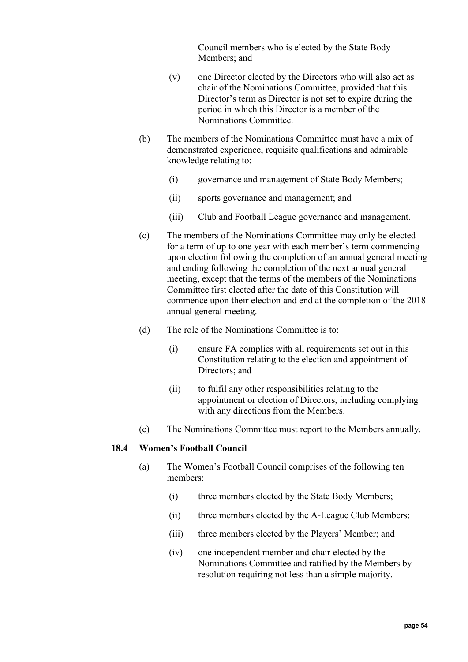Council members who is elected by the State Body Members; and

- (v) one Director elected by the Directors who will also act as chair of the Nominations Committee, provided that this Director's term as Director is not set to expire during the period in which this Director is a member of the Nominations Committee.
- (b) The members of the Nominations Committee must have a mix of demonstrated experience, requisite qualifications and admirable knowledge relating to:
	- (i) governance and management of State Body Members;
	- (ii) sports governance and management; and
	- (iii) Club and Football League governance and management.
- (c) The members of the Nominations Committee may only be elected for a term of up to one year with each member's term commencing upon election following the completion of an annual general meeting and ending following the completion of the next annual general meeting, except that the terms of the members of the Nominations Committee first elected after the date of this Constitution will commence upon their election and end at the completion of the 2018 annual general meeting.
- (d) The role of the Nominations Committee is to:
	- (i) ensure FA complies with all requirements set out in this Constitution relating to the election and appointment of Directors; and
	- (ii) to fulfil any other responsibilities relating to the appointment or election of Directors, including complying with any directions from the Members.
- (e) The Nominations Committee must report to the Members annually.

#### <span id="page-53-0"></span>**18.4 Women's Football Council**

- (a) The Women's Football Council comprises of the following ten members:
	- (i) three members elected by the State Body Members;
	- (ii) three members elected by the A-League Club Members;
	- (iii) three members elected by the Players' Member; and
	- (iv) one independent member and chair elected by the Nominations Committee and ratified by the Members by resolution requiring not less than a simple majority.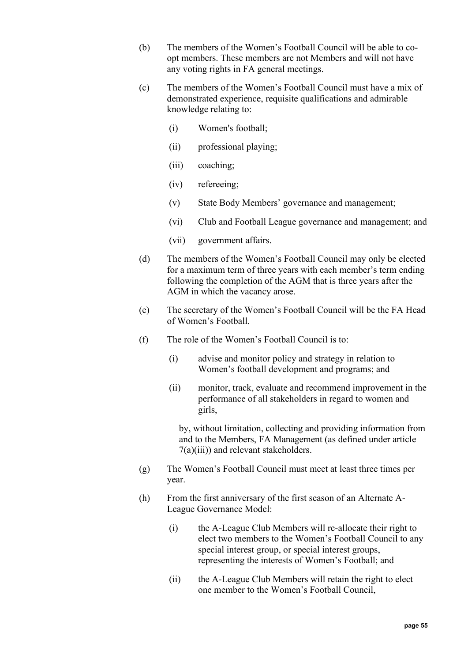- (b) The members of the Women's Football Council will be able to coopt members. These members are not Members and will not have any voting rights in FA general meetings.
- (c) The members of the Women's Football Council must have a mix of demonstrated experience, requisite qualifications and admirable knowledge relating to:
	- (i) Women's football;
	- (ii) professional playing;
	- (iii) coaching;
	- (iv) refereeing;
	- (v) State Body Members' governance and management;
	- (vi) Club and Football League governance and management; and
	- (vii) government affairs.
- (d) The members of the Women's Football Council may only be elected for a maximum term of three years with each member's term ending following the completion of the AGM that is three years after the AGM in which the vacancy arose.
- (e) The secretary of the Women's Football Council will be the FA Head of Women's Football.
- (f) The role of the Women's Football Council is to:
	- (i) advise and monitor policy and strategy in relation to Women's football development and programs; and
	- (ii) monitor, track, evaluate and recommend improvement in the performance of all stakeholders in regard to women and girls,

by, without limitation, collecting and providing information from and to the Members, FA Management (as defined under article [7\(a\)\(iii\)\)](#page-18-0) and relevant stakeholders.

- (g) The Women's Football Council must meet at least three times per year.
- (h) From the first anniversary of the first season of an Alternate A-League Governance Model:
	- (i) the A-League Club Members will re-allocate their right to elect two members to the Women's Football Council to any special interest group, or special interest groups, representing the interests of Women's Football; and
	- (ii) the A-League Club Members will retain the right to elect one member to the Women's Football Council,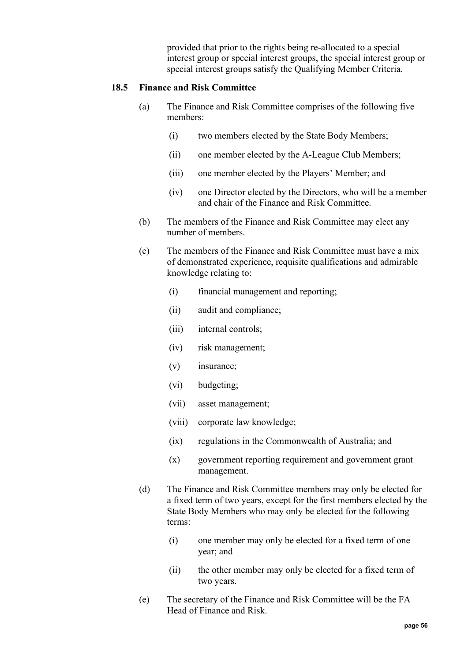provided that prior to the rights being re-allocated to a special interest group or special interest groups, the special interest group or special interest groups satisfy the Qualifying Member Criteria.

## <span id="page-55-0"></span>**18.5 Finance and Risk Committee**

- (a) The Finance and Risk Committee comprises of the following five members:
	- (i) two members elected by the State Body Members;
	- (ii) one member elected by the A-League Club Members;
	- (iii) one member elected by the Players' Member; and
	- (iv) one Director elected by the Directors, who will be a member and chair of the Finance and Risk Committee.
- (b) The members of the Finance and Risk Committee may elect any number of members.
- (c) The members of the Finance and Risk Committee must have a mix of demonstrated experience, requisite qualifications and admirable knowledge relating to:
	- (i) financial management and reporting;
	- (ii) audit and compliance;
	- (iii) internal controls;
	- (iv) risk management;
	- (v) insurance;
	- (vi) budgeting;
	- (vii) asset management;
	- (viii) corporate law knowledge;
	- (ix) regulations in the Commonwealth of Australia; and
	- (x) government reporting requirement and government grant management.
- (d) The Finance and Risk Committee members may only be elected for a fixed term of two years, except for the first members elected by the State Body Members who may only be elected for the following terms:
	- (i) one member may only be elected for a fixed term of one year; and
	- (ii) the other member may only be elected for a fixed term of two years.
- (e) The secretary of the Finance and Risk Committee will be the FA Head of Finance and Risk.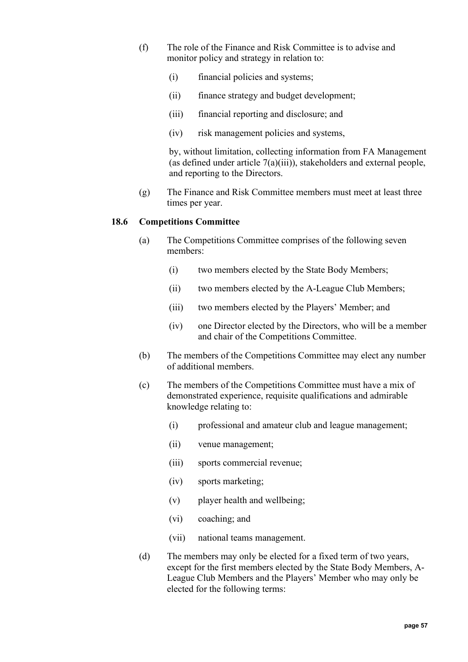- (f) The role of the Finance and Risk Committee is to advise and monitor policy and strategy in relation to:
	- (i) financial policies and systems;
	- (ii) finance strategy and budget development;
	- (iii) financial reporting and disclosure; and
	- (iv) risk management policies and systems,

(g) The Finance and Risk Committee members must meet at least three times per year.

#### <span id="page-56-0"></span>**18.6 Competitions Committee**

- (a) The Competitions Committee comprises of the following seven members:
	- (i) two members elected by the State Body Members;
	- (ii) two members elected by the A-League Club Members;
	- (iii) two members elected by the Players' Member; and
	- (iv) one Director elected by the Directors, who will be a member and chair of the Competitions Committee.
- (b) The members of the Competitions Committee may elect any number of additional members.
- (c) The members of the Competitions Committee must have a mix of demonstrated experience, requisite qualifications and admirable knowledge relating to:
	- (i) professional and amateur club and league management;
	- (ii) venue management;
	- (iii) sports commercial revenue;
	- (iv) sports marketing;
	- (v) player health and wellbeing;
	- (vi) coaching; and
	- (vii) national teams management.
- (d) The members may only be elected for a fixed term of two years, except for the first members elected by the State Body Members, A-League Club Members and the Players' Member who may only be elected for the following terms: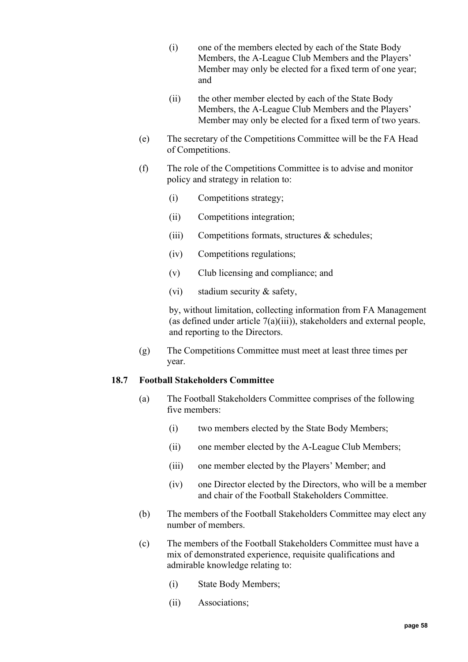- (i) one of the members elected by each of the State Body Members, the A-League Club Members and the Players' Member may only be elected for a fixed term of one year; and
- (ii) the other member elected by each of the State Body Members, the A-League Club Members and the Players' Member may only be elected for a fixed term of two years.
- (e) The secretary of the Competitions Committee will be the FA Head of Competitions.
- (f) The role of the Competitions Committee is to advise and monitor policy and strategy in relation to:
	- (i) Competitions strategy;
	- (ii) Competitions integration;
	- (iii) Competitions formats, structures & schedules;
	- (iv) Competitions regulations;
	- (v) Club licensing and compliance; and
	- (vi) stadium security & safety,

(g) The Competitions Committee must meet at least three times per year.

### <span id="page-57-0"></span>**18.7 Football Stakeholders Committee**

- (a) The Football Stakeholders Committee comprises of the following five members:
	- (i) two members elected by the State Body Members;
	- (ii) one member elected by the A-League Club Members;
	- (iii) one member elected by the Players' Member; and
	- (iv) one Director elected by the Directors, who will be a member and chair of the Football Stakeholders Committee.
- (b) The members of the Football Stakeholders Committee may elect any number of members.
- (c) The members of the Football Stakeholders Committee must have a mix of demonstrated experience, requisite qualifications and admirable knowledge relating to:
	- (i) State Body Members;
	- (ii) Associations;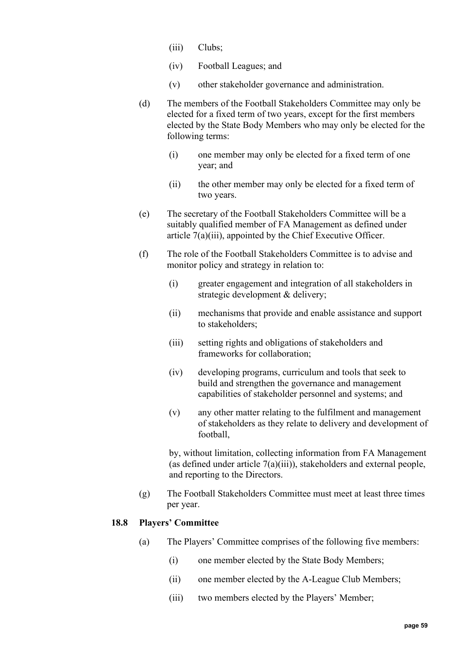- (iii) Clubs;
- (iv) Football Leagues; and
- (v) other stakeholder governance and administration.
- (d) The members of the Football Stakeholders Committee may only be elected for a fixed term of two years, except for the first members elected by the State Body Members who may only be elected for the following terms:
	- (i) one member may only be elected for a fixed term of one year; and
	- (ii) the other member may only be elected for a fixed term of two years.
- (e) The secretary of the Football Stakeholders Committee will be a suitably qualified member of FA Management as defined under article [7\(a\)\(iii\),](#page-18-0) appointed by the Chief Executive Officer.
- (f) The role of the Football Stakeholders Committee is to advise and monitor policy and strategy in relation to:
	- (i) greater engagement and integration of all stakeholders in strategic development & delivery;
	- (ii) mechanisms that provide and enable assistance and support to stakeholders;
	- (iii) setting rights and obligations of stakeholders and frameworks for collaboration;
	- (iv) developing programs, curriculum and tools that seek to build and strengthen the governance and management capabilities of stakeholder personnel and systems; and
	- (v) any other matter relating to the fulfilment and management of stakeholders as they relate to delivery and development of football,

(g) The Football Stakeholders Committee must meet at least three times per year.

### <span id="page-58-0"></span>**18.8 Players' Committee**

- (a) The Players' Committee comprises of the following five members:
	- (i) one member elected by the State Body Members;
	- (ii) one member elected by the A-League Club Members;
	- (iii) two members elected by the Players' Member;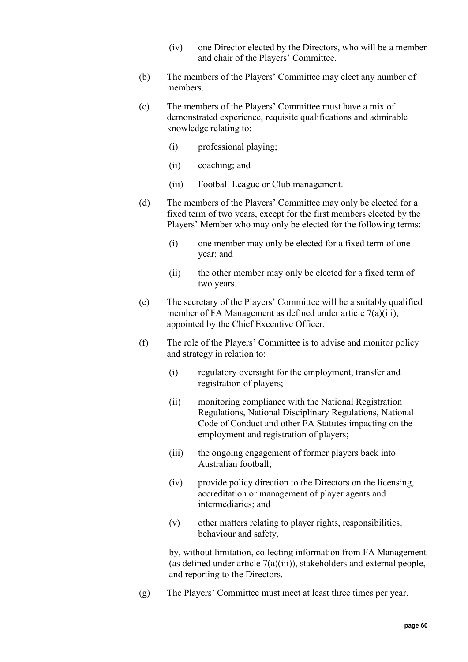- (iv) one Director elected by the Directors, who will be a member and chair of the Players' Committee.
- (b) The members of the Players' Committee may elect any number of members.
- (c) The members of the Players' Committee must have a mix of demonstrated experience, requisite qualifications and admirable knowledge relating to:
	- (i) professional playing;
	- (ii) coaching; and
	- (iii) Football League or Club management.
- (d) The members of the Players' Committee may only be elected for a fixed term of two years, except for the first members elected by the Players' Member who may only be elected for the following terms:
	- (i) one member may only be elected for a fixed term of one year; and
	- (ii) the other member may only be elected for a fixed term of two years.
- (e) The secretary of the Players' Committee will be a suitably qualified member of FA Management as defined under article [7\(a\)\(iii\),](#page-18-0) appointed by the Chief Executive Officer.
- (f) The role of the Players' Committee is to advise and monitor policy and strategy in relation to:
	- (i) regulatory oversight for the employment, transfer and registration of players;
	- (ii) monitoring compliance with the National Registration Regulations, National Disciplinary Regulations, National Code of Conduct and other FA Statutes impacting on the employment and registration of players;
	- (iii) the ongoing engagement of former players back into Australian football;
	- (iv) provide policy direction to the Directors on the licensing, accreditation or management of player agents and intermediaries; and
	- (v) other matters relating to player rights, responsibilities, behaviour and safety,

(g) The Players' Committee must meet at least three times per year.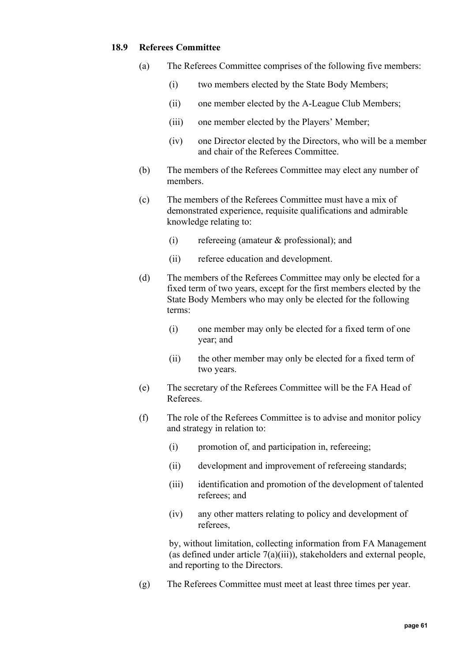## <span id="page-60-0"></span>**18.9 Referees Committee**

- (a) The Referees Committee comprises of the following five members:
	- (i) two members elected by the State Body Members;
	- (ii) one member elected by the A-League Club Members;
	- (iii) one member elected by the Players' Member;
	- (iv) one Director elected by the Directors, who will be a member and chair of the Referees Committee.
- (b) The members of the Referees Committee may elect any number of members.
- (c) The members of the Referees Committee must have a mix of demonstrated experience, requisite qualifications and admirable knowledge relating to:
	- (i) refereeing (amateur & professional); and
	- (ii) referee education and development.
- (d) The members of the Referees Committee may only be elected for a fixed term of two years, except for the first members elected by the State Body Members who may only be elected for the following terms:
	- (i) one member may only be elected for a fixed term of one year; and
	- (ii) the other member may only be elected for a fixed term of two years.
- (e) The secretary of the Referees Committee will be the FA Head of Referees.
- (f) The role of the Referees Committee is to advise and monitor policy and strategy in relation to:
	- (i) promotion of, and participation in, refereeing;
	- (ii) development and improvement of refereeing standards;
	- (iii) identification and promotion of the development of talented referees; and
	- (iv) any other matters relating to policy and development of referees,

by, without limitation, collecting information from FA Management (as defined under article [7\(a\)\(iii\)\)](#page-18-0), stakeholders and external people, and reporting to the Directors.

(g) The Referees Committee must meet at least three times per year.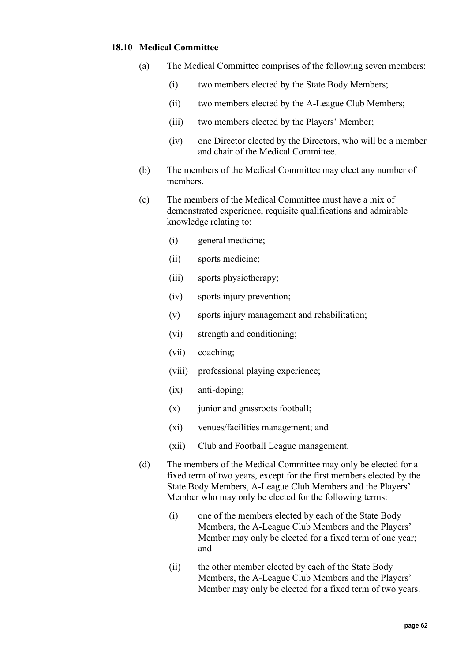## <span id="page-61-0"></span>**18.10 Medical Committee**

- (a) The Medical Committee comprises of the following seven members:
	- (i) two members elected by the State Body Members;
	- (ii) two members elected by the A-League Club Members;
	- (iii) two members elected by the Players' Member;
	- (iv) one Director elected by the Directors, who will be a member and chair of the Medical Committee.
- (b) The members of the Medical Committee may elect any number of members.
- (c) The members of the Medical Committee must have a mix of demonstrated experience, requisite qualifications and admirable knowledge relating to:
	- (i) general medicine;
	- (ii) sports medicine;
	- (iii) sports physiotherapy;
	- (iv) sports injury prevention;
	- (v) sports injury management and rehabilitation;
	- (vi) strength and conditioning;
	- (vii) coaching;
	- (viii) professional playing experience;
	- (ix) anti-doping;
	- (x) junior and grassroots football;
	- (xi) venues/facilities management; and
	- (xii) Club and Football League management.
- (d) The members of the Medical Committee may only be elected for a fixed term of two years, except for the first members elected by the State Body Members, A-League Club Members and the Players' Member who may only be elected for the following terms:
	- (i) one of the members elected by each of the State Body Members, the A-League Club Members and the Players' Member may only be elected for a fixed term of one year; and
	- (ii) the other member elected by each of the State Body Members, the A-League Club Members and the Players' Member may only be elected for a fixed term of two years.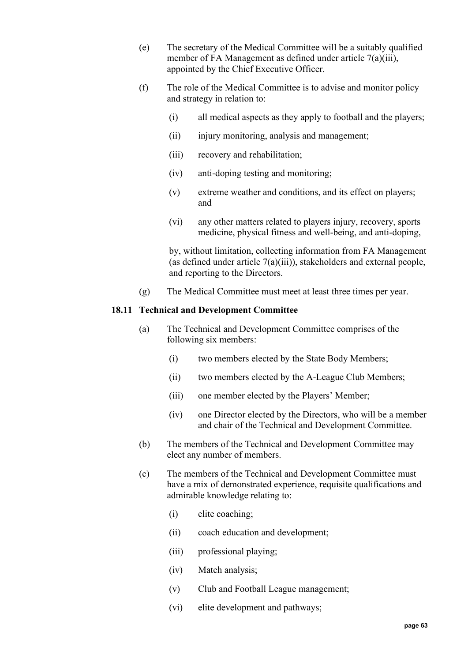- (e) The secretary of the Medical Committee will be a suitably qualified member of FA Management as defined under article [7\(a\)\(iii\),](#page-18-0) appointed by the Chief Executive Officer.
- (f) The role of the Medical Committee is to advise and monitor policy and strategy in relation to:
	- (i) all medical aspects as they apply to football and the players;
	- (ii) injury monitoring, analysis and management;
	- (iii) recovery and rehabilitation;
	- (iv) anti-doping testing and monitoring;
	- (v) extreme weather and conditions, and its effect on players; and
	- (vi) any other matters related to players injury, recovery, sports medicine, physical fitness and well-being, and anti-doping,

(g) The Medical Committee must meet at least three times per year.

## <span id="page-62-0"></span>**18.11 Technical and Development Committee**

- (a) The Technical and Development Committee comprises of the following six members:
	- (i) two members elected by the State Body Members;
	- (ii) two members elected by the A-League Club Members;
	- (iii) one member elected by the Players' Member;
	- (iv) one Director elected by the Directors, who will be a member and chair of the Technical and Development Committee.
- (b) The members of the Technical and Development Committee may elect any number of members.
- (c) The members of the Technical and Development Committee must have a mix of demonstrated experience, requisite qualifications and admirable knowledge relating to:
	- (i) elite coaching;
	- (ii) coach education and development;
	- (iii) professional playing;
	- (iv) Match analysis;
	- (v) Club and Football League management;
	- (vi) elite development and pathways;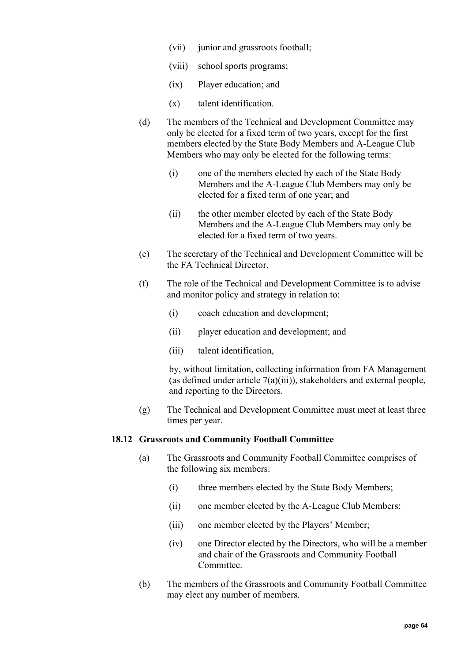- (vii) junior and grassroots football;
- (viii) school sports programs;
- (ix) Player education; and
- (x) talent identification.
- (d) The members of the Technical and Development Committee may only be elected for a fixed term of two years, except for the first members elected by the State Body Members and A-League Club Members who may only be elected for the following terms:
	- (i) one of the members elected by each of the State Body Members and the A-League Club Members may only be elected for a fixed term of one year; and
	- (ii) the other member elected by each of the State Body Members and the A-League Club Members may only be elected for a fixed term of two years.
- (e) The secretary of the Technical and Development Committee will be the FA Technical Director.
- (f) The role of the Technical and Development Committee is to advise and monitor policy and strategy in relation to:
	- (i) coach education and development;
	- (ii) player education and development; and
	- (iii) talent identification,

(g) The Technical and Development Committee must meet at least three times per year.

### <span id="page-63-0"></span>**18.12 Grassroots and Community Football Committee**

- (a) The Grassroots and Community Football Committee comprises of the following six members:
	- (i) three members elected by the State Body Members;
	- (ii) one member elected by the A-League Club Members;
	- (iii) one member elected by the Players' Member;
	- (iv) one Director elected by the Directors, who will be a member and chair of the Grassroots and Community Football Committee.
- (b) The members of the Grassroots and Community Football Committee may elect any number of members.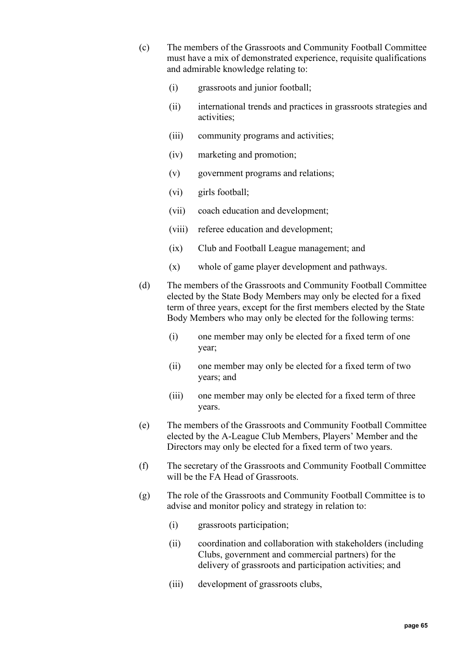- (c) The members of the Grassroots and Community Football Committee must have a mix of demonstrated experience, requisite qualifications and admirable knowledge relating to:
	- (i) grassroots and junior football;
	- (ii) international trends and practices in grassroots strategies and activities;
	- (iii) community programs and activities;
	- (iv) marketing and promotion;
	- (v) government programs and relations;
	- (vi) girls football;
	- (vii) coach education and development;
	- (viii) referee education and development;
	- (ix) Club and Football League management; and
	- (x) whole of game player development and pathways.
- (d) The members of the Grassroots and Community Football Committee elected by the State Body Members may only be elected for a fixed term of three years, except for the first members elected by the State Body Members who may only be elected for the following terms:
	- (i) one member may only be elected for a fixed term of one year;
	- (ii) one member may only be elected for a fixed term of two years; and
	- (iii) one member may only be elected for a fixed term of three years.
- (e) The members of the Grassroots and Community Football Committee elected by the A-League Club Members, Players' Member and the Directors may only be elected for a fixed term of two years.
- (f) The secretary of the Grassroots and Community Football Committee will be the FA Head of Grassroots.
- (g) The role of the Grassroots and Community Football Committee is to advise and monitor policy and strategy in relation to:
	- (i) grassroots participation;
	- (ii) coordination and collaboration with stakeholders (including Clubs, government and commercial partners) for the delivery of grassroots and participation activities; and
	- (iii) development of grassroots clubs,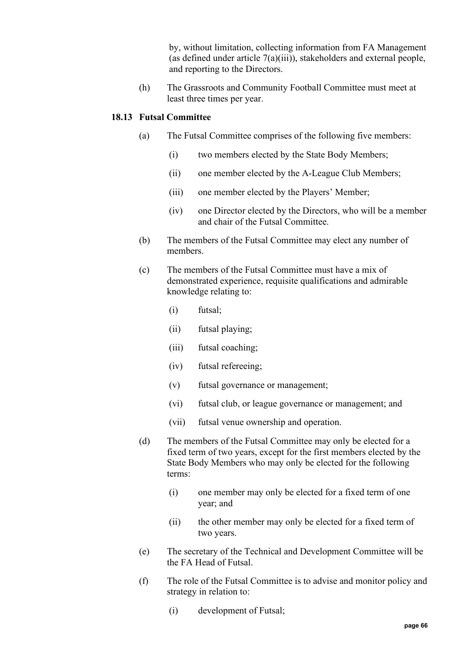(h) The Grassroots and Community Football Committee must meet at least three times per year.

## <span id="page-65-0"></span>**18.13 Futsal Committee**

- (a) The Futsal Committee comprises of the following five members:
	- (i) two members elected by the State Body Members;
	- (ii) one member elected by the A-League Club Members;
	- (iii) one member elected by the Players' Member;
	- (iv) one Director elected by the Directors, who will be a member and chair of the Futsal Committee.
- (b) The members of the Futsal Committee may elect any number of members.
- (c) The members of the Futsal Committee must have a mix of demonstrated experience, requisite qualifications and admirable knowledge relating to:
	- (i) futsal;
	- (ii) futsal playing;
	- (iii) futsal coaching;
	- (iv) futsal refereeing;
	- (v) futsal governance or management;
	- (vi) futsal club, or league governance or management; and
	- (vii) futsal venue ownership and operation.
- (d) The members of the Futsal Committee may only be elected for a fixed term of two years, except for the first members elected by the State Body Members who may only be elected for the following terms:
	- (i) one member may only be elected for a fixed term of one year; and
	- (ii) the other member may only be elected for a fixed term of two years.
- (e) The secretary of the Technical and Development Committee will be the FA Head of Futsal.
- (f) The role of the Futsal Committee is to advise and monitor policy and strategy in relation to:
	- (i) development of Futsal;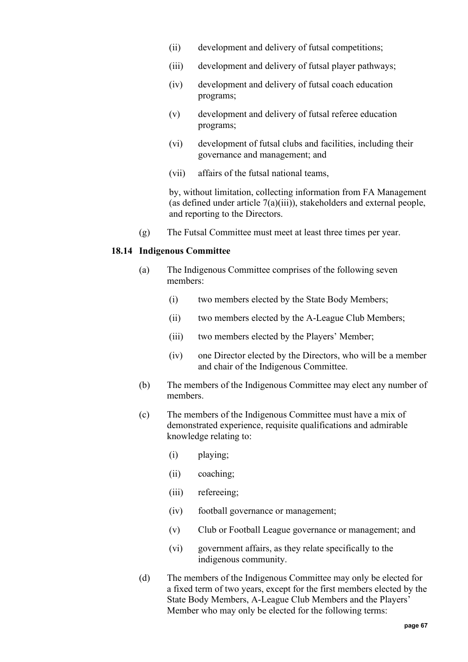- (ii) development and delivery of futsal competitions;
- (iii) development and delivery of futsal player pathways;
- (iv) development and delivery of futsal coach education programs;
- (v) development and delivery of futsal referee education programs;
- (vi) development of futsal clubs and facilities, including their governance and management; and
- (vii) affairs of the futsal national teams,

(g) The Futsal Committee must meet at least three times per year.

# <span id="page-66-0"></span>**18.14 Indigenous Committee**

- (a) The Indigenous Committee comprises of the following seven members:
	- (i) two members elected by the State Body Members;
	- (ii) two members elected by the A-League Club Members;
	- (iii) two members elected by the Players' Member;
	- (iv) one Director elected by the Directors, who will be a member and chair of the Indigenous Committee.
- (b) The members of the Indigenous Committee may elect any number of members.
- (c) The members of the Indigenous Committee must have a mix of demonstrated experience, requisite qualifications and admirable knowledge relating to:
	- (i) playing;
	- (ii) coaching;
	- (iii) refereeing;
	- (iv) football governance or management;
	- (v) Club or Football League governance or management; and
	- (vi) government affairs, as they relate specifically to the indigenous community.
- (d) The members of the Indigenous Committee may only be elected for a fixed term of two years, except for the first members elected by the State Body Members, A-League Club Members and the Players' Member who may only be elected for the following terms: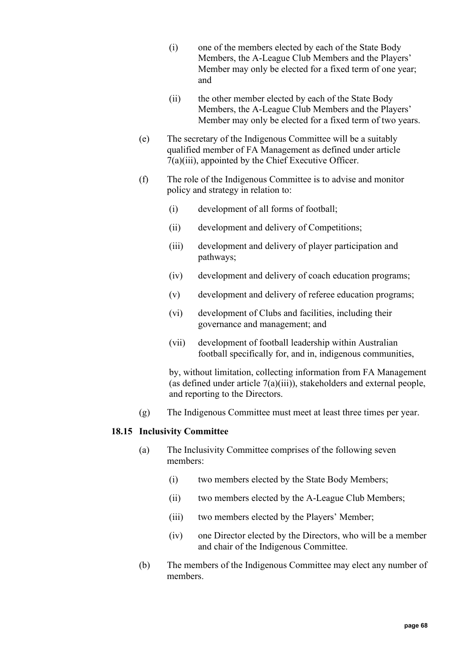- (i) one of the members elected by each of the State Body Members, the A-League Club Members and the Players' Member may only be elected for a fixed term of one year; and
- (ii) the other member elected by each of the State Body Members, the A-League Club Members and the Players' Member may only be elected for a fixed term of two years.
- (e) The secretary of the Indigenous Committee will be a suitably qualified member of FA Management as defined under article [7\(a\)\(iii\),](#page-18-0) appointed by the Chief Executive Officer.
- (f) The role of the Indigenous Committee is to advise and monitor policy and strategy in relation to:
	- (i) development of all forms of football;
	- (ii) development and delivery of Competitions;
	- (iii) development and delivery of player participation and pathways;
	- (iv) development and delivery of coach education programs;
	- (v) development and delivery of referee education programs;
	- (vi) development of Clubs and facilities, including their governance and management; and
	- (vii) development of football leadership within Australian football specifically for, and in, indigenous communities,

(g) The Indigenous Committee must meet at least three times per year.

# <span id="page-67-0"></span>**18.15 Inclusivity Committee**

- (a) The Inclusivity Committee comprises of the following seven members:
	- (i) two members elected by the State Body Members;
	- (ii) two members elected by the A-League Club Members;
	- (iii) two members elected by the Players' Member;
	- (iv) one Director elected by the Directors, who will be a member and chair of the Indigenous Committee.
- (b) The members of the Indigenous Committee may elect any number of members.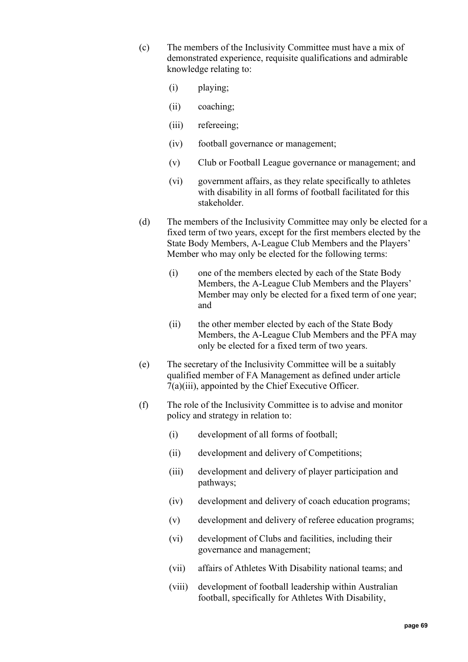- (c) The members of the Inclusivity Committee must have a mix of demonstrated experience, requisite qualifications and admirable knowledge relating to:
	- (i) playing;
	- (ii) coaching;
	- (iii) refereeing;
	- (iv) football governance or management;
	- (v) Club or Football League governance or management; and
	- (vi) government affairs, as they relate specifically to athletes with disability in all forms of football facilitated for this stakeholder.
- (d) The members of the Inclusivity Committee may only be elected for a fixed term of two years, except for the first members elected by the State Body Members, A-League Club Members and the Players' Member who may only be elected for the following terms:
	- (i) one of the members elected by each of the State Body Members, the A-League Club Members and the Players' Member may only be elected for a fixed term of one year; and
	- (ii) the other member elected by each of the State Body Members, the A-League Club Members and the PFA may only be elected for a fixed term of two years.
- (e) The secretary of the Inclusivity Committee will be a suitably qualified member of FA Management as defined under article [7\(a\)\(iii\),](#page-18-0) appointed by the Chief Executive Officer.
- (f) The role of the Inclusivity Committee is to advise and monitor policy and strategy in relation to:
	- (i) development of all forms of football;
	- (ii) development and delivery of Competitions;
	- (iii) development and delivery of player participation and pathways;
	- (iv) development and delivery of coach education programs;
	- (v) development and delivery of referee education programs;
	- (vi) development of Clubs and facilities, including their governance and management;
	- (vii) affairs of Athletes With Disability national teams; and
	- (viii) development of football leadership within Australian football, specifically for Athletes With Disability,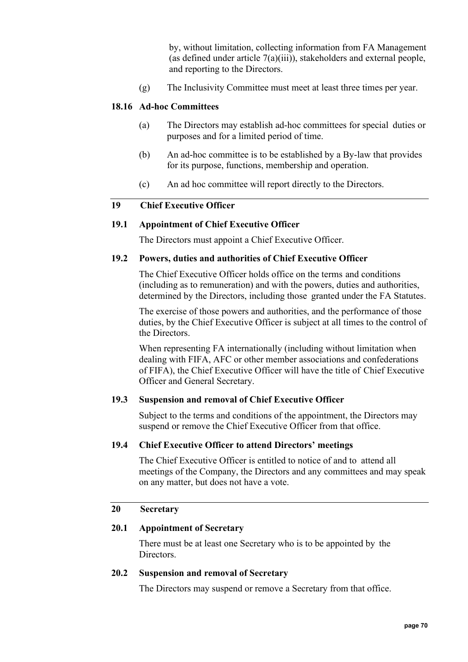(g) The Inclusivity Committee must meet at least three times per year.

## **18.16 Ad-hoc Committees**

- (a) The Directors may establish ad-hoc committees for special duties or purposes and for a limited period of time.
- (b) An ad-hoc committee is to be established by a By-law that provides for its purpose, functions, membership and operation.
- (c) An ad hoc committee will report directly to the Directors.

## **19 Chief Executive Officer**

# **19.1 Appointment of Chief Executive Officer**

The Directors must appoint a Chief Executive Officer.

### **19.2 Powers, duties and authorities of Chief Executive Officer**

The Chief Executive Officer holds office on the terms and conditions (including as to remuneration) and with the powers, duties and authorities, determined by the Directors, including those granted under the FA Statutes.

The exercise of those powers and authorities, and the performance of those duties, by the Chief Executive Officer is subject at all times to the control of the Directors.

When representing FA internationally (including without limitation when dealing with FIFA, AFC or other member associations and confederations of FIFA), the Chief Executive Officer will have the title of Chief Executive Officer and General Secretary.

### **19.3 Suspension and removal of Chief Executive Officer**

Subject to the terms and conditions of the appointment, the Directors may suspend or remove the Chief Executive Officer from that office.

# **19.4 Chief Executive Officer to attend Directors' meetings**

The Chief Executive Officer is entitled to notice of and to attend all meetings of the Company, the Directors and any committees and may speak on any matter, but does not have a vote.

# **20 Secretary**

## **20.1 Appointment of Secretary**

There must be at least one Secretary who is to be appointed by the Directors.

## **20.2 Suspension and removal of Secretary**

The Directors may suspend or remove a Secretary from that office.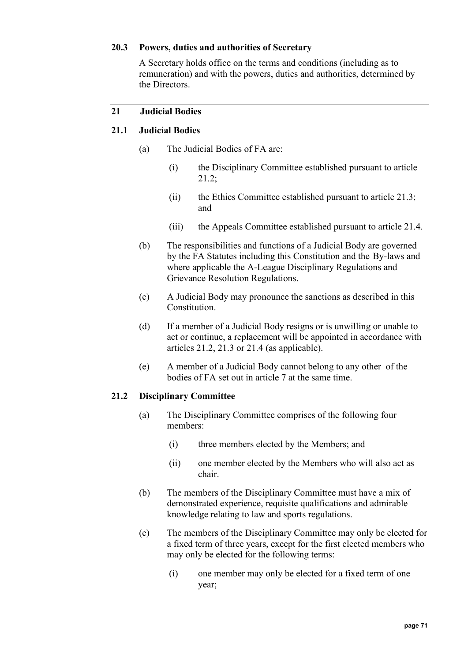## **20.3 Powers, duties and authorities of Secretary**

A Secretary holds office on the terms and conditions (including as to remuneration) and with the powers, duties and authorities, determined by the Directors.

# <span id="page-70-0"></span>**21 Judicial Bodies**

## **21.1 Judic**i**al Bodies**

- (a) The Judicial Bodies of FA are:
	- (i) the Disciplinary Committee established pursuant to article [21.2;](#page-70-1)
	- (ii) the Ethics Committee established pursuant to article [21.3;](#page-71-0) and
	- (iii) the Appeals Committee established pursuant to article [21.4.](#page-71-1)
- (b) The responsibilities and functions of a Judicial Body are governed by the FA Statutes including this Constitution and the By-laws and where applicable the A-League Disciplinary Regulations and Grievance Resolution Regulations.
- (c) A Judicial Body may pronounce the sanctions as described in this Constitution.
- (d) If a member of a Judicial Body resigns or is unwilling or unable to act or continue, a replacement will be appointed in accordance with articles [21.2,](#page-70-1) [21.3](#page-71-0) or [21.4](#page-71-1) (as applicable).
- (e) A member of a Judicial Body cannot belong to any other of the bodies of FA set out in article 7 at the same time.

### <span id="page-70-1"></span>**21.2 Disciplinary Committee**

- (a) The Disciplinary Committee comprises of the following four members:
	- (i) three members elected by the Members; and
	- (ii) one member elected by the Members who will also act as chair.
- (b) The members of the Disciplinary Committee must have a mix of demonstrated experience, requisite qualifications and admirable knowledge relating to law and sports regulations.
- (c) The members of the Disciplinary Committee may only be elected for a fixed term of three years, except for the first elected members who may only be elected for the following terms:
	- (i) one member may only be elected for a fixed term of one year;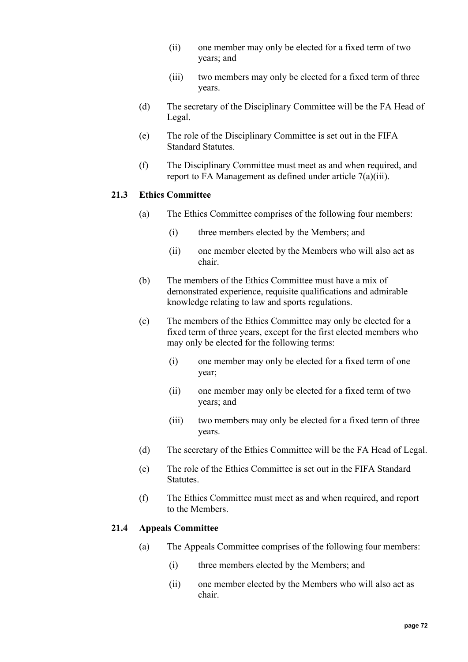- (ii) one member may only be elected for a fixed term of two years; and
- (iii) two members may only be elected for a fixed term of three years.
- (d) The secretary of the Disciplinary Committee will be the FA Head of Legal.
- (e) The role of the Disciplinary Committee is set out in the FIFA Standard Statutes.
- (f) The Disciplinary Committee must meet as and when required, and report to FA Management as defined under article [7\(a\)\(iii\).](#page-18-0)

## <span id="page-71-0"></span>**21.3 Ethics Committee**

- (a) The Ethics Committee comprises of the following four members:
	- (i) three members elected by the Members; and
	- (ii) one member elected by the Members who will also act as chair.
- (b) The members of the Ethics Committee must have a mix of demonstrated experience, requisite qualifications and admirable knowledge relating to law and sports regulations.
- (c) The members of the Ethics Committee may only be elected for a fixed term of three years, except for the first elected members who may only be elected for the following terms:
	- (i) one member may only be elected for a fixed term of one year;
	- (ii) one member may only be elected for a fixed term of two years; and
	- (iii) two members may only be elected for a fixed term of three years.
- (d) The secretary of the Ethics Committee will be the FA Head of Legal.
- (e) The role of the Ethics Committee is set out in the FIFA Standard Statutes.
- (f) The Ethics Committee must meet as and when required, and report to the Members.

### <span id="page-71-1"></span>**21.4 Appeals Committee**

- (a) The Appeals Committee comprises of the following four members:
	- (i) three members elected by the Members; and
	- (ii) one member elected by the Members who will also act as chair.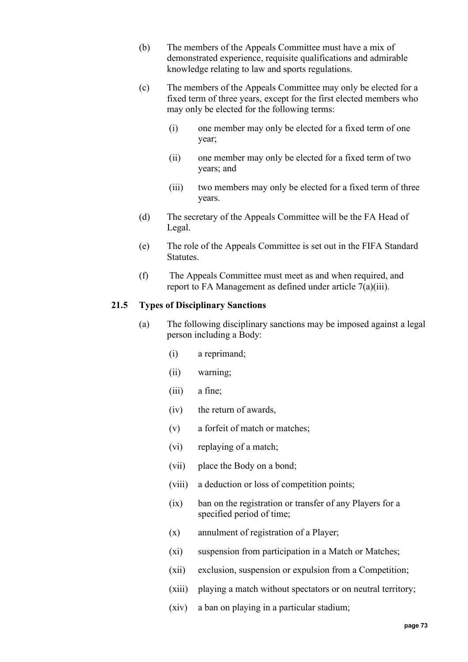- (b) The members of the Appeals Committee must have a mix of demonstrated experience, requisite qualifications and admirable knowledge relating to law and sports regulations.
- (c) The members of the Appeals Committee may only be elected for a fixed term of three years, except for the first elected members who may only be elected for the following terms:
	- (i) one member may only be elected for a fixed term of one year;
	- (ii) one member may only be elected for a fixed term of two years; and
	- (iii) two members may only be elected for a fixed term of three years.
- (d) The secretary of the Appeals Committee will be the FA Head of Legal.
- (e) The role of the Appeals Committee is set out in the FIFA Standard Statutes.
- (f) The Appeals Committee must meet as and when required, and report to FA Management as defined under article [7\(a\)\(iii\).](#page-18-0)

## **21.5 Types of Disciplinary Sanctions**

- (a) The following disciplinary sanctions may be imposed against a legal person including a Body:
	- (i) a reprimand;
	- (ii) warning;
	- (iii) a fine;
	- (iv) the return of awards,
	- (v) a forfeit of match or matches;
	- (vi) replaying of a match;
	- (vii) place the Body on a bond;
	- (viii) a deduction or loss of competition points;
	- (ix) ban on the registration or transfer of any Players for a specified period of time;
	- (x) annulment of registration of a Player;
	- (xi) suspension from participation in a Match or Matches;
	- (xii) exclusion, suspension or expulsion from a Competition;
	- (xiii) playing a match without spectators or on neutral territory;
	- (xiv) a ban on playing in a particular stadium;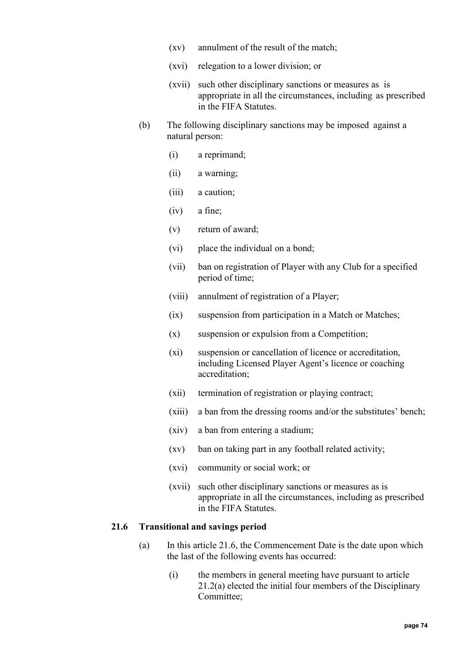- (xv) annulment of the result of the match;
- (xvi) relegation to a lower division; or
- (xvii) such other disciplinary sanctions or measures as is appropriate in all the circumstances, including as prescribed in the FIFA Statutes.
- (b) The following disciplinary sanctions may be imposed against a natural person:
	- (i) a reprimand;
	- (ii) a warning;
	- (iii) a caution;
	- (iv) a fine;
	- (v) return of award;
	- (vi) place the individual on a bond;
	- (vii) ban on registration of Player with any Club for a specified period of time;
	- (viii) annulment of registration of a Player;
	- (ix) suspension from participation in a Match or Matches;
	- (x) suspension or expulsion from a Competition;
	- (xi) suspension or cancellation of licence or accreditation, including Licensed Player Agent's licence or coaching accreditation;
	- (xii) termination of registration or playing contract;
	- (xiii) a ban from the dressing rooms and/or the substitutes' bench;
	- (xiv) a ban from entering a stadium;
	- (xv) ban on taking part in any football related activity;
	- (xvi) community or social work; or
	- (xvii) such other disciplinary sanctions or measures as is appropriate in all the circumstances, including as prescribed in the FIFA Statutes.

# <span id="page-73-0"></span>**21.6 Transitional and savings period**

- (a) In this article [21.6,](#page-73-0) the Commencement Date is the date upon which the last of the following events has occurred:
	- (i) the members in general meeting have pursuant to article [21.2\(a\)](#page-70-0) elected the initial four members of the Disciplinary Committee;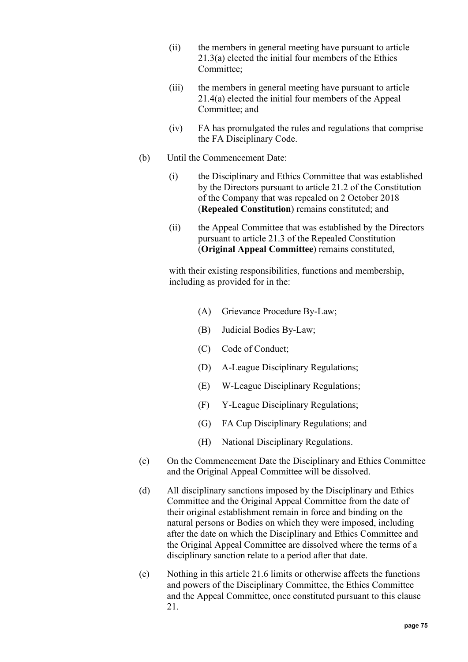- (ii) the members in general meeting have pursuant to article [21.3\(a\)](#page-71-0) elected the initial four members of the Ethics Committee;
- (iii) the members in general meeting have pursuant to article [21.4\(a\)](#page-71-1) elected the initial four members of the Appeal Committee; and
- (iv) FA has promulgated the rules and regulations that comprise the FA Disciplinary Code.
- (b) Until the Commencement Date:
	- (i) the Disciplinary and Ethics Committee that was established by the Directors pursuant to article [21.2](#page-70-1) of the Constitution of the Company that was repealed on 2 October 2018 (**Repealed Constitution**) remains constituted; and
	- (ii) the Appeal Committee that was established by the Directors pursuant to article [21.3](#page-71-2) of the Repealed Constitution (**Original Appeal Committee**) remains constituted,

with their existing responsibilities, functions and membership, including as provided for in the:

- (A) Grievance Procedure By-Law;
- (B) Judicial Bodies By-Law;
- (C) Code of Conduct;
- (D) A-League Disciplinary Regulations;
- (E) W-League Disciplinary Regulations;
- (F) Y-League Disciplinary Regulations;
- (G) FA Cup Disciplinary Regulations; and
- (H) National Disciplinary Regulations.
- (c) On the Commencement Date the Disciplinary and Ethics Committee and the Original Appeal Committee will be dissolved.
- (d) All disciplinary sanctions imposed by the Disciplinary and Ethics Committee and the Original Appeal Committee from the date of their original establishment remain in force and binding on the natural persons or Bodies on which they were imposed, including after the date on which the Disciplinary and Ethics Committee and the Original Appeal Committee are dissolved where the terms of a disciplinary sanction relate to a period after that date.
- (e) Nothing in this article [21.6](#page-73-0) limits or otherwise affects the functions and powers of the Disciplinary Committee, the Ethics Committee and the Appeal Committee, once constituted pursuant to this clause [21.](#page-70-2)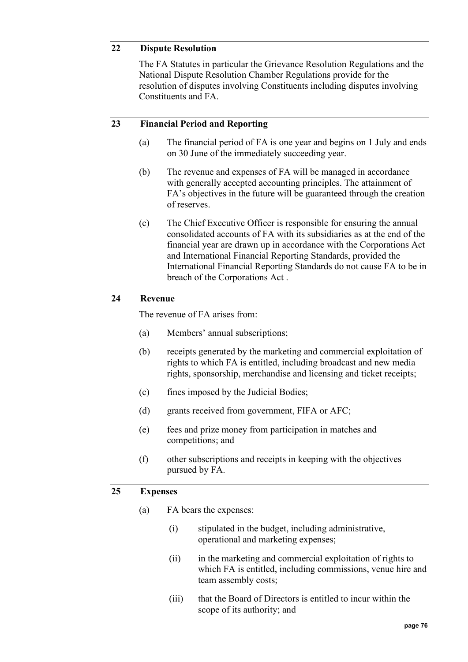## **22 Dispute Resolution**

The FA Statutes in particular the Grievance Resolution Regulations and the National Dispute Resolution Chamber Regulations provide for the resolution of disputes involving Constituents including disputes involving Constituents and FA.

## **23 Financial Period and Reporting**

- (a) The financial period of FA is one year and begins on 1 July and ends on 30 June of the immediately succeeding year.
- (b) The revenue and expenses of FA will be managed in accordance with generally accepted accounting principles. The attainment of FA's objectives in the future will be guaranteed through the creation of reserves.
- <span id="page-75-0"></span>(c) The Chief Executive Officer is responsible for ensuring the annual consolidated accounts of FA with its subsidiaries as at the end of the financial year are drawn up in accordance with the Corporations Act and International Financial Reporting Standards, provided the International Financial Reporting Standards do not cause FA to be in breach of the Corporations Act .

## **24 Revenue**

The revenue of FA arises from:

- (a) Members' annual subscriptions;
- (b) receipts generated by the marketing and commercial exploitation of rights to which FA is entitled, including broadcast and new media rights, sponsorship, merchandise and licensing and ticket receipts;
- (c) fines imposed by the Judicial Bodies;
- (d) grants received from government, FIFA or AFC;
- (e) fees and prize money from participation in matches and competitions; and
- (f) other subscriptions and receipts in keeping with the objectives pursued by FA.

#### **25 Expenses**

- (a) FA bears the expenses:
	- (i) stipulated in the budget, including administrative, operational and marketing expenses;
	- (ii) in the marketing and commercial exploitation of rights to which FA is entitled, including commissions, venue hire and team assembly costs;
	- (iii) that the Board of Directors is entitled to incur within the scope of its authority; and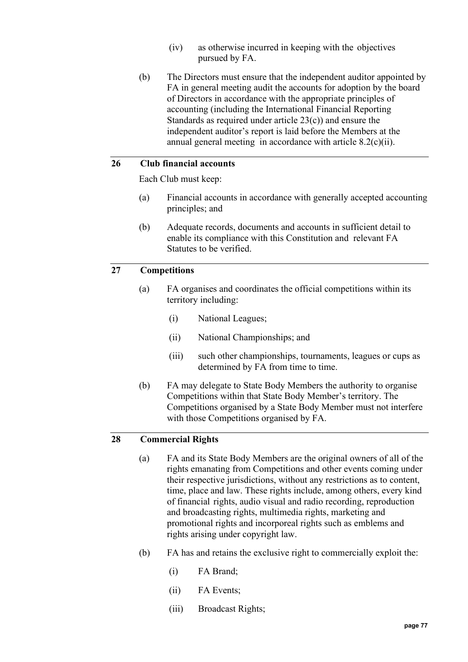- (iv) as otherwise incurred in keeping with the objectives pursued by FA.
- (b) The Directors must ensure that the independent auditor appointed by FA in general meeting audit the accounts for adoption by the board of Directors in accordance with the appropriate principles of accounting (including the International Financial Reporting Standards as required under article [23\(c\)\)](#page-75-0) and ensure the independent auditor's report is laid before the Members at the annual general meeting in accordance with article [8.2\(c\)\(ii\).](#page-19-0)

## **26 Club financial accounts**

Each Club must keep:

- (a) Financial accounts in accordance with generally accepted accounting principles; and
- (b) Adequate records, documents and accounts in sufficient detail to enable its compliance with this Constitution and relevant FA Statutes to be verified.

#### **27 Competitions**

- (a) FA organises and coordinates the official competitions within its territory including:
	- (i) National Leagues;
	- (ii) National Championships; and
	- (iii) such other championships, tournaments, leagues or cups as determined by FA from time to time.
- (b) FA may delegate to State Body Members the authority to organise Competitions within that State Body Member's territory. The Competitions organised by a State Body Member must not interfere with those Competitions organised by FA.

#### **28 Commercial Rights**

- (a) FA and its State Body Members are the original owners of all of the rights emanating from Competitions and other events coming under their respective jurisdictions, without any restrictions as to content, time, place and law. These rights include, among others, every kind of financial rights, audio visual and radio recording, reproduction and broadcasting rights, multimedia rights, marketing and promotional rights and incorporeal rights such as emblems and rights arising under copyright law.
- <span id="page-76-0"></span>(b) FA has and retains the exclusive right to commercially exploit the:
	- (i) FA Brand;
	- (ii) FA Events;
	- (iii) Broadcast Rights;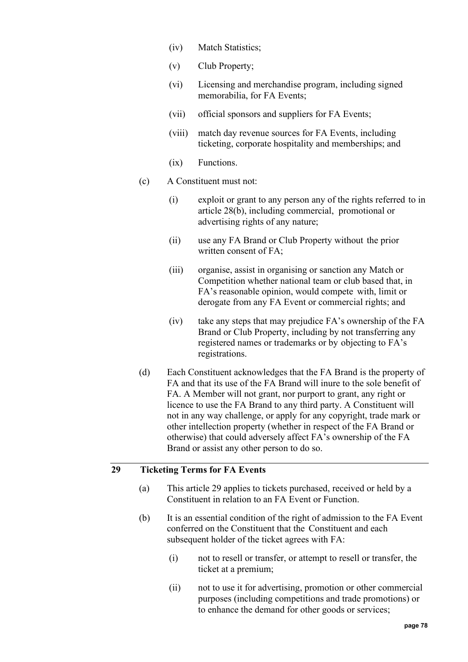- (iv) Match Statistics;
- (v) Club Property;
- (vi) Licensing and merchandise program, including signed memorabilia, for FA Events;
- (vii) official sponsors and suppliers for FA Events;
- (viii) match day revenue sources for FA Events, including ticketing, corporate hospitality and memberships; and
- (ix) Functions.
- (c) A Constituent must not:
	- (i) exploit or grant to any person any of the rights referred to in article [28\(b\),](#page-76-0) including commercial, promotional or advertising rights of any nature;
	- (ii) use any FA Brand or Club Property without the prior written consent of FA;
	- (iii) organise, assist in organising or sanction any Match or Competition whether national team or club based that, in FA's reasonable opinion, would compete with, limit or derogate from any FA Event or commercial rights; and
	- (iv) take any steps that may prejudice FA's ownership of the FA Brand or Club Property, including by not transferring any registered names or trademarks or by objecting to FA's registrations.
- (d) Each Constituent acknowledges that the FA Brand is the property of FA and that its use of the FA Brand will inure to the sole benefit of FA. A Member will not grant, nor purport to grant, any right or licence to use the FA Brand to any third party. A Constituent will not in any way challenge, or apply for any copyright, trade mark or other intellection property (whether in respect of the FA Brand or otherwise) that could adversely affect FA's ownership of the FA Brand or assist any other person to do so.

# <span id="page-77-0"></span>**29 Ticketing Terms for FA Events**

- (a) This article [29](#page-77-0) applies to tickets purchased, received or held by a Constituent in relation to an FA Event or Function.
- (b) It is an essential condition of the right of admission to the FA Event conferred on the Constituent that the Constituent and each subsequent holder of the ticket agrees with FA:
	- (i) not to resell or transfer, or attempt to resell or transfer, the ticket at a premium;
	- (ii) not to use it for advertising, promotion or other commercial purposes (including competitions and trade promotions) or to enhance the demand for other goods or services;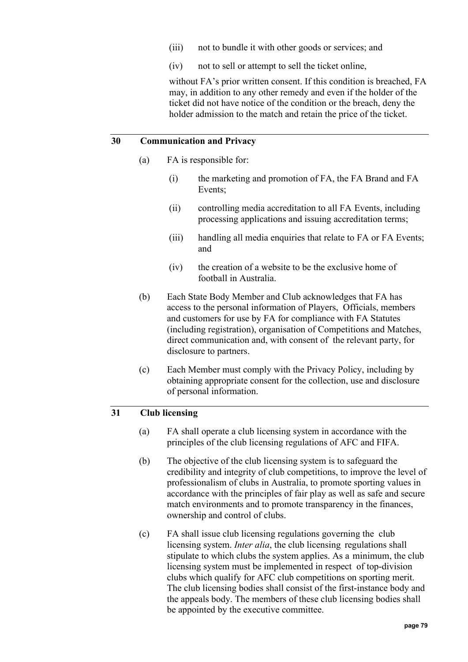- (iii) not to bundle it with other goods or services; and
- (iv) not to sell or attempt to sell the ticket online,

without FA's prior written consent. If this condition is breached, FA may, in addition to any other remedy and even if the holder of the ticket did not have notice of the condition or the breach, deny the holder admission to the match and retain the price of the ticket.

#### **30 Communication and Privacy**

- (a) FA is responsible for:
	- (i) the marketing and promotion of FA, the FA Brand and FA Events;
	- (ii) controlling media accreditation to all FA Events, including processing applications and issuing accreditation terms;
	- (iii) handling all media enquiries that relate to FA or FA Events; and
	- (iv) the creation of a website to be the exclusive home of football in Australia.
- (b) Each State Body Member and Club acknowledges that FA has access to the personal information of Players, Officials, members and customers for use by FA for compliance with FA Statutes (including registration), organisation of Competitions and Matches, direct communication and, with consent of the relevant party, for disclosure to partners.
- (c) Each Member must comply with the Privacy Policy, including by obtaining appropriate consent for the collection, use and disclosure of personal information.

# **31 Club licensing**

- (a) FA shall operate a club licensing system in accordance with the principles of the club licensing regulations of AFC and FIFA.
- (b) The objective of the club licensing system is to safeguard the credibility and integrity of club competitions, to improve the level of professionalism of clubs in Australia, to promote sporting values in accordance with the principles of fair play as well as safe and secure match environments and to promote transparency in the finances, ownership and control of clubs.
- (c) FA shall issue club licensing regulations governing the club licensing system. *Inter alia*, the club licensing regulations shall stipulate to which clubs the system applies. As a minimum, the club licensing system must be implemented in respect of top-division clubs which qualify for AFC club competitions on sporting merit. The club licensing bodies shall consist of the first-instance body and the appeals body. The members of these club licensing bodies shall be appointed by the executive committee.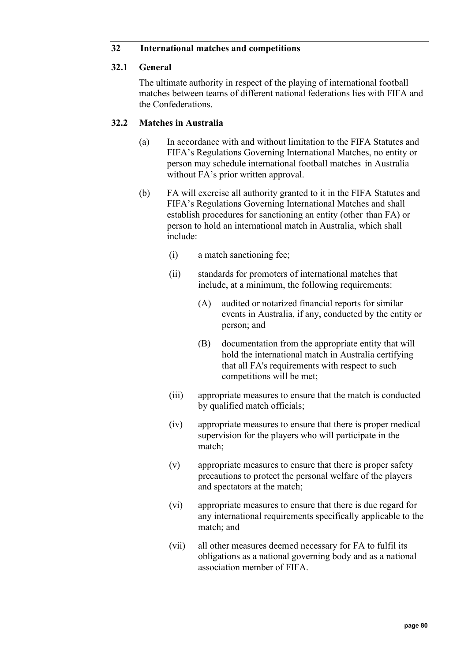## **32 International matches and competitions**

## **32.1 General**

The ultimate authority in respect of the playing of international football matches between teams of different national federations lies with FIFA and the Confederations.

## **32.2 Matches in Australia**

- (a) In accordance with and without limitation to the FIFA Statutes and FIFA's Regulations Governing International Matches, no entity or person may schedule international football matches in Australia without FA's prior written approval.
- (b) FA will exercise all authority granted to it in the FIFA Statutes and FIFA's Regulations Governing International Matches and shall establish procedures for sanctioning an entity (other than FA) or person to hold an international match in Australia, which shall include:
	- (i) a match sanctioning fee;
	- (ii) standards for promoters of international matches that include, at a minimum, the following requirements:
		- (A) audited or notarized financial reports for similar events in Australia, if any, conducted by the entity or person; and
		- (B) documentation from the appropriate entity that will hold the international match in Australia certifying that all FA's requirements with respect to such competitions will be met;
	- (iii) appropriate measures to ensure that the match is conducted by qualified match officials;
	- (iv) appropriate measures to ensure that there is proper medical supervision for the players who will participate in the match;
	- (v) appropriate measures to ensure that there is proper safety precautions to protect the personal welfare of the players and spectators at the match;
	- (vi) appropriate measures to ensure that there is due regard for any international requirements specifically applicable to the match; and
	- (vii) all other measures deemed necessary for FA to fulfil its obligations as a national governing body and as a national association member of FIFA.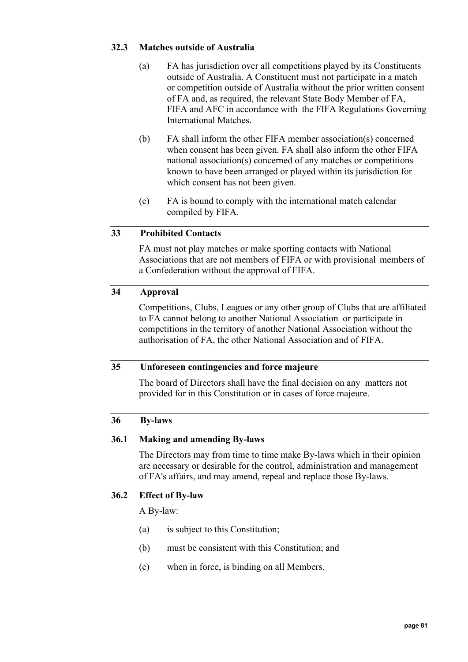## **32.3 Matches outside of Australia**

- (a) FA has jurisdiction over all competitions played by its Constituents outside of Australia. A Constituent must not participate in a match or competition outside of Australia without the prior written consent of FA and, as required, the relevant State Body Member of FA, FIFA and AFC in accordance with the FIFA Regulations Governing International Matches.
- (b) FA shall inform the other FIFA member association(s) concerned when consent has been given. FA shall also inform the other FIFA national association(s) concerned of any matches or competitions known to have been arranged or played within its jurisdiction for which consent has not been given.
- (c) FA is bound to comply with the international match calendar compiled by FIFA.

## **33 Prohibited Contacts**

FA must not play matches or make sporting contacts with National Associations that are not members of FIFA or with provisional members of a Confederation without the approval of FIFA.

## **34 Approval**

Competitions, Clubs, Leagues or any other group of Clubs that are affiliated to FA cannot belong to another National Association or participate in competitions in the territory of another National Association without the authorisation of FA, the other National Association and of FIFA.

#### **35 Unforeseen contingencies and force majeure**

The board of Directors shall have the final decision on any matters not provided for in this Constitution or in cases of force majeure.

#### <span id="page-80-0"></span>**36 By-laws**

#### **36.1 Making and amending By-laws**

The Directors may from time to time make By-laws which in their opinion are necessary or desirable for the control, administration and management of FA's affairs, and may amend, repeal and replace those By-laws.

#### **36.2 Effect of By-law**

A By-law:

- (a) is subject to this Constitution;
- (b) must be consistent with this Constitution; and
- (c) when in force, is binding on all Members.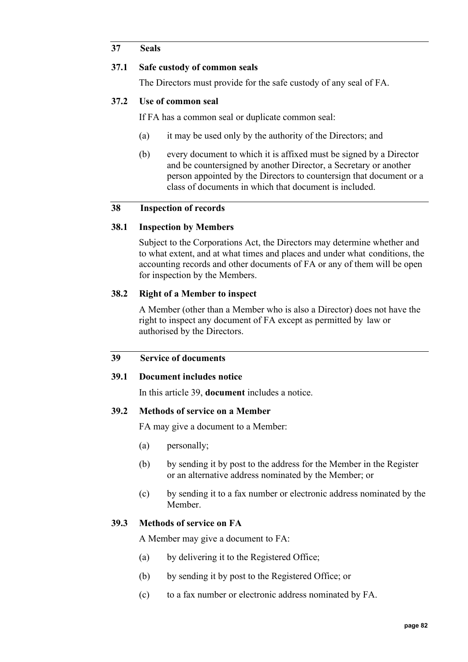## **37 Seals**

## **37.1 Safe custody of common seals**

The Directors must provide for the safe custody of any seal of FA.

## **37.2 Use of common seal**

If FA has a common seal or duplicate common seal:

- (a) it may be used only by the authority of the Directors; and
- (b) every document to which it is affixed must be signed by a Director and be countersigned by another Director, a Secretary or another person appointed by the Directors to countersign that document or a class of documents in which that document is included.

## **38 Inspection of records**

#### **38.1 Inspection by Members**

Subject to the Corporations Act, the Directors may determine whether and to what extent, and at what times and places and under what conditions, the accounting records and other documents of FA or any of them will be open for inspection by the Members.

## **38.2 Right of a Member to inspect**

A Member (other than a Member who is also a Director) does not have the right to inspect any document of FA except as permitted by law or authorised by the Directors.

# <span id="page-81-0"></span>**39 Service of documents**

#### **39.1 Document includes notice**

In this article [39,](#page-81-0) **document** includes a notice.

#### **39.2 Methods of service on a Member**

FA may give a document to a Member:

- (a) personally;
- (b) by sending it by post to the address for the Member in the Register or an alternative address nominated by the Member; or
- (c) by sending it to a fax number or electronic address nominated by the Member.

#### **39.3 Methods of service on FA**

A Member may give a document to FA:

- (a) by delivering it to the Registered Office;
- (b) by sending it by post to the Registered Office; or
- (c) to a fax number or electronic address nominated by FA.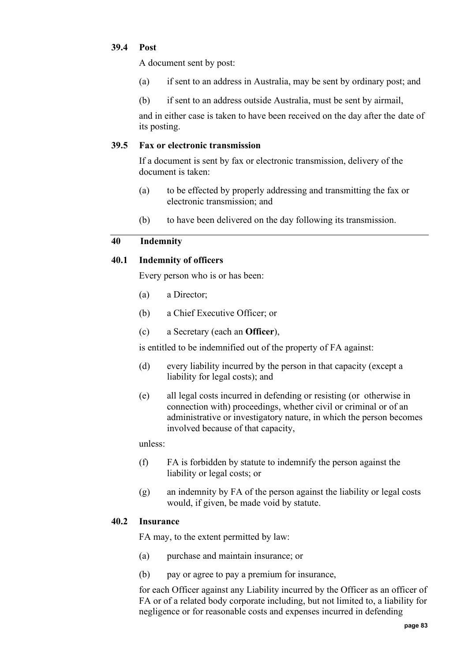## **39.4 Post**

A document sent by post:

- (a) if sent to an address in Australia, may be sent by ordinary post; and
- (b) if sent to an address outside Australia, must be sent by airmail,

and in either case is taken to have been received on the day after the date of its posting.

## **39.5 Fax or electronic transmission**

If a document is sent by fax or electronic transmission, delivery of the document is taken:

- (a) to be effected by properly addressing and transmitting the fax or electronic transmission; and
- (b) to have been delivered on the day following its transmission.

# **40 Indemnity**

# **40.1 Indemnity of officers**

Every person who is or has been:

- (a) a Director;
- (b) a Chief Executive Officer; or
- (c) a Secretary (each an **Officer**),

is entitled to be indemnified out of the property of FA against:

- (d) every liability incurred by the person in that capacity (except a liability for legal costs); and
- (e) all legal costs incurred in defending or resisting (or otherwise in connection with) proceedings, whether civil or criminal or of an administrative or investigatory nature, in which the person becomes involved because of that capacity,

unless:

- (f) FA is forbidden by statute to indemnify the person against the liability or legal costs; or
- (g) an indemnity by FA of the person against the liability or legal costs would, if given, be made void by statute.

# **40.2 Insurance**

FA may, to the extent permitted by law:

- (a) purchase and maintain insurance; or
- (b) pay or agree to pay a premium for insurance,

for each Officer against any Liability incurred by the Officer as an officer of FA or of a related body corporate including, but not limited to, a liability for negligence or for reasonable costs and expenses incurred in defending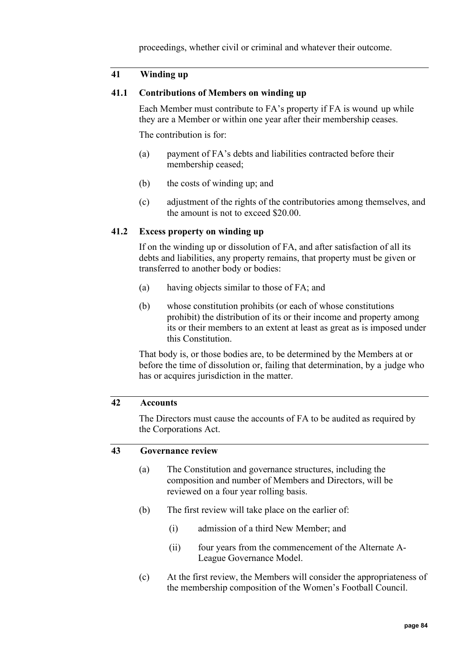proceedings, whether civil or criminal and whatever their outcome.

# **41 Winding up**

#### **41.1 Contributions of Members on winding up**

Each Member must contribute to FA's property if FA is wound up while they are a Member or within one year after their membership ceases.

The contribution is for:

- (a) payment of FA's debts and liabilities contracted before their membership ceased;
- (b) the costs of winding up; and
- (c) adjustment of the rights of the contributories among themselves, and the amount is not to exceed \$20.00.

#### **41.2 Excess property on winding up**

If on the winding up or dissolution of FA, and after satisfaction of all its debts and liabilities, any property remains, that property must be given or transferred to another body or bodies:

- (a) having objects similar to those of FA; and
- (b) whose constitution prohibits (or each of whose constitutions prohibit) the distribution of its or their income and property among its or their members to an extent at least as great as is imposed under this Constitution.

That body is, or those bodies are, to be determined by the Members at or before the time of dissolution or, failing that determination, by a judge who has or acquires jurisdiction in the matter.

#### **42 Accounts**

The Directors must cause the accounts of FA to be audited as required by the Corporations Act.

#### **43 Governance review**

- (a) The Constitution and governance structures, including the composition and number of Members and Directors, will be reviewed on a four year rolling basis.
- (b) The first review will take place on the earlier of:
	- (i) admission of a third New Member; and
	- (ii) four years from the commencement of the Alternate A-League Governance Model.
- (c) At the first review, the Members will consider the appropriateness of the membership composition of the Women's Football Council.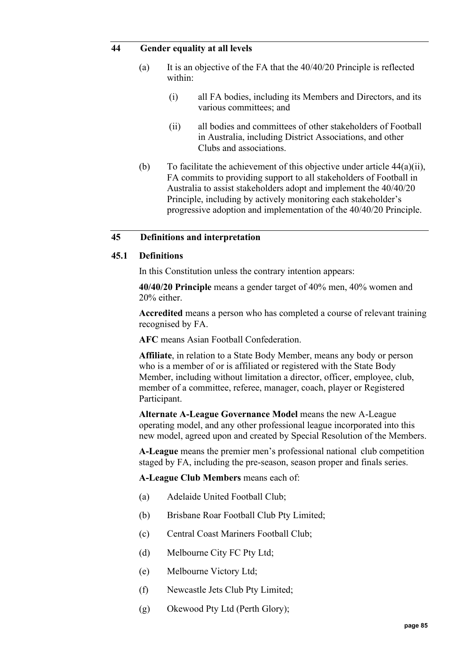#### <span id="page-84-0"></span>**44 Gender equality at all levels**

- (a) It is an objective of the FA that the 40/40/20 Principle is reflected within:
	- (i) all FA bodies, including its Members and Directors, and its various committees; and
	- (ii) all bodies and committees of other stakeholders of Football in Australia, including District Associations, and other Clubs and associations.
- (b) To facilitate the achievement of this objective under article  $44(a)(ii)$ , FA commits to providing support to all stakeholders of Football in Australia to assist stakeholders adopt and implement the 40/40/20 Principle, including by actively monitoring each stakeholder's progressive adoption and implementation of the 40/40/20 Principle.

## **45 Definitions and interpretation**

#### **45.1 Definitions**

In this Constitution unless the contrary intention appears:

**40/40/20 Principle** means a gender target of 40% men, 40% women and 20% either.

**Accredited** means a person who has completed a course of relevant training recognised by FA.

**AFC** means Asian Football Confederation.

**Affiliate**, in relation to a State Body Member, means any body or person who is a member of or is affiliated or registered with the State Body Member, including without limitation a director, officer, employee, club, member of a committee, referee, manager, coach, player or Registered Participant.

**Alternate A-League Governance Model** means the new A-League operating model, and any other professional league incorporated into this new model, agreed upon and created by Special Resolution of the Members.

**A-League** means the premier men's professional national club competition staged by FA, including the pre-season, season proper and finals series.

**A-League Club Members** means each of:

- (a) Adelaide United Football Club;
- (b) Brisbane Roar Football Club Pty Limited;
- (c) Central Coast Mariners Football Club;
- (d) Melbourne City FC Pty Ltd;
- (e) Melbourne Victory Ltd;
- (f) Newcastle Jets Club Pty Limited;
- (g) Okewood Pty Ltd (Perth Glory);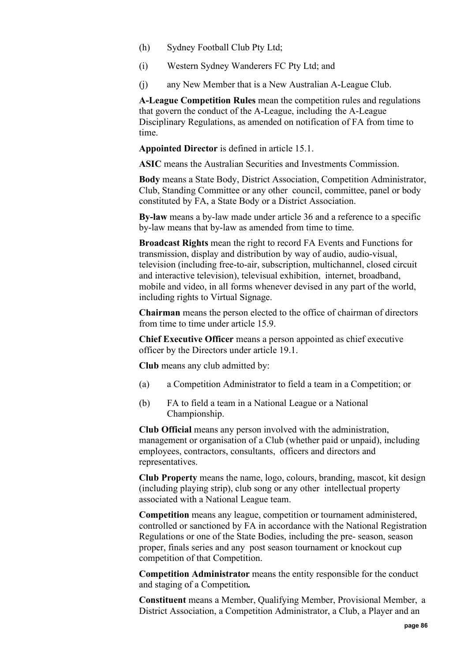- (h) Sydney Football Club Pty Ltd;
- (i) Western Sydney Wanderers FC Pty Ltd; and
- (j) any New Member that is a New Australian A-League Club.

**A-League Competition Rules** mean the competition rules and regulations that govern the conduct of the A-League, including the A-League Disciplinary Regulations, as amended on notification of FA from time to time.

**Appointed Director** is defined in article [15.1.](#page-34-0)

**ASIC** means the Australian Securities and Investments Commission.

**Body** means a State Body, District Association, Competition Administrator, Club, Standing Committee or any other council, committee, panel or body constituted by FA, a State Body or a District Association.

**By-law** means a by-law made under article [36](#page-80-0) and a reference to a specific by-law means that by-law as amended from time to time.

**Broadcast Rights** mean the right to record FA Events and Functions for transmission, display and distribution by way of audio, audio-visual, television (including free-to-air, subscription, multichannel, closed circuit and interactive television), televisual exhibition, internet, broadband, mobile and video, in all forms whenever devised in any part of the world, including rights to Virtual Signage.

**Chairman** means the person elected to the office of chairman of directors from time to time under article [15.9.](#page-35-0)

**Chief Executive Officer** means a person appointed as chief executive officer by the Directors under article [19.1.](#page-69-0)

**Club** means any club admitted by:

- (a) a Competition Administrator to field a team in a Competition; or
- (b) FA to field a team in a National League or a National Championship.

**Club Official** means any person involved with the administration, management or organisation of a Club (whether paid or unpaid), including employees, contractors, consultants, officers and directors and representatives.

**Club Property** means the name, logo, colours, branding, mascot, kit design (including playing strip), club song or any other intellectual property associated with a National League team.

**Competition** means any league, competition or tournament administered, controlled or sanctioned by FA in accordance with the National Registration Regulations or one of the State Bodies, including the pre- season, season proper, finals series and any post season tournament or knockout cup competition of that Competition.

**Competition Administrator** means the entity responsible for the conduct and staging of a Competition*.*

**Constituent** means a Member, Qualifying Member, Provisional Member, a District Association, a Competition Administrator, a Club, a Player and an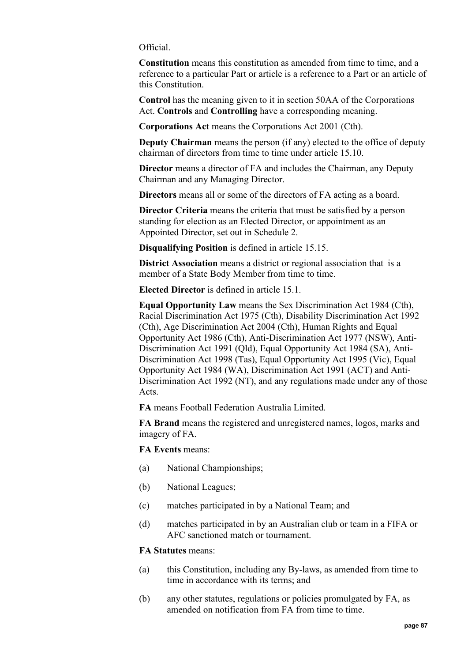#### Official.

**Constitution** means this constitution as amended from time to time, and a reference to a particular Part or article is a reference to a Part or an article of this Constitution.

**Control** has the meaning given to it in section 50AA of the Corporations Act. **Controls** and **Controlling** have a corresponding meaning.

**Corporations Act** means the Corporations Act 2001 (Cth).

**Deputy Chairman** means the person (if any) elected to the office of deputy chairman of directors from time to time under article [15.10.](#page-36-0)

**Director** means a director of FA and includes the Chairman, any Deputy Chairman and any Managing Director.

**Directors** means all or some of the directors of FA acting as a board.

**Director Criteria** means the criteria that must be satisfied by a person standing for election as an Elected Director, or appointment as an Appointed Director, set out in Schedule 2.

**Disqualifying Position** is defined in article [15.15.](#page-40-0)

**District Association** means a district or regional association that is a member of a State Body Member from time to time.

**Elected Director** is defined in article [15.1.](#page-34-0)

**Equal Opportunity Law** means the Sex Discrimination Act 1984 (Cth), Racial Discrimination Act 1975 (Cth), Disability Discrimination Act 1992 (Cth), Age Discrimination Act 2004 (Cth), Human Rights and Equal Opportunity Act 1986 (Cth), Anti-Discrimination Act 1977 (NSW), Anti-Discrimination Act 1991 (Qld), Equal Opportunity Act 1984 (SA), Anti-Discrimination Act 1998 (Tas), Equal Opportunity Act 1995 (Vic), Equal Opportunity Act 1984 (WA), Discrimination Act 1991 (ACT) and Anti-Discrimination Act 1992 (NT), and any regulations made under any of those Acts.

**FA** means Football Federation Australia Limited.

**FA Brand** means the registered and unregistered names, logos, marks and imagery of FA.

**FA Events** means:

- (a) National Championships;
- (b) National Leagues;
- (c) matches participated in by a National Team; and
- (d) matches participated in by an Australian club or team in a FIFA or AFC sanctioned match or tournament.

#### **FA Statutes** means:

- (a) this Constitution, including any By-laws, as amended from time to time in accordance with its terms; and
- (b) any other statutes, regulations or policies promulgated by FA, as amended on notification from FA from time to time.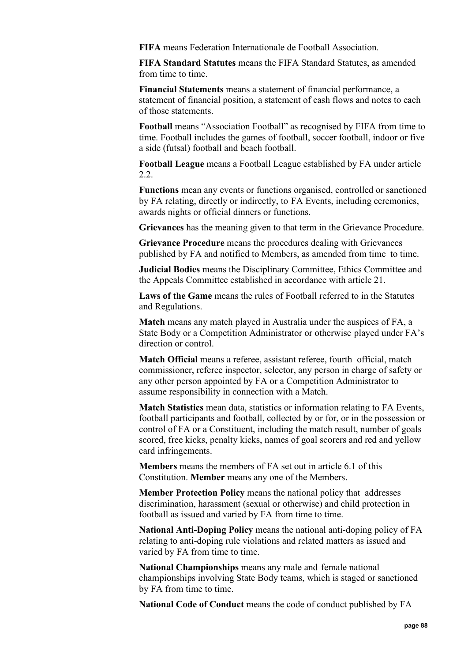**FIFA** means Federation Internationale de Football Association.

**FIFA Standard Statutes** means the FIFA Standard Statutes, as amended from time to time.

**Financial Statements** means a statement of financial performance, a statement of financial position, a statement of cash flows and notes to each of those statements.

**Football** means "Association Football" as recognised by FIFA from time to time. Football includes the games of football, soccer football, indoor or five a side (futsal) football and beach football.

**Football League** means a Football League established by FA under article [2.2.](#page-9-0)

**Functions** mean any events or functions organised, controlled or sanctioned by FA relating, directly or indirectly, to FA Events, including ceremonies, awards nights or official dinners or functions.

**Grievances** has the meaning given to that term in the Grievance Procedure.

**Grievance Procedure** means the procedures dealing with Grievances published by FA and notified to Members, as amended from time to time.

**Judicial Bodies** means the Disciplinary Committee, Ethics Committee and the Appeals Committee established in accordance with article [21.](#page-70-2)

**Laws of the Game** means the rules of Football referred to in the Statutes and Regulations.

**Match** means any match played in Australia under the auspices of FA, a State Body or a Competition Administrator or otherwise played under FA's direction or control.

**Match Official** means a referee, assistant referee, fourth official, match commissioner, referee inspector, selector, any person in charge of safety or any other person appointed by FA or a Competition Administrator to assume responsibility in connection with a Match.

**Match Statistics** mean data, statistics or information relating to FA Events, football participants and football, collected by or for, or in the possession or control of FA or a Constituent, including the match result, number of goals scored, free kicks, penalty kicks, names of goal scorers and red and yellow card infringements.

**Members** means the members of FA set out in article [6.1](#page-10-0) of this Constitution. **Member** means any one of the Members.

**Member Protection Policy** means the national policy that addresses discrimination, harassment (sexual or otherwise) and child protection in football as issued and varied by FA from time to time.

**National Anti-Doping Policy** means the national anti-doping policy of FA relating to anti-doping rule violations and related matters as issued and varied by FA from time to time.

**National Championships** means any male and female national championships involving State Body teams, which is staged or sanctioned by FA from time to time.

**National Code of Conduct** means the code of conduct published by FA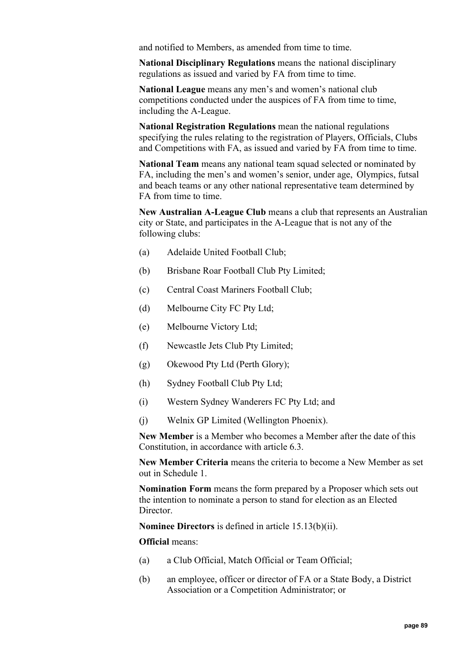and notified to Members, as amended from time to time.

**National Disciplinary Regulations** means the national disciplinary regulations as issued and varied by FA from time to time.

**National League** means any men's and women's national club competitions conducted under the auspices of FA from time to time, including the A-League.

**National Registration Regulations** mean the national regulations specifying the rules relating to the registration of Players, Officials, Clubs and Competitions with FA, as issued and varied by FA from time to time.

**National Team** means any national team squad selected or nominated by FA, including the men's and women's senior, under age, Olympics, futsal and beach teams or any other national representative team determined by FA from time to time.

**New Australian A-League Club** means a club that represents an Australian city or State, and participates in the A-League that is not any of the following clubs:

- (a) Adelaide United Football Club;
- (b) Brisbane Roar Football Club Pty Limited;
- (c) Central Coast Mariners Football Club;
- (d) Melbourne City FC Pty Ltd;
- (e) Melbourne Victory Ltd;
- (f) Newcastle Jets Club Pty Limited;
- (g) Okewood Pty Ltd (Perth Glory);
- (h) Sydney Football Club Pty Ltd;
- (i) Western Sydney Wanderers FC Pty Ltd; and
- (j) Welnix GP Limited (Wellington Phoenix).

**New Member** is a Member who becomes a Member after the date of this Constitution, in accordance with article [6.3.](#page-11-0)

**New Member Criteria** means the criteria to become a New Member as set out in Schedule 1.

**Nomination Form** means the form prepared by a Proposer which sets out the intention to nominate a person to stand for election as an Elected Director.

**Nominee Directors** is defined in article [15.13\(b\)\(ii\).](#page-39-0)

#### **Official** means:

- (a) a Club Official, Match Official or Team Official;
- (b) an employee, officer or director of FA or a State Body, a District Association or a Competition Administrator; or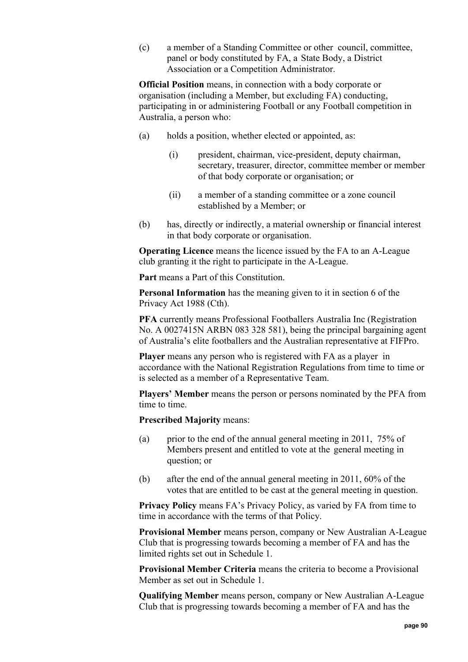(c) a member of a Standing Committee or other council, committee, panel or body constituted by FA, a State Body, a District Association or a Competition Administrator.

**Official Position** means, in connection with a body corporate or organisation (including a Member, but excluding FA) conducting, participating in or administering Football or any Football competition in Australia, a person who:

- (a) holds a position, whether elected or appointed, as:
	- (i) president, chairman, vice-president, deputy chairman, secretary, treasurer, director, committee member or member of that body corporate or organisation; or
	- (ii) a member of a standing committee or a zone council established by a Member; or
- (b) has, directly or indirectly, a material ownership or financial interest in that body corporate or organisation.

**Operating Licence** means the licence issued by the FA to an A-League club granting it the right to participate in the A-League.

**Part** means a Part of this Constitution.

**Personal Information** has the meaning given to it in section 6 of the Privacy Act 1988 (Cth).

**PFA** currently means Professional Footballers Australia Inc (Registration No. A 0027415N ARBN 083 328 581), being the principal bargaining agent of Australia's elite footballers and the Australian representative at FIFPro.

**Player** means any person who is registered with FA as a player in accordance with the National Registration Regulations from time to time or is selected as a member of a Representative Team.

**Players' Member** means the person or persons nominated by the PFA from time to time.

**Prescribed Majority** means:

- (a) prior to the end of the annual general meeting in 2011,  $75\%$  of Members present and entitled to vote at the general meeting in question; or
- (b) after the end of the annual general meeting in 2011, 60% of the votes that are entitled to be cast at the general meeting in question.

**Privacy Policy** means FA's Privacy Policy, as varied by FA from time to time in accordance with the terms of that Policy.

**Provisional Member** means person, company or New Australian A-League Club that is progressing towards becoming a member of FA and has the limited rights set out in Schedule 1.

**Provisional Member Criteria** means the criteria to become a Provisional Member as set out in Schedule 1.

**Qualifying Member** means person, company or New Australian A-League Club that is progressing towards becoming a member of FA and has the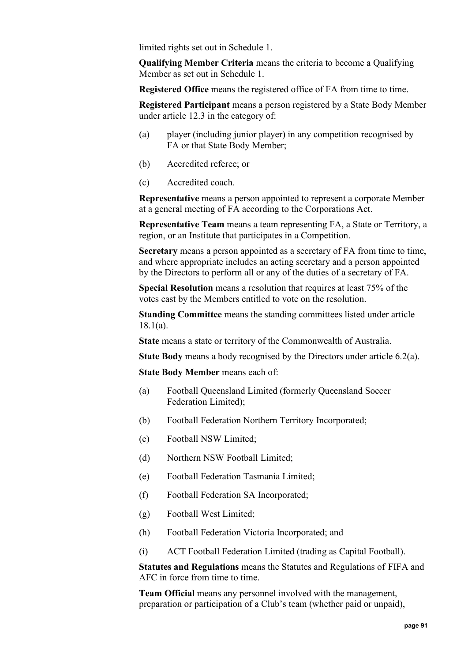limited rights set out in Schedule 1.

**Qualifying Member Criteria** means the criteria to become a Qualifying Member as set out in Schedule 1.

**Registered Office** means the registered office of FA from time to time.

**Registered Participant** means a person registered by a State Body Member under article [12.3](#page-29-0) in the category of:

- (a) player (including junior player) in any competition recognised by FA or that State Body Member;
- (b) Accredited referee; or
- (c) Accredited coach.

**Representative** means a person appointed to represent a corporate Member at a general meeting of FA according to the Corporations Act.

**Representative Team** means a team representing FA, a State or Territory, a region, or an Institute that participates in a Competition.

**Secretary** means a person appointed as a secretary of FA from time to time, and where appropriate includes an acting secretary and a person appointed by the Directors to perform all or any of the duties of a secretary of FA.

**Special Resolution** means a resolution that requires at least 75% of the votes cast by the Members entitled to vote on the resolution.

**Standing Committee** means the standing committees listed under article [18.1\(a\).](#page-50-0)

**State** means a state or territory of the Commonwealth of Australia.

**State Body** means a body recognised by the Directors under article [6.2\(a\).](#page-11-1)

**State Body Member** means each of:

- (a) Football Queensland Limited (formerly Queensland Soccer Federation Limited);
- (b) Football Federation Northern Territory Incorporated;
- (c) Football NSW Limited;
- (d) Northern NSW Football Limited;
- (e) Football Federation Tasmania Limited;
- (f) Football Federation SA Incorporated;
- (g) Football West Limited;
- (h) Football Federation Victoria Incorporated; and
- (i) ACT Football Federation Limited (trading as Capital Football).

**Statutes and Regulations** means the Statutes and Regulations of FIFA and AFC in force from time to time.

**Team Official** means any personnel involved with the management, preparation or participation of a Club's team (whether paid or unpaid),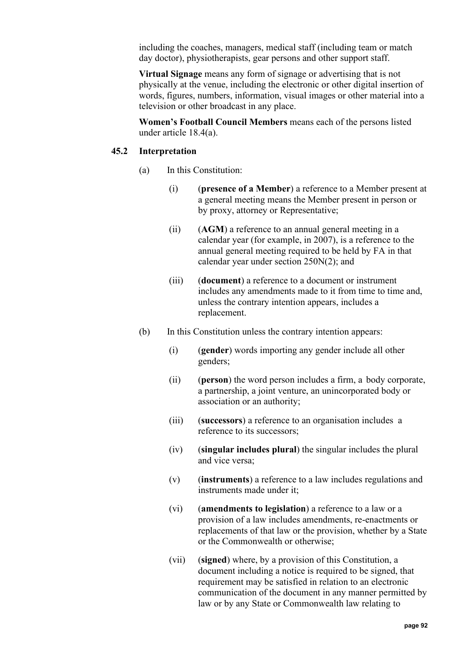including the coaches, managers, medical staff (including team or match day doctor), physiotherapists, gear persons and other support staff.

**Virtual Signage** means any form of signage or advertising that is not physically at the venue, including the electronic or other digital insertion of words, figures, numbers, information, visual images or other material into a television or other broadcast in any place.

**Women's Football Council Members** means each of the persons listed under article [18.4\(a\).](#page-53-0)

## **45.2 Interpretation**

- (a) In this Constitution:
	- (i) (**presence of a Member**) a reference to a Member present at a general meeting means the Member present in person or by proxy, attorney or Representative;
	- (ii) (**AGM**) a reference to an annual general meeting in a calendar year (for example, in 2007), is a reference to the annual general meeting required to be held by FA in that calendar year under section 250N(2); and
	- (iii) (**document**) a reference to a document or instrument includes any amendments made to it from time to time and, unless the contrary intention appears, includes a replacement.
- (b) In this Constitution unless the contrary intention appears:
	- (i) (**gender**) words importing any gender include all other genders;
	- (ii) (**person**) the word person includes a firm, a body corporate, a partnership, a joint venture, an unincorporated body or association or an authority;
	- (iii) (**successors**) a reference to an organisation includes a reference to its successors;
	- (iv) (**singular includes plural**) the singular includes the plural and vice versa;
	- (v) (**instruments**) a reference to a law includes regulations and instruments made under it;
	- (vi) (**amendments to legislation**) a reference to a law or a provision of a law includes amendments, re-enactments or replacements of that law or the provision, whether by a State or the Commonwealth or otherwise;
	- (vii) (**signed**) where, by a provision of this Constitution, a document including a notice is required to be signed, that requirement may be satisfied in relation to an electronic communication of the document in any manner permitted by law or by any State or Commonwealth law relating to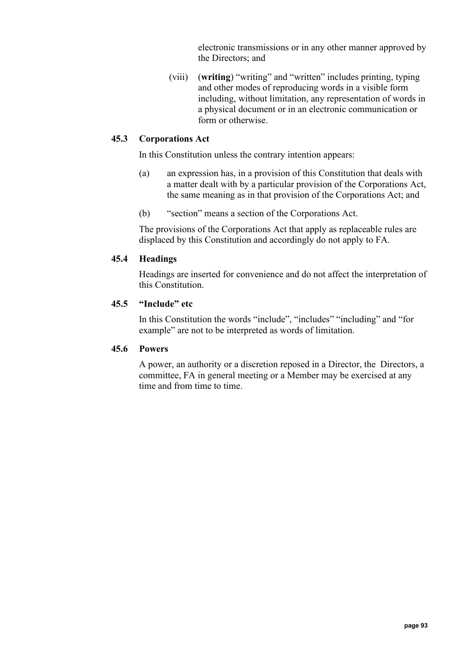electronic transmissions or in any other manner approved by the Directors; and

(viii) (**writing**) "writing" and "written" includes printing, typing and other modes of reproducing words in a visible form including, without limitation, any representation of words in a physical document or in an electronic communication or form or otherwise.

## **45.3 Corporations Act**

In this Constitution unless the contrary intention appears:

- (a) an expression has, in a provision of this Constitution that deals with a matter dealt with by a particular provision of the Corporations Act, the same meaning as in that provision of the Corporations Act; and
- (b) "section" means a section of the Corporations Act.

The provisions of the Corporations Act that apply as replaceable rules are displaced by this Constitution and accordingly do not apply to FA.

#### **45.4 Headings**

Headings are inserted for convenience and do not affect the interpretation of this Constitution.

#### **45.5 "Include" etc**

In this Constitution the words "include", "includes" "including" and "for example" are not to be interpreted as words of limitation.

## **45.6 Powers**

A power, an authority or a discretion reposed in a Director, the Directors, a committee, FA in general meeting or a Member may be exercised at any time and from time to time.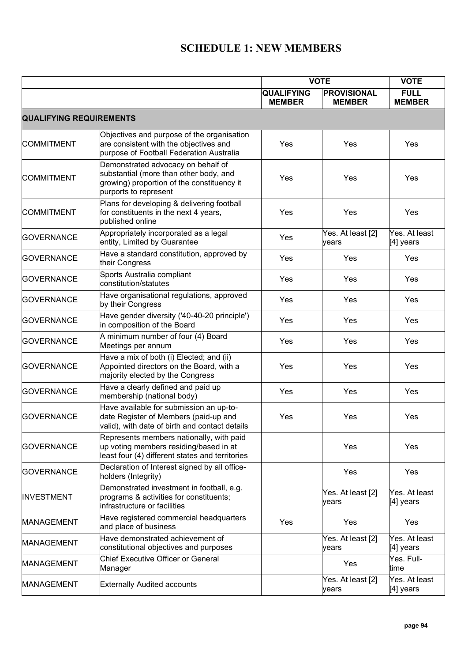# **SCHEDULE 1: NEW MEMBERS**

|                                |                                                                                                                                                     | <b>VOTE</b>                        |                                     | <b>VOTE</b>                  |  |  |
|--------------------------------|-----------------------------------------------------------------------------------------------------------------------------------------------------|------------------------------------|-------------------------------------|------------------------------|--|--|
|                                |                                                                                                                                                     | <b>QUALIFYING</b><br><b>MEMBER</b> | <b>PROVISIONAL</b><br><b>MEMBER</b> | <b>FULL</b><br><b>MEMBER</b> |  |  |
| <b>QUALIFYING REQUIREMENTS</b> |                                                                                                                                                     |                                    |                                     |                              |  |  |
| <b>COMMITMENT</b>              | Objectives and purpose of the organisation<br>are consistent with the objectives and<br>purpose of Football Federation Australia                    | Yes                                | Yes                                 | Yes                          |  |  |
| <b>COMMITMENT</b>              | Demonstrated advocacy on behalf of<br>substantial (more than other body, and<br>growing) proportion of the constituency it<br>purports to represent | Yes                                | Yes                                 | <b>Yes</b>                   |  |  |
| <b>COMMITMENT</b>              | Plans for developing & delivering football<br>for constituents in the next 4 years,<br>published online                                             | Yes                                | Yes                                 | Yes                          |  |  |
| <b>GOVERNANCE</b>              | Appropriately incorporated as a legal<br>entity, Limited by Guarantee                                                                               | Yes                                | Yes. At least [2]<br>years          | Yes. At least<br>[4] years   |  |  |
| <b>GOVERNANCE</b>              | Have a standard constitution, approved by<br>their Congress                                                                                         | Yes                                | Yes                                 | Yes                          |  |  |
| <b>GOVERNANCE</b>              | Sports Australia compliant<br>constitution/statutes                                                                                                 | Yes                                | Yes                                 | Yes                          |  |  |
| <b>GOVERNANCE</b>              | Have organisational regulations, approved<br>by their Congress                                                                                      | Yes                                | Yes                                 | Yes                          |  |  |
| <b>GOVERNANCE</b>              | Have gender diversity ('40-40-20 principle')<br>in composition of the Board                                                                         | Yes                                | Yes                                 | Yes                          |  |  |
| <b>GOVERNANCE</b>              | A minimum number of four (4) Board<br>Meetings per annum                                                                                            | Yes                                | Yes                                 | Yes                          |  |  |
| <b>GOVERNANCE</b>              | Have a mix of both (i) Elected; and (ii)<br>Appointed directors on the Board, with a<br>majority elected by the Congress                            | Yes                                | Yes                                 | Yes                          |  |  |
| <b>GOVERNANCE</b>              | Have a clearly defined and paid up<br>membership (national body)                                                                                    | Yes                                | Yes                                 | Yes                          |  |  |
| <b>GOVERNANCE</b>              | Have available for submission an up-to-<br>date Register of Members (paid-up and<br>valid), with date of birth and contact details                  | Yes                                | Yes                                 | Yes                          |  |  |
| <b>GOVERNANCE</b>              | Represents members nationally, with paid<br>up voting members residing/based in at<br>least four (4) different states and territories               |                                    | Yes                                 | Yes                          |  |  |
| <b>GOVERNANCE</b>              | Declaration of Interest signed by all office-<br>holders (Integrity)                                                                                |                                    | Yes                                 | Yes                          |  |  |
| <b>INVESTMENT</b>              | Demonstrated investment in football, e.g.<br>programs & activities for constituents;<br>infrastructure or facilities                                |                                    | Yes. At least [2]<br>years          | Yes. At least<br>[4] years   |  |  |
| <b>MANAGEMENT</b>              | Have registered commercial headquarters<br>and place of business                                                                                    | Yes                                | Yes                                 | Yes                          |  |  |
| <b>MANAGEMENT</b>              | Have demonstrated achievement of<br>constitutional objectives and purposes                                                                          |                                    | Yes. At least [2]<br>years          | Yes. At least<br>$[4]$ years |  |  |
| <b>MANAGEMENT</b>              | <b>Chief Executive Officer or General</b><br>Manager                                                                                                |                                    | Yes                                 | Yes. Full-<br>time           |  |  |
| <b>MANAGEMENT</b>              | <b>Externally Audited accounts</b>                                                                                                                  |                                    | Yes. At least [2]<br>years          | Yes. At least<br>[4] years   |  |  |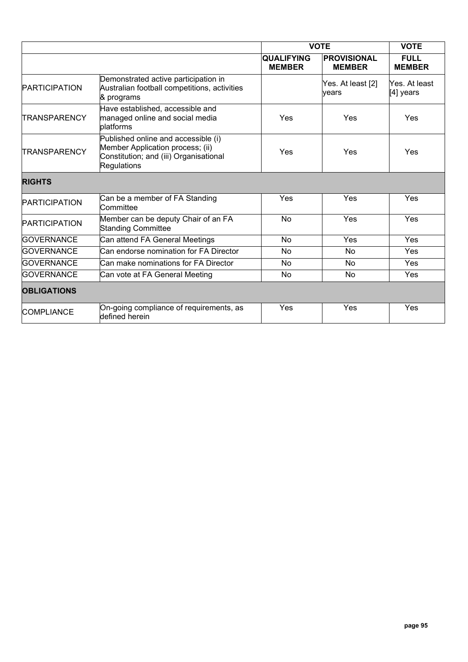|                      |                                                                                                                                  | <b>VOTE</b>                        |                                     | <b>VOTE</b>                  |  |  |
|----------------------|----------------------------------------------------------------------------------------------------------------------------------|------------------------------------|-------------------------------------|------------------------------|--|--|
|                      |                                                                                                                                  | <b>QUALIFYING</b><br><b>MEMBER</b> | <b>PROVISIONAL</b><br><b>MEMBER</b> | <b>FULL</b><br><b>MEMBER</b> |  |  |
| <b>PARTICIPATION</b> | Demonstrated active participation in<br>Australian football competitions, activities<br>& programs                               |                                    | Yes. At least [2]<br>vears          | Yes. At least<br>[4] years   |  |  |
| <b>TRANSPARENCY</b>  | Have established, accessible and<br>managed online and social media<br>blatforms                                                 | Yes                                | Yes                                 | Yes                          |  |  |
| <b>TRANSPARENCY</b>  | Published online and accessible (i)<br>Member Application process; (ii)<br>Constitution; and (iii) Organisational<br>Regulations | Yes                                | Yes                                 | Yes                          |  |  |
| <b>RIGHTS</b>        |                                                                                                                                  |                                    |                                     |                              |  |  |
| <b>PARTICIPATION</b> | Can be a member of FA Standing<br>Committee                                                                                      | Yes                                | Yes                                 | Yes                          |  |  |
| <b>PARTICIPATION</b> | Member can be deputy Chair of an FA<br><b>Standing Committee</b>                                                                 | No                                 | Yes                                 | Yes                          |  |  |
| <b>GOVERNANCE</b>    | Can attend FA General Meetings                                                                                                   | No                                 | Yes                                 | Yes                          |  |  |
| <b>GOVERNANCE</b>    | Can endorse nomination for FA Director                                                                                           | No                                 | <b>No</b>                           | Yes                          |  |  |
| <b>GOVERNANCE</b>    | Can make nominations for FA Director                                                                                             | No                                 | <b>No</b>                           | Yes                          |  |  |
| <b>GOVERNANCE</b>    | Can vote at FA General Meeting                                                                                                   | No                                 | <b>No</b>                           | Yes                          |  |  |
| <b>OBLIGATIONS</b>   |                                                                                                                                  |                                    |                                     |                              |  |  |
| <b>COMPLIANCE</b>    | On-going compliance of requirements, as<br>defined herein                                                                        | Yes                                | Yes                                 | Yes                          |  |  |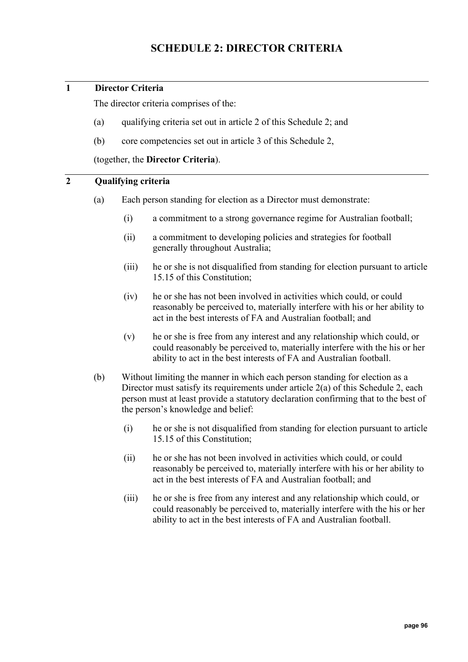# **1 Director Criteria**

The director criteria comprises of the:

- (a) qualifying criteria set out in article 2 of this Schedule 2; and
- (b) core competencies set out in article 3 of this Schedule 2,

(together, the **Director Criteria**).

# <span id="page-95-0"></span>**2 Qualifying criteria**

- (a) Each person standing for election as a Director must demonstrate:
	- (i) a commitment to a strong governance regime for Australian football;
	- (ii) a commitment to developing policies and strategies for football generally throughout Australia;
	- (iii) he or she is not disqualified from standing for election pursuant to article [15.15](#page-40-0) of this Constitution;
	- (iv) he or she has not been involved in activities which could, or could reasonably be perceived to, materially interfere with his or her ability to act in the best interests of FA and Australian football; and
	- (v) he or she is free from any interest and any relationship which could, or could reasonably be perceived to, materially interfere with the his or her ability to act in the best interests of FA and Australian football.
- (b) Without limiting the manner in which each person standing for election as a Director must satisfy its requirements under article [2\(a\)](#page-95-0) of this Schedule 2, each person must at least provide a statutory declaration confirming that to the best of the person's knowledge and belief:
	- (i) he or she is not disqualified from standing for election pursuant to article [15.15](#page-40-0) of this Constitution;
	- (ii) he or she has not been involved in activities which could, or could reasonably be perceived to, materially interfere with his or her ability to act in the best interests of FA and Australian football; and
	- (iii) he or she is free from any interest and any relationship which could, or could reasonably be perceived to, materially interfere with the his or her ability to act in the best interests of FA and Australian football.